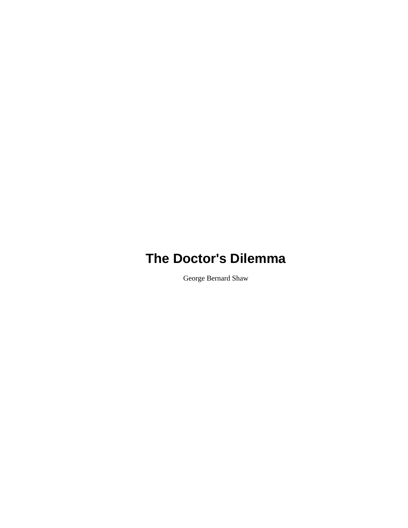George Bernard Shaw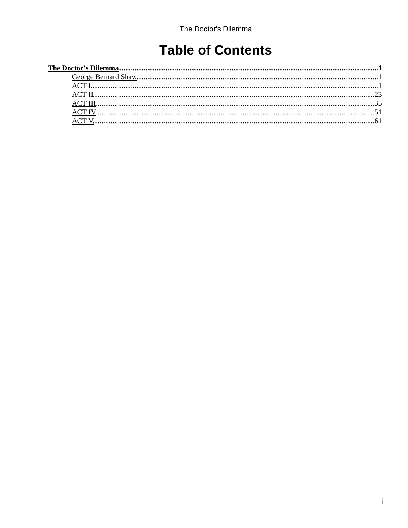# **Table of Contents**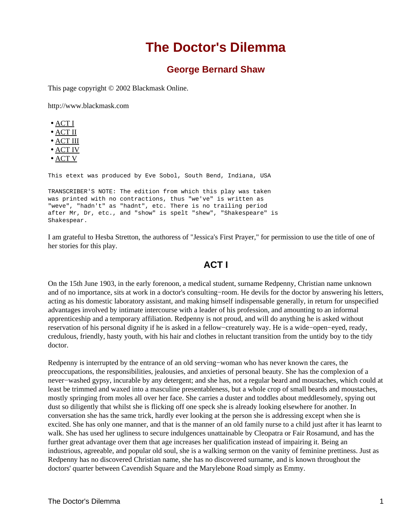## **George Bernard Shaw**

<span id="page-2-1"></span><span id="page-2-0"></span>This page copyright © 2002 Blackmask Online.

http://www.blackmask.com

|--|--|

- [ACT II](#page-24-0)
- [ACT III](#page-36-0)
- [ACT IV](#page-52-0)
- [ACT V](#page-62-0)

This etext was produced by Eve Sobol, South Bend, Indiana, USA

TRANSCRIBER'S NOTE: The edition from which this play was taken was printed with no contractions, thus "we've" is written as "weve", "hadn't" as "hadnt", etc. There is no trailing period after Mr, Dr, etc., and "show" is spelt "shew", "Shakespeare" is Shakespear.

I am grateful to Hesba Stretton, the authoress of "Jessica's First Prayer," for permission to use the title of one of her stories for this play.

## **ACT I**

<span id="page-2-2"></span>On the 15th June 1903, in the early forenoon, a medical student, surname Redpenny, Christian name unknown and of no importance, sits at work in a doctor's consulting−room. He devils for the doctor by answering his letters, acting as his domestic laboratory assistant, and making himself indispensable generally, in return for unspecified advantages involved by intimate intercourse with a leader of his profession, and amounting to an informal apprenticeship and a temporary affiliation. Redpenny is not proud, and will do anything he is asked without reservation of his personal dignity if he is asked in a fellow−creaturely way. He is a wide−open−eyed, ready, credulous, friendly, hasty youth, with his hair and clothes in reluctant transition from the untidy boy to the tidy doctor.

Redpenny is interrupted by the entrance of an old serving−woman who has never known the cares, the preoccupations, the responsibilities, jealousies, and anxieties of personal beauty. She has the complexion of a never−washed gypsy, incurable by any detergent; and she has, not a regular beard and moustaches, which could at least be trimmed and waxed into a masculine presentableness, but a whole crop of small beards and moustaches, mostly springing from moles all over her face. She carries a duster and toddles about meddlesomely, spying out dust so diligently that whilst she is flicking off one speck she is already looking elsewhere for another. In conversation she has the same trick, hardly ever looking at the person she is addressing except when she is excited. She has only one manner, and that is the manner of an old family nurse to a child just after it has learnt to walk. She has used her ugliness to secure indulgences unattainable by Cleopatra or Fair Rosamund, and has the further great advantage over them that age increases her qualification instead of impairing it. Being an industrious, agreeable, and popular old soul, she is a walking sermon on the vanity of feminine prettiness. Just as Redpenny has no discovered Christian name, she has no discovered surname, and is known throughout the doctors' quarter between Cavendish Square and the Marylebone Road simply as Emmy.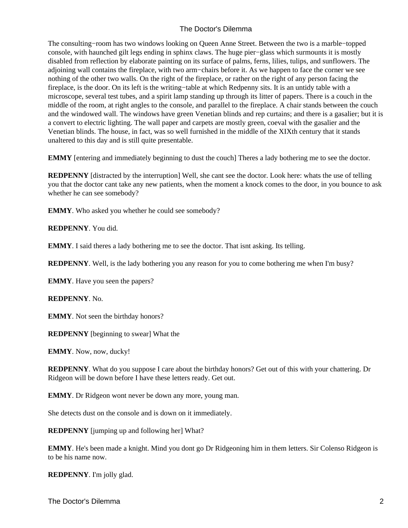The consulting−room has two windows looking on Queen Anne Street. Between the two is a marble−topped console, with haunched gilt legs ending in sphinx claws. The huge pier−glass which surmounts it is mostly disabled from reflection by elaborate painting on its surface of palms, ferns, lilies, tulips, and sunflowers. The adjoining wall contains the fireplace, with two arm−chairs before it. As we happen to face the corner we see nothing of the other two walls. On the right of the fireplace, or rather on the right of any person facing the fireplace, is the door. On its left is the writing−table at which Redpenny sits. It is an untidy table with a microscope, several test tubes, and a spirit lamp standing up through its litter of papers. There is a couch in the middle of the room, at right angles to the console, and parallel to the fireplace. A chair stands between the couch and the windowed wall. The windows have green Venetian blinds and rep curtains; and there is a gasalier; but it is a convert to electric lighting. The wall paper and carpets are mostly green, coeval with the gasalier and the Venetian blinds. The house, in fact, was so well furnished in the middle of the XIXth century that it stands unaltered to this day and is still quite presentable.

**EMMY** [entering and immediately beginning to dust the couch] Theres a lady bothering me to see the doctor.

**REDPENNY** [distracted by the interruption] Well, she cant see the doctor. Look here: whats the use of telling you that the doctor cant take any new patients, when the moment a knock comes to the door, in you bounce to ask whether he can see somebody?

**EMMY**. Who asked you whether he could see somebody?

**REDPENNY**. You did.

**EMMY**. I said theres a lady bothering me to see the doctor. That isnt asking. Its telling.

**REDPENNY**. Well, is the lady bothering you any reason for you to come bothering me when I'm busy?

**EMMY**. Have you seen the papers?

**REDPENNY**. No.

**EMMY**. Not seen the birthday honors?

**REDPENNY** [beginning to swear] What the

**EMMY**. Now, now, ducky!

**REDPENNY**. What do you suppose I care about the birthday honors? Get out of this with your chattering. Dr Ridgeon will be down before I have these letters ready. Get out.

**EMMY**. Dr Ridgeon wont never be down any more, young man.

She detects dust on the console and is down on it immediately.

**REDPENNY** [jumping up and following her] What?

**EMMY**. He's been made a knight. Mind you dont go Dr Ridgeoning him in them letters. Sir Colenso Ridgeon is to be his name now.

**REDPENNY**. I'm jolly glad.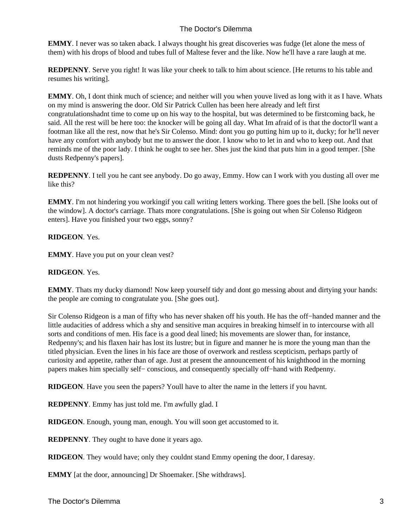**EMMY**. I never was so taken aback. I always thought his great discoveries was fudge (let alone the mess of them) with his drops of blood and tubes full of Maltese fever and the like. Now he'll have a rare laugh at me.

**REDPENNY**. Serve you right! It was like your cheek to talk to him about science. [He returns to his table and resumes his writing].

**EMMY**. Oh, I dont think much of science; and neither will you when youve lived as long with it as I have. Whats on my mind is answering the door. Old Sir Patrick Cullen has been here already and left first congratulations hadnt time to come up on his way to the hospital, but was determined to be first coming back, he said. All the rest will be here too: the knocker will be going all day. What Im afraid of is that the doctor'll want a footman like all the rest, now that he's Sir Colenso. Mind: dont you go putting him up to it, ducky; for he'll never have any comfort with anybody but me to answer the door. I know who to let in and who to keep out. And that reminds me of the poor lady. I think he ought to see her. Shes just the kind that puts him in a good temper. [She dusts Redpenny's papers].

**REDPENNY**. I tell you he cant see anybody. Do go away, Emmy. How can I work with you dusting all over me like this?

**EMMY**. I'm not hindering you working if you call writing letters working. There goes the bell. [She looks out of the window]. A doctor's carriage. Thats more congratulations. [She is going out when Sir Colenso Ridgeon enters]. Have you finished your two eggs, sonny?

#### **RIDGEON**. Yes.

**EMMY**. Have you put on your clean vest?

#### **RIDGEON**. Yes.

**EMMY**. Thats my ducky diamond! Now keep yourself tidy and dont go messing about and dirtying your hands: the people are coming to congratulate you. [She goes out].

Sir Colenso Ridgeon is a man of fifty who has never shaken off his youth. He has the off−handed manner and the little audacities of address which a shy and sensitive man acquires in breaking himself in to intercourse with all sorts and conditions of men. His face is a good deal lined; his movements are slower than, for instance, Redpenny's; and his flaxen hair has lost its lustre; but in figure and manner he is more the young man than the titled physician. Even the lines in his face are those of overwork and restless scepticism, perhaps partly of curiosity and appetite, rather than of age. Just at present the announcement of his knighthood in the morning papers makes him specially self− conscious, and consequently specially off−hand with Redpenny.

**RIDGEON**. Have you seen the papers? Youll have to alter the name in the letters if you havnt.

**REDPENNY**. Emmy has just told me. I'm awfully glad. I

**RIDGEON**. Enough, young man, enough. You will soon get accustomed to it.

**REDPENNY**. They ought to have done it years ago.

**RIDGEON**. They would have; only they couldnt stand Emmy opening the door, I daresay.

**EMMY** [at the door, announcing] Dr Shoemaker. [She withdraws].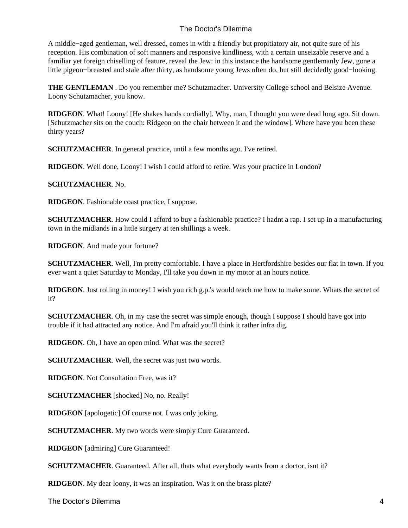A middle−aged gentleman, well dressed, comes in with a friendly but propitiatory air, not quite sure of his reception. His combination of soft manners and responsive kindliness, with a certain unseizable reserve and a familiar yet foreign chiselling of feature, reveal the Jew: in this instance the handsome gentlemanly Jew, gone a little pigeon−breasted and stale after thirty, as handsome young Jews often do, but still decidedly good−looking.

**THE GENTLEMAN** . Do you remember me? Schutzmacher. University College school and Belsize Avenue. Loony Schutzmacher, you know.

**RIDGEON**. What! Loony! [He shakes hands cordially]. Why, man, I thought you were dead long ago. Sit down. [Schutzmacher sits on the couch: Ridgeon on the chair between it and the window]. Where have you been these thirty years?

**SCHUTZMACHER**. In general practice, until a few months ago. I've retired.

**RIDGEON**. Well done, Loony! I wish I could afford to retire. Was your practice in London?

#### **SCHUTZMACHER**. No.

**RIDGEON**. Fashionable coast practice, I suppose.

**SCHUTZMACHER**. How could I afford to buy a fashionable practice? I hadnt a rap. I set up in a manufacturing town in the midlands in a little surgery at ten shillings a week.

**RIDGEON**. And made your fortune?

**SCHUTZMACHER**. Well, I'm pretty comfortable. I have a place in Hertfordshire besides our flat in town. If you ever want a quiet Saturday to Monday, I'll take you down in my motor at an hours notice.

**RIDGEON**. Just rolling in money! I wish you rich g.p.'s would teach me how to make some. Whats the secret of it?

**SCHUTZMACHER.** Oh, in my case the secret was simple enough, though I suppose I should have got into trouble if it had attracted any notice. And I'm afraid you'll think it rather infra dig.

**RIDGEON**. Oh, I have an open mind. What was the secret?

**SCHUTZMACHER**. Well, the secret was just two words.

**RIDGEON**. Not Consultation Free, was it?

**SCHUTZMACHER** [shocked] No, no. Really!

**RIDGEON** [apologetic] Of course not. I was only joking.

**SCHUTZMACHER.** My two words were simply Cure Guaranteed.

**RIDGEON** [admiring] Cure Guaranteed!

**SCHUTZMACHER**. Guaranteed. After all, thats what everybody wants from a doctor, isnt it?

**RIDGEON**. My dear loony, it was an inspiration. Was it on the brass plate?

The Doctor's Dilemma 4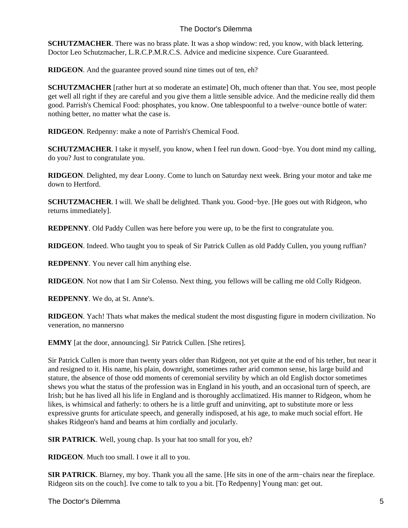**SCHUTZMACHER**. There was no brass plate. It was a shop window: red, you know, with black lettering. Doctor Leo Schutzmacher, L.R.C.P.M.R.C.S. Advice and medicine sixpence. Cure Guaranteed.

**RIDGEON**. And the guarantee proved sound nine times out of ten, eh?

**SCHUTZMACHER** [rather hurt at so moderate an estimate] Oh, much oftener than that. You see, most people get well all right if they are careful and you give them a little sensible advice. And the medicine really did them good. Parrish's Chemical Food: phosphates, you know. One tablespoonful to a twelve−ounce bottle of water: nothing better, no matter what the case is.

**RIDGEON**. Redpenny: make a note of Parrish's Chemical Food.

**SCHUTZMACHER**. I take it myself, you know, when I feel run down. Good−bye. You dont mind my calling, do you? Just to congratulate you.

**RIDGEON**. Delighted, my dear Loony. Come to lunch on Saturday next week. Bring your motor and take me down to Hertford.

**SCHUTZMACHER**. I will. We shall be delighted. Thank you. Good−bye. [He goes out with Ridgeon, who returns immediately].

**REDPENNY**. Old Paddy Cullen was here before you were up, to be the first to congratulate you.

**RIDGEON**. Indeed. Who taught you to speak of Sir Patrick Cullen as old Paddy Cullen, you young ruffian?

**REDPENNY**. You never call him anything else.

**RIDGEON**. Not now that I am Sir Colenso. Next thing, you fellows will be calling me old Colly Ridgeon.

**REDPENNY**. We do, at St. Anne's.

**RIDGEON**. Yach! Thats what makes the medical student the most disgusting figure in modern civilization. No veneration, no manners no

**EMMY** [at the door, announcing]. Sir Patrick Cullen. [She retires].

Sir Patrick Cullen is more than twenty years older than Ridgeon, not yet quite at the end of his tether, but near it and resigned to it. His name, his plain, downright, sometimes rather arid common sense, his large build and stature, the absence of those odd moments of ceremonial servility by which an old English doctor sometimes shews you what the status of the profession was in England in his youth, and an occasional turn of speech, are Irish; but he has lived all his life in England and is thoroughly acclimatized. His manner to Ridgeon, whom he likes, is whimsical and fatherly: to others he is a little gruff and uninviting, apt to substitute more or less expressive grunts for articulate speech, and generally indisposed, at his age, to make much social effort. He shakes Ridgeon's hand and beams at him cordially and jocularly.

**SIR PATRICK**. Well, young chap. Is your hat too small for you, eh?

**RIDGEON**. Much too small. I owe it all to you.

**SIR PATRICK**. Blarney, my boy. Thank you all the same. [He sits in one of the arm−chairs near the fireplace. Ridgeon sits on the couch]. Ive come to talk to you a bit. [To Redpenny] Young man: get out.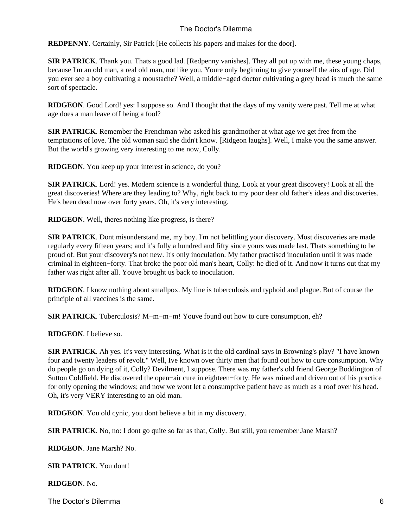**REDPENNY**. Certainly, Sir Patrick [He collects his papers and makes for the door].

**SIR PATRICK**. Thank you. Thats a good lad. [Redpenny vanishes]. They all put up with me, these young chaps, because I'm an old man, a real old man, not like you. Youre only beginning to give yourself the airs of age. Did you ever see a boy cultivating a moustache? Well, a middle−aged doctor cultivating a grey head is much the same sort of spectacle.

**RIDGEON**. Good Lord! yes: I suppose so. And I thought that the days of my vanity were past. Tell me at what age does a man leave off being a fool?

**SIR PATRICK**. Remember the Frenchman who asked his grandmother at what age we get free from the temptations of love. The old woman said she didn't know. [Ridgeon laughs]. Well, I make you the same answer. But the world's growing very interesting to me now, Colly.

**RIDGEON**. You keep up your interest in science, do you?

**SIR PATRICK**. Lord! yes. Modern science is a wonderful thing. Look at your great discovery! Look at all the great discoveries! Where are they leading to? Why, right back to my poor dear old father's ideas and discoveries. He's been dead now over forty years. Oh, it's very interesting.

**RIDGEON**. Well, theres nothing like progress, is there?

**SIR PATRICK**. Dont misunderstand me, my boy. I'm not belittling your discovery. Most discoveries are made regularly every fifteen years; and it's fully a hundred and fifty since yours was made last. Thats something to be proud of. But your discovery's not new. It's only inoculation. My father practised inoculation until it was made criminal in eighteen−forty. That broke the poor old man's heart, Colly: he died of it. And now it turns out that my father was right after all. Youve brought us back to inoculation.

**RIDGEON**. I know nothing about smallpox. My line is tuberculosis and typhoid and plague. But of course the principle of all vaccines is the same.

**SIR PATRICK**. Tuberculosis? M−m−m−m! Youve found out how to cure consumption, eh?

**RIDGEON**. I believe so.

**SIR PATRICK**. Ah yes. It's very interesting. What is it the old cardinal says in Browning's play? "I have known four and twenty leaders of revolt." Well, Ive known over thirty men that found out how to cure consumption. Why do people go on dying of it, Colly? Devilment, I suppose. There was my father's old friend George Boddington of Sutton Coldfield. He discovered the open−air cure in eighteen−forty. He was ruined and driven out of his practice for only opening the windows; and now we wont let a consumptive patient have as much as a roof over his head. Oh, it's very VERY interesting to an old man.

**RIDGEON**. You old cynic, you dont believe a bit in my discovery.

**SIR PATRICK**. No, no: I dont go quite so far as that, Colly. But still, you remember Jane Marsh?

**RIDGEON**. Jane Marsh? No.

**SIR PATRICK**. You dont!

**RIDGEON**. No.

The Doctor's Dilemma 6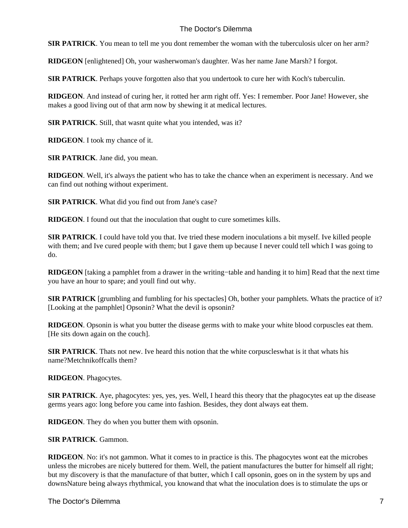**SIR PATRICK**. You mean to tell me you dont remember the woman with the tuberculosis ulcer on her arm?

**RIDGEON** [enlightened] Oh, your washerwoman's daughter. Was her name Jane Marsh? I forgot.

**SIR PATRICK**. Perhaps youve forgotten also that you undertook to cure her with Koch's tuberculin.

**RIDGEON**. And instead of curing her, it rotted her arm right off. Yes: I remember. Poor Jane! However, she makes a good living out of that arm now by shewing it at medical lectures.

**SIR PATRICK**. Still, that wasnt quite what you intended, was it?

**RIDGEON**. I took my chance of it.

**SIR PATRICK**. Jane did, you mean.

**RIDGEON**. Well, it's always the patient who has to take the chance when an experiment is necessary. And we can find out nothing without experiment.

**SIR PATRICK**. What did you find out from Jane's case?

**RIDGEON**. I found out that the inoculation that ought to cure sometimes kills.

**SIR PATRICK**. I could have told you that. Ive tried these modern inoculations a bit myself. Ive killed people with them; and Ive cured people with them; but I gave them up because I never could tell which I was going to do.

**RIDGEON** [taking a pamphlet from a drawer in the writing−table and handing it to him] Read that the next time you have an hour to spare; and youll find out why.

**SIR PATRICK** [grumbling and fumbling for his spectacles] Oh, bother your pamphlets. Whats the practice of it? [Looking at the pamphlet] Opsonin? What the devil is opsonin?

**RIDGEON**. Opsonin is what you butter the disease germs with to make your white blood corpuscles eat them. [He sits down again on the couch].

**SIR PATRICK**. Thats not new. Ive heard this notion that the white corpuscles what is it that whats his name? Metchnikoff calls them?

**RIDGEON**. Phagocytes.

**SIR PATRICK**. Aye, phagocytes: yes, yes, yes. Well, I heard this theory that the phagocytes eat up the disease germs years ago: long before you came into fashion. Besides, they dont always eat them.

**RIDGEON**. They do when you butter them with opsonin.

**SIR PATRICK**. Gammon.

**RIDGEON**. No: it's not gammon. What it comes to in practice is this. The phagocytes wont eat the microbes unless the microbes are nicely buttered for them. Well, the patient manufactures the butter for himself all right; but my discovery is that the manufacture of that butter, which I call opsonin, goes on in the system by ups and downs Nature being always rhythmical, you know and that what the inoculation does is to stimulate the ups or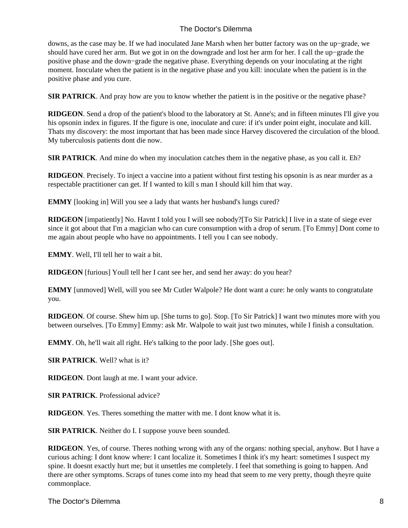downs, as the case may be. If we had inoculated Jane Marsh when her butter factory was on the up−grade, we should have cured her arm. But we got in on the downgrade and lost her arm for her. I call the up−grade the positive phase and the down−grade the negative phase. Everything depends on your inoculating at the right moment. Inoculate when the patient is in the negative phase and you kill: inoculate when the patient is in the positive phase and you cure.

**SIR PATRICK**. And pray how are you to know whether the patient is in the positive or the negative phase?

**RIDGEON**. Send a drop of the patient's blood to the laboratory at St. Anne's; and in fifteen minutes I'll give you his opsonin index in figures. If the figure is one, inoculate and cure: if it's under point eight, inoculate and kill. Thats my discovery: the most important that has been made since Harvey discovered the circulation of the blood. My tuberculosis patients dont die now.

**SIR PATRICK**. And mine do when my inoculation catches them in the negative phase, as you call it. Eh?

**RIDGEON**. Precisely. To inject a vaccine into a patient without first testing his opsonin is as near murder as a respectable practitioner can get. If I wanted to kill s man I should kill him that way.

**EMMY** [looking in] Will you see a lady that wants her husband's lungs cured?

**RIDGEON** [impatiently] No. Havnt I told you I will see nobody?[To Sir Patrick] I live in a state of siege ever since it got about that I'm a magician who can cure consumption with a drop of serum. [To Emmy] Dont come to me again about people who have no appointments. I tell you I can see nobody.

**EMMY**. Well, I'll tell her to wait a bit.

**RIDGEON** [furious] Youll tell her I cant see her, and send her away: do you hear?

**EMMY** [unmoved] Well, will you see Mr Cutler Walpole? He dont want a cure: he only wants to congratulate you.

**RIDGEON**. Of course. Shew him up. [She turns to go]. Stop. [To Sir Patrick] I want two minutes more with you between ourselves. [To Emmy] Emmy: ask Mr. Walpole to wait just two minutes, while I finish a consultation.

**EMMY**. Oh, he'll wait all right. He's talking to the poor lady. [She goes out].

**SIR PATRICK**. Well? what is it?

**RIDGEON**. Dont laugh at me. I want your advice.

**SIR PATRICK**. Professional advice?

**RIDGEON**. Yes. Theres something the matter with me. I dont know what it is.

**SIR PATRICK**. Neither do I. I suppose youve been sounded.

**RIDGEON**. Yes, of course. Theres nothing wrong with any of the organs: nothing special, anyhow. But I have a curious aching: I dont know where: I cant localize it. Sometimes I think it's my heart: sometimes I suspect my spine. It doesnt exactly hurt me; but it unsettles me completely. I feel that something is going to happen. And there are other symptoms. Scraps of tunes come into my head that seem to me very pretty, though theyre quite commonplace.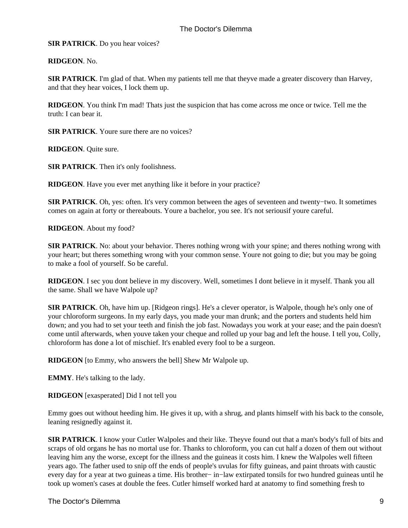**SIR PATRICK**. Do you hear voices?

**RIDGEON**. No.

**SIR PATRICK**. I'm glad of that. When my patients tell me that theyve made a greater discovery than Harvey, and that they hear voices, I lock them up.

**RIDGEON**. You think I'm mad! Thats just the suspicion that has come across me once or twice. Tell me the truth: I can bear it.

**SIR PATRICK**. Youre sure there are no voices?

**RIDGEON**. Quite sure.

**SIR PATRICK**. Then it's only foolishness.

**RIDGEON**. Have you ever met anything like it before in your practice?

**SIR PATRICK**. Oh, yes: often. It's very common between the ages of seventeen and twenty−two. It sometimes comes on again at forty or thereabouts. Youre a bachelor, you see. It's not seriousif youre careful.

**RIDGEON**. About my food?

**SIR PATRICK**. No: about your behavior. Theres nothing wrong with your spine; and theres nothing wrong with your heart; but theres something wrong with your common sense. Youre not going to die; but you may be going to make a fool of yourself. So be careful.

**RIDGEON**. I sec you dont believe in my discovery. Well, sometimes I dont believe in it myself. Thank you all the same. Shall we have Walpole up?

**SIR PATRICK**. Oh, have him up. [Ridgeon rings]. He's a clever operator, is Walpole, though he's only one of your chloroform surgeons. In my early days, you made your man drunk; and the porters and students held him down; and you had to set your teeth and finish the job fast. Nowadays you work at your ease; and the pain doesn't come until afterwards, when youve taken your cheque and rolled up your bag and left the house. I tell you, Colly, chloroform has done a lot of mischief. It's enabled every fool to be a surgeon.

**RIDGEON** [to Emmy, who answers the bell] Shew Mr Walpole up.

**EMMY**. He's talking to the lady.

**RIDGEON** [exasperated] Did I not tell you

Emmy goes out without heeding him. He gives it up, with a shrug, and plants himself with his back to the console, leaning resignedly against it.

**SIR PATRICK**. I know your Cutler Walpoles and their like. Theyve found out that a man's body's full of bits and scraps of old organs he has no mortal use for. Thanks to chloroform, you can cut half a dozen of them out without leaving him any the worse, except for the illness and the guineas it costs him. I knew the Walpoles well fifteen years ago. The father used to snip off the ends of people's uvulas for fifty guineas, and paint throats with caustic every day for a year at two guineas a time. His brother− in−law extirpated tonsils for two hundred guineas until he took up women's cases at double the fees. Cutler himself worked hard at anatomy to find something fresh to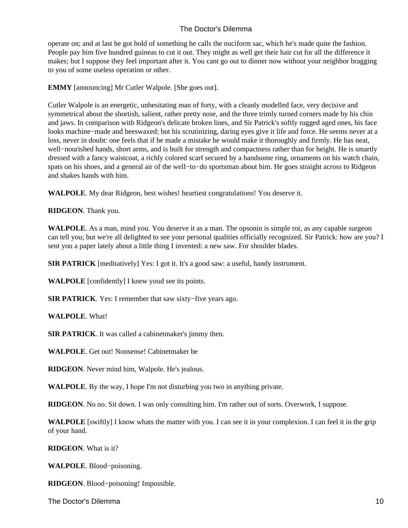operate on; and at last he got hold of something he calls the nuciform sac, which he's made quite the fashion. People pay him five hundred guineas to cut it out. They might as well get their hair cut for all the difference it makes; but I suppose they feel important after it. You cant go out to dinner now without your neighbor bragging to you of some useless operation or other.

**EMMY** [announcing] Mr Cutler Walpole. [She goes out].

Cutler Walpole is an energetic, unhesitating man of forty, with a cleanly modelled face, very decisive and symmetrical about the shortish, salient, rather pretty nose, and the three trimly turned corners made by his chin and jaws. In comparison with Ridgeon's delicate broken lines, and Sir Patrick's softly rugged aged ones, his face looks machine−made and beeswaxed; but his scrutinizing, daring eyes give it life and force. He seems never at a loss, never in doubt: one feels that if he made a mistake he would make it thoroughly and firmly. He has neat, well−nourished hands, short arms, and is built for strength and compactness rather than for height. He is smartly dressed with a fancy waistcoat, a richly colored scarf secured by a handsome ring, ornaments on his watch chain, spats on his shoes, and a general air of the well–to–do sportsman about him. He goes straight across to Ridgeon and shakes hands with him.

**WALPOLE**. My dear Ridgeon, best wishes! heartiest congratulations! You deserve it.

**RIDGEON**. Thank you.

**WALPOLE**. As a man, mind you. You deserve it as a man. The opsonin is simple rot, as any capable surgeon can tell you; but we're all delighted to see your personal qualities officially recognized. Sir Patrick: how are you? I sent you a paper lately about a little thing I invented: a new saw. For shoulder blades.

**SIR PATRICK** [meditatively] Yes: I got it. It's a good saw: a useful, handy instrument.

**WALPOLE** [confidently] I knew youd see its points.

**SIR PATRICK**. Yes: I remember that saw sixty−five years ago.

**WALPOLE**. What!

**SIR PATRICK**. It was called a cabinetmaker's jimmy then.

**WALPOLE**. Get out! Nonsense! Cabinetmaker be

**RIDGEON**. Never mind him, Walpole. He's jealous.

**WALPOLE**. By the way, I hope I'm not disturbing you two in anything private.

**RIDGEON**. No no. Sit down. I was only consulting him. I'm rather out of sorts. Overwork, I suppose.

**WALPOLE** [swiftly] I know whats the matter with you. I can see it in your complexion. I can feel it in the grip of your hand.

**RIDGEON**. What is it?

**WALPOLE**. Blood−poisoning.

**RIDGEON**. Blood−poisoning! Impossible.

The Doctor's Dilemma 10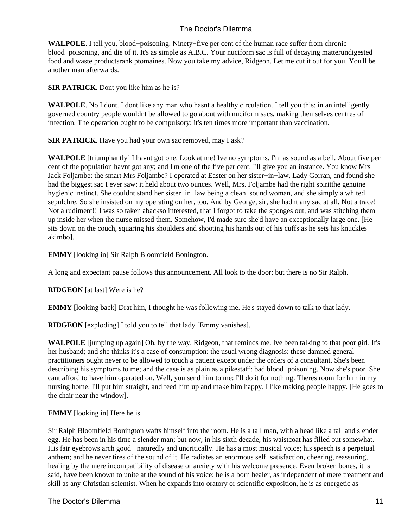**WALPOLE**. I tell you, blood−poisoning. Ninety−five per cent of the human race suffer from chronic blood−poisoning, and die of it. It's as simple as A.B.C. Your nuciform sac is full of decaying matterundigested food and waste products rank ptomaines. Now you take my advice, Ridgeon. Let me cut it out for you. You'll be another man afterwards.

**SIR PATRICK**. Dont you like him as he is?

**WALPOLE**. No I dont. I dont like any man who hasnt a healthy circulation. I tell you this: in an intelligently governed country people wouldnt be allowed to go about with nuciform sacs, making themselves centres of infection. The operation ought to be compulsory: it's ten times more important than vaccination.

**SIR PATRICK**. Have you had your own sac removed, may I ask?

**WALPOLE** [triumphantly] I havnt got one. Look at me! Ive no symptoms. I'm as sound as a bell. About five per cent of the population havnt got any; and I'm one of the five per cent. I'll give you an instance. You know Mrs Jack Foljambe: the smart Mrs Foljambe? I operated at Easter on her sister−in−law, Lady Gorran, and found she had the biggest sac I ever saw: it held about two ounces. Well, Mrs. Foljambe had the right spirit the genuine hygienic instinct. She couldnt stand her sister−in−law being a clean, sound woman, and she simply a whited sepulchre. So she insisted on my operating on her, too. And by George, sir, she hadnt any sac at all. Not a trace! Not a rudiment!! I was so taken aback so interested, that I forgot to take the sponges out, and was stitching them up inside her when the nurse missed them. Somehow, I'd made sure she'd have an exceptionally large one. [He sits down on the couch, squaring his shoulders and shooting his hands out of his cuffs as he sets his knuckles akimbo].

**EMMY** [looking in] Sir Ralph Bloomfield Bonington.

A long and expectant pause follows this announcement. All look to the door; but there is no Sir Ralph.

**RIDGEON** [at last] Were is he?

**EMMY** [looking back] Drat him, I thought he was following me. He's stayed down to talk to that lady.

**RIDGEON** [exploding] I told you to tell that lady [Emmy vanishes].

**WALPOLE** [jumping up again] Oh, by the way, Ridgeon, that reminds me. Ive been talking to that poor girl. It's her husband; and she thinks it's a case of consumption: the usual wrong diagnosis: these damned general practitioners ought never to be allowed to touch a patient except under the orders of a consultant. She's been describing his symptoms to me; and the case is as plain as a pikestaff: bad blood−poisoning. Now she's poor. She cant afford to have him operated on. Well, you send him to me: I'll do it for nothing. Theres room for him in my nursing home. I'll put him straight, and feed him up and make him happy. I like making people happy. [He goes to the chair near the window].

**EMMY** [looking in] Here he is.

Sir Ralph Bloomfield Bonington wafts himself into the room. He is a tall man, with a head like a tall and slender egg. He has been in his time a slender man; but now, in his sixth decade, his waistcoat has filled out somewhat. His fair eyebrows arch good− naturedly and uncritically. He has a most musical voice; his speech is a perpetual anthem; and he never tires of the sound of it. He radiates an enormous self−satisfaction, cheering, reassuring, healing by the mere incompatibility of disease or anxiety with his welcome presence. Even broken bones, it is said, have been known to unite at the sound of his voice: he is a born healer, as independent of mere treatment and skill as any Christian scientist. When he expands into oratory or scientific exposition, he is as energetic as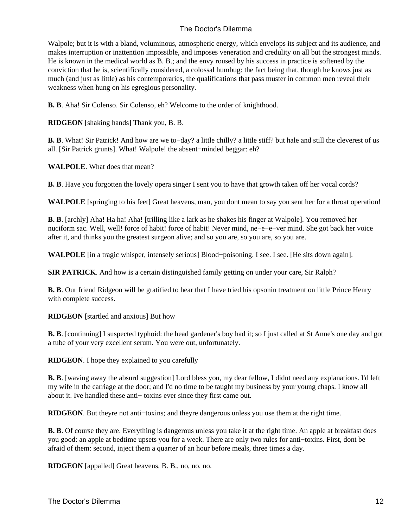Walpole; but it is with a bland, voluminous, atmospheric energy, which envelops its subject and its audience, and makes interruption or inattention impossible, and imposes veneration and credulity on all but the strongest minds. He is known in the medical world as B. B.; and the envy roused by his success in practice is softened by the conviction that he is, scientifically considered, a colossal humbug: the fact being that, though he knows just as much (and just as little) as his contemporaries, the qualifications that pass muster in common men reveal their weakness when hung on his egregious personality.

**B. B**. Aha! Sir Colenso. Sir Colenso, eh? Welcome to the order of knighthood.

**RIDGEON** [shaking hands] Thank you, B. B.

**B. B**. What! Sir Patrick! And how are we to−day? a little chilly? a little stiff? but hale and still the cleverest of us all. [Sir Patrick grunts]. What! Walpole! the absent−minded beggar: eh?

**WALPOLE**. What does that mean?

**B. B**. Have you forgotten the lovely opera singer I sent you to have that growth taken off her vocal cords?

**WALPOLE** [springing to his feet] Great heavens, man, you dont mean to say you sent her for a throat operation!

**B. B**. [archly] Aha! Ha ha! Aha! [trilling like a lark as he shakes his finger at Walpole]. You removed her nuciform sac. Well, well! force of habit! force of habit! Never mind, ne−e−e−ver mind. She got back her voice after it, and thinks you the greatest surgeon alive; and so you are, so you are, so you are.

**WALPOLE** [in a tragic whisper, intensely serious] Blood−poisoning. I see. I see. [He sits down again].

**SIR PATRICK**. And how is a certain distinguished family getting on under your care, Sir Ralph?

**B. B**. Our friend Ridgeon will be gratified to hear that I have tried his opsonin treatment on little Prince Henry with complete success.

**RIDGEON** [startled and anxious] But how

**B. B**. [continuing] I suspected typhoid: the head gardener's boy had it; so I just called at St Anne's one day and got a tube of your very excellent serum. You were out, unfortunately.

**RIDGEON**. I hope they explained to you carefully

**B. B.** [waving away the absurd suggestion] Lord bless you, my dear fellow, I didnt need any explanations. I'd left my wife in the carriage at the door; and I'd no time to be taught my business by your young chaps. I know all about it. Ive handled these anti− toxins ever since they first came out.

**RIDGEON**. But theyre not anti−toxins; and theyre dangerous unless you use them at the right time.

**B. B**. Of course they are. Everything is dangerous unless you take it at the right time. An apple at breakfast does you good: an apple at bedtime upsets you for a week. There are only two rules for anti−toxins. First, dont be afraid of them: second, inject them a quarter of an hour before meals, three times a day.

**RIDGEON** [appalled] Great heavens, B. B., no, no, no.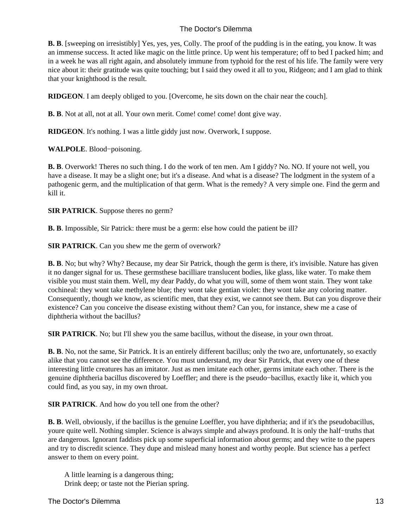**B. B**. [sweeping on irresistibly] Yes, yes, yes, Colly. The proof of the pudding is in the eating, you know. It was an immense success. It acted like magic on the little prince. Up went his temperature; off to bed I packed him; and in a week he was all right again, and absolutely immune from typhoid for the rest of his life. The family were very nice about it: their gratitude was quite touching; but I said they owed it all to you, Ridgeon; and I am glad to think that your knighthood is the result.

**RIDGEON**. I am deeply obliged to you. [Overcome, he sits down on the chair near the couch].

**B. B**. Not at all, not at all. Your own merit. Come! come! come! dont give way.

**RIDGEON**. It's nothing. I was a little giddy just now. Overwork, I suppose.

**WALPOLE**. Blood−poisoning.

**B. B**. Overwork! Theres no such thing. I do the work of ten men. Am I giddy? No. NO. If youre not well, you have a disease. It may be a slight one; but it's a disease. And what is a disease? The lodgment in the system of a pathogenic germ, and the multiplication of that germ. What is the remedy? A very simple one. Find the germ and kill it.

**SIR PATRICK**. Suppose theres no germ?

**B. B**. Impossible, Sir Patrick: there must be a germ: else how could the patient be ill?

**SIR PATRICK**. Can you shew me the germ of overwork?

**B. B**. No; but why? Why? Because, my dear Sir Patrick, though the germ is there, it's invisible. Nature has given it no danger signal for us. These germs these bacilli are translucent bodies, like glass, like water. To make them visible you must stain them. Well, my dear Paddy, do what you will, some of them wont stain. They wont take cochineal: they wont take methylene blue; they wont take gentian violet: they wont take any coloring matter. Consequently, though we know, as scientific men, that they exist, we cannot see them. But can you disprove their existence? Can you conceive the disease existing without them? Can you, for instance, shew me a case of diphtheria without the bacillus?

**SIR PATRICK**. No; but I'll shew you the same bacillus, without the disease, in your own throat.

**B. B**. No, not the same, Sir Patrick. It is an entirely different bacillus; only the two are, unfortunately, so exactly alike that you cannot see the difference. You must understand, my dear Sir Patrick, that every one of these interesting little creatures has an imitator. Just as men imitate each other, germs imitate each other. There is the genuine diphtheria bacillus discovered by Loeffler; and there is the pseudo−bacillus, exactly like it, which you could find, as you say, in my own throat.

**SIR PATRICK**. And how do you tell one from the other?

**B. B**. Well, obviously, if the bacillus is the genuine Loeffler, you have diphtheria; and if it's the pseudobacillus, youre quite well. Nothing simpler. Science is always simple and always profound. It is only the half−truths that are dangerous. Ignorant faddists pick up some superficial information about germs; and they write to the papers and try to discredit science. They dupe and mislead many honest and worthy people. But science has a perfect answer to them on every point.

 A little learning is a dangerous thing; Drink deep; or taste not the Pierian spring.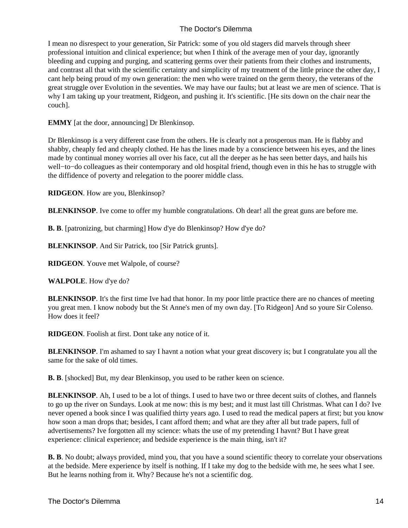I mean no disrespect to your generation, Sir Patrick: some of you old stagers did marvels through sheer professional intuition and clinical experience; but when I think of the average men of your day, ignorantly bleeding and cupping and purging, and scattering germs over their patients from their clothes and instruments, and contrast all that with the scientific certainty and simplicity of my treatment of the little prince the other day, I cant help being proud of my own generation: the men who were trained on the germ theory, the veterans of the great struggle over Evolution in the seventies. We may have our faults; but at least we are men of science. That is why I am taking up your treatment, Ridgeon, and pushing it. It's scientific. [He sits down on the chair near the couch].

**EMMY** [at the door, announcing] Dr Blenkinsop.

Dr Blenkinsop is a very different case from the others. He is clearly not a prosperous man. He is flabby and shabby, cheaply fed and cheaply clothed. He has the lines made by a conscience between his eyes, and the lines made by continual money worries all over his face, cut all the deeper as he has seen better days, and hails his well−to−do colleagues as their contemporary and old hospital friend, though even in this he has to struggle with the diffidence of poverty and relegation to the poorer middle class.

**RIDGEON**. How are you, Blenkinsop?

**BLENKINSOP**. Ive come to offer my humble congratulations. Oh dear! all the great guns are before me.

**B. B**. [patronizing, but charming] How d'ye do Blenkinsop? How d'ye do?

**BLENKINSOP**. And Sir Patrick, too [Sir Patrick grunts].

**RIDGEON**. Youve met Walpole, of course?

**WALPOLE**. How d'ye do?

**BLENKINSOP**. It's the first time Ive had that honor. In my poor little practice there are no chances of meeting you great men. I know nobody but the St Anne's men of my own day. [To Ridgeon] And so youre Sir Colenso. How does it feel?

**RIDGEON**. Foolish at first. Dont take any notice of it.

**BLENKINSOP**. I'm ashamed to say I havnt a notion what your great discovery is; but I congratulate you all the same for the sake of old times.

**B. B.** [shocked] But, my dear Blenkinsop, you used to be rather keen on science.

**BLENKINSOP**. Ah, I used to be a lot of things. I used to have two or three decent suits of clothes, and flannels to go up the river on Sundays. Look at me now: this is my best; and it must last till Christmas. What can I do? Ive never opened a book since I was qualified thirty years ago. I used to read the medical papers at first; but you know how soon a man drops that; besides, I cant afford them; and what are they after all but trade papers, full of advertisements? Ive forgotten all my science: whats the use of my pretending I havnt? But I have great experience: clinical experience; and bedside experience is the main thing, isn't it?

**B. B**. No doubt; always provided, mind you, that you have a sound scientific theory to correlate your observations at the bedside. Mere experience by itself is nothing. If I take my dog to the bedside with me, he sees what I see. But he learns nothing from it. Why? Because he's not a scientific dog.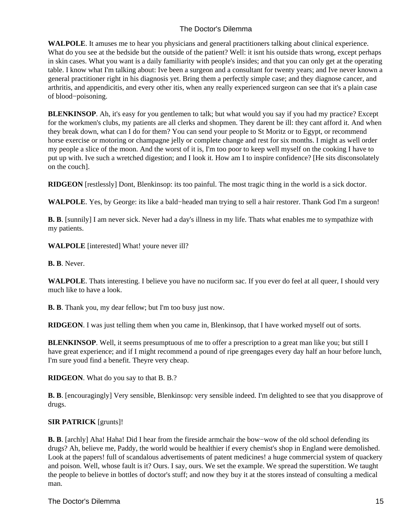**WALPOLE**. It amuses me to hear you physicians and general practitioners talking about clinical experience. What do you see at the bedside but the outside of the patient? Well: it isnt his outside thats wrong, except perhaps in skin cases. What you want is a daily familiarity with people's insides; and that you can only get at the operating table. I know what I'm talking about: Ive been a surgeon and a consultant for twenty years; and Ive never known a general practitioner right in his diagnosis yet. Bring them a perfectly simple case; and they diagnose cancer, and arthritis, and appendicitis, and every other itis, when any really experienced surgeon can see that it's a plain case of blood−poisoning.

**BLENKINSOP**. Ah, it's easy for you gentlemen to talk; but what would you say if you had my practice? Except for the workmen's clubs, my patients are all clerks and shopmen. They darent be ill: they cant afford it. And when they break down, what can I do for them? You can send your people to St Moritz or to Egypt, or recommend horse exercise or motoring or champagne jelly or complete change and rest for six months. I might as well order my people a slice of the moon. And the worst of it is, I'm too poor to keep well myself on the cooking I have to put up with. Ive such a wretched digestion; and I look it. How am I to inspire confidence? [He sits disconsolately on the couch].

**RIDGEON** [restlessly] Dont, Blenkinsop: its too painful. The most tragic thing in the world is a sick doctor.

**WALPOLE**. Yes, by George: its like a bald−headed man trying to sell a hair restorer. Thank God I'm a surgeon!

**B. B**. [sunnily] I am never sick. Never had a day's illness in my life. Thats what enables me to sympathize with my patients.

**WALPOLE** [interested] What! youre never ill?

**B. B**. Never.

**WALPOLE**. Thats interesting. I believe you have no nuciform sac. If you ever do feel at all queer, I should very much like to have a look.

**B. B**. Thank you, my dear fellow; but I'm too busy just now.

**RIDGEON**. I was just telling them when you came in, Blenkinsop, that I have worked myself out of sorts.

**BLENKINSOP**. Well, it seems presumptuous of me to offer a prescription to a great man like you; but still I have great experience; and if I might recommend a pound of ripe greengages every day half an hour before lunch, I'm sure youd find a benefit. Theyre very cheap.

**RIDGEON**. What do you say to that B. B.?

**B. B**. [encouragingly] Very sensible, Blenkinsop: very sensible indeed. I'm delighted to see that you disapprove of drugs.

#### **SIR PATRICK** [grunts]!

**B. B**. [archly] Aha! Haha! Did I hear from the fireside armchair the bow−wow of the old school defending its drugs? Ah, believe me, Paddy, the world would be healthier if every chemist's shop in England were demolished. Look at the papers! full of scandalous advertisements of patent medicines! a huge commercial system of quackery and poison. Well, whose fault is it? Ours. I say, ours. We set the example. We spread the superstition. We taught the people to believe in bottles of doctor's stuff; and now they buy it at the stores instead of consulting a medical man.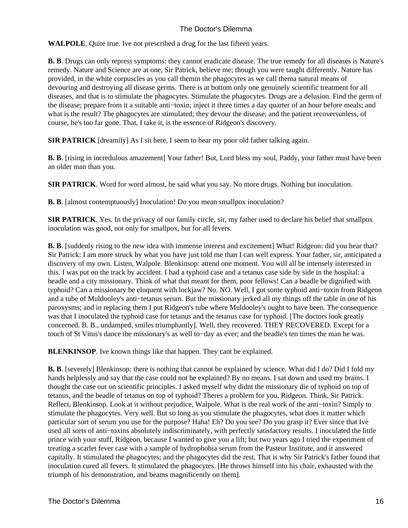**WALPOLE**. Quite true. Ive not prescribed a drug for the last fifteen years.

**B. B**. Drugs can only repress symptoms: they cannot eradicate disease. The true remedy for all diseases is Nature's remedy. Nature and Science are at one, Sir Patrick, believe me; though you were taught differently. Nature has provided, in the white corpuscles as you call themin the phagocytes as we call thema natural means of devouring and destroying all disease germs. There is at bottom only one genuinely scientific treatment for all diseases, and that is to stimulate the phagocytes. Stimulate the phagocytes. Drugs are a delusion. Find the germ of the disease; prepare from it a suitable anti−toxin; inject it three times a day quarter of an hour before meals; and what is the result? The phagocytes are stimulated; they devour the disease; and the patient recovers unless, of course, he's too far gone. That, I take it, is the essence of Ridgeon's discovery.

**SIR PATRICK** [dreamily] As I sit here, I seem to hear my poor old father talking again.

**B. B.** [rising in incredulous amazement] Your father! But, Lord bless my soul, Paddy, your father must have been an older man than you.

**SIR PATRICK**. Word for word almost, he said what you say. No more drugs. Nothing but inoculation.

**B. B.** [almost contemptuously] Inoculation! Do you mean smallpox inoculation?

**SIR PATRICK**. Yes. In the privacy of our family circle, sir, my father used to declare his belief that smallpox inoculation was good, not only for smallpox, but for all fevers.

**B. B.** [suddenly rising to the new idea with immense interest and excitement] What! Ridgeon: did you hear that? Sir Patrick: I am more struck by what you have just told me than I can well express. Your father, sir, anticipated a discovery of my own. Listen, Walpole. Blenkinsop: attend one moment. You will all be intensely interested in this. I was put on the track by accident. I had a typhoid case and a tetanus case side by side in the hospital: a beadle and a city missionary. Think of what that meant for them, poor fellows! Can a beadle be dignified with typhoid? Can a missionary be eloquent with lockjaw? No. NO. Well, I got some typhoid anti−toxin from Ridgeon and a tube of Muldooley's anti−tetanus serum. But the missionary jerked all my things off the table in one of his paroxysms; and in replacing them I put Ridgeon's tube where Muldooley's ought to have been. The consequence was that I inoculated the typhoid case for tetanus and the tetanus case for typhoid. [The doctors look greatly concerned. B. B., undamped, smiles triumphantly]. Well, they recovered. THEY RECOVERED. Except for a touch of St Vitus's dance the missionary's as well to−day as ever; and the beadle's ten times the man he was.

**BLENKINSOP**. Ive known things like that happen. They cant be explained.

**B. B**. [severely] Blenkinsop: there is nothing that cannot be explained by science. What did I do? Did I fold my hands helplessly and say that the case could not be explained? By no means. I sat down and used my brains. I thought the case out on scientific principles. I asked myself why didnt the missionary die of typhoid on top of tetanus, and the beadle of tetanus on top of typhoid? Theres a problem for you, Ridgeon. Think, Sir Patrick. Reflect, Blenkinsop. Look at it without prejudice, Walpole. What is the real work of the anti−toxin? Simply to stimulate the phagocytes. Very well. But so long as you stimulate the phagocytes, what does it matter which particular sort of serum you use for the purpose? Haha! Eh? Do you see? Do you grasp it? Ever since that Ive used all sorts of anti−toxins absolutely indiscriminately, with perfectly satisfactory results. I inoculated the little prince with your stuff, Ridgeon, because I wanted to give you a lift; but two years ago I tried the experiment of treating a scarlet fever case with a sample of hydrophobia serum from the Pasteur Institute, and it answered capitally. It stimulated the phagocytes; and the phagocytes did the rest. That is why Sir Patrick's father found that inoculation cured all fevers. It stimulated the phagocytes. [He throws himself into his chair, exhausted with the triumph of his demonstration, and beams magnificently on them].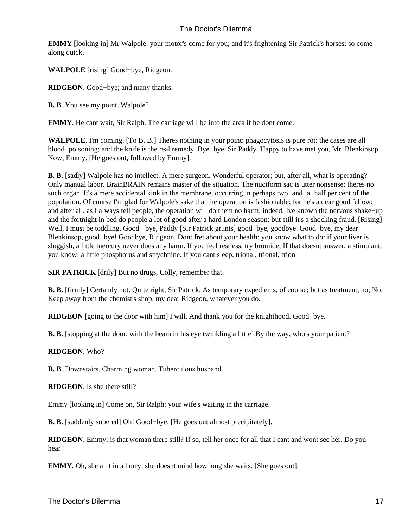**EMMY** [looking in] Mr Walpole: your motor's come for you; and it's frightening Sir Patrick's horses; so come along quick.

**WALPOLE** [rising] Good−bye, Ridgeon.

**RIDGEON**. Good−bye; and many thanks.

**B. B**. You see my point, Walpole?

**EMMY**. He cant wait, Sir Ralph. The carriage will be into the area if he dont come.

**WALPOLE**. I'm coming. [To B. B.] Theres nothing in your point: phagocytosis is pure rot: the cases are all blood−poisoning; and the knife is the real remedy. Bye−bye, Sir Paddy. Happy to have met you, Mr. Blenkinsop. Now, Emmy. [He goes out, followed by Emmy].

**B. B.** [sadly] Walpole has no intellect. A mere surgeon. Wonderful operator; but, after all, what is operating? Only manual labor. BrainBRAIN remains master of the situation. The nuciform sac is utter nonsense: theres no such organ. It's a mere accidental kink in the membrane, occurring in perhaps two−and−a−half per cent of the population. Of course I'm glad for Walpole's sake that the operation is fashionable; for he's a dear good fellow; and after all, as I always tell people, the operation will do them no harm: indeed, Ive known the nervous shake−up and the fortnight in bed do people a lot of good after a hard London season; but still it's a shocking fraud. [Rising] Well, I must be toddling. Good− bye, Paddy [Sir Patrick grunts] good−bye, goodbye. Good−bye, my dear Blenkinsop, good−bye! Goodbye, Ridgeon. Dont fret about your health: you know what to do: if your liver is sluggish, a little mercury never does any harm. If you feel restless, try bromide, If that doesnt answer, a stimulant, you know: a little phosphorus and strychnine. If you cant sleep, trional, trional, trion

**SIR PATRICK** [drily] But no drugs, Colly, remember that.

**B. B**. [firmly] Certainly not. Quite right, Sir Patrick. As temporary expedients, of course; but as treatment, no, No. Keep away from the chemist's shop, my dear Ridgeon, whatever you do.

**RIDGEON** [going to the door with him] I will. And thank you for the knighthood. Good−bye.

**B. B.** [stopping at the door, with the beam in his eye twinkling a little] By the way, who's your patient?

#### **RIDGEON**. Who?

**B. B**. Downstairs. Charming woman. Tuberculous husband.

**RIDGEON**. Is she there still?

Emmy [looking in] Come on, Sir Ralph: your wife's waiting in the carriage.

**B. B**. [suddenly sobered] Oh! Good−bye. [He goes out almost precipitately].

**RIDGEON**. Emmy: is that woman there still? If so, tell her once for all that I cant and wont see her. Do you hear?

**EMMY**. Oh, she aint in a hurry: she doesnt mind how long she waits. [She goes out].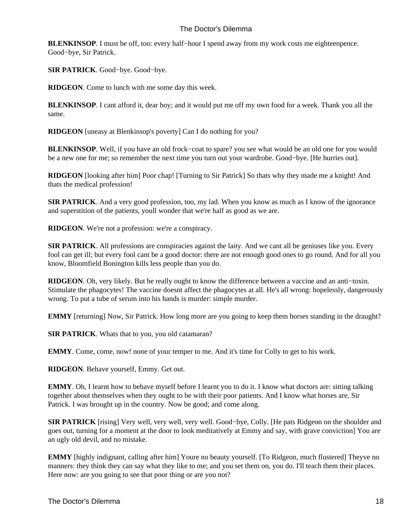**BLENKINSOP**. I must be off, too: every half−hour I spend away from my work costs me eighteenpence. Good−bye, Sir Patrick.

**SIR PATRICK**. Good−bye. Good−bye.

**RIDGEON**. Come to lunch with me some day this week.

**BLENKINSOP**. I cant afford it, dear boy; and it would put me off my own food for a week. Thank you all the same.

**RIDGEON** [uneasy at Blenkinsop's poverty] Can I do nothing for you?

**BLENKINSOP**. Well, if you have an old frock–coat to spare? you see what would be an old one for you would be a new one for me; so remember the next time you turn out your wardrobe. Good−bye. [He hurries out].

**RIDGEON** [looking after him] Poor chap! [Turning to Sir Patrick] So thats why they made me a knight! And thats the medical profession!

**SIR PATRICK**. And a very good profession, too, my lad. When you know as much as I know of the ignorance and superstition of the patients, youll wonder that we're half as good as we are.

**RIDGEON**. We're not a profession: we're a conspiracy.

**SIR PATRICK**. All professions are conspiracies against the laity. And we cant all be geniuses like you. Every fool can get ill; but every fool cant be a good doctor: there are not enough good ones to go round. And for all you know, Bloomfield Bonington kills less people than you do.

**RIDGEON**. Oh, very likely. But he really ought to know the difference between a vaccine and an anti−toxin. Stimulate the phagocytes! The vaccine doesnt affect the phagocytes at all. He's all wrong: hopelessly, dangerously wrong. To put a tube of serum into his hands is murder: simple murder.

**EMMY** [returning] Now, Sir Patrick. How long more are you going to keep them horses standing in the draught?

**SIR PATRICK**. Whats that to you, you old catamaran?

**EMMY**. Come, come, now! none of your temper to me. And it's time for Colly to get to his work.

**RIDGEON**. Behave yourself, Emmy. Get out.

**EMMY**. Oh, I learnt how to behave myself before I learnt you to do it. I know what doctors are: sitting talking together about themselves when they ought to be with their poor patients. And I know what horses are, Sir Patrick. I was brought up in the country. Now be good; and come along.

**SIR PATRICK** [rising] Very well, very well, very well. Good−bye, Colly. [He pats Ridgeon on the shoulder and goes out, turning for a moment at the door to look meditatively at Emmy and say, with grave conviction] You are an ugly old devil, and no mistake.

**EMMY** [highly indignant, calling after him] Youre no beauty yourself. [To Ridgeon, much flustered] Theyve no manners: they think they can say what they like to me; and you set them on, you do. I'll teach them their places. Here now: are you going to see that poor thing or are you not?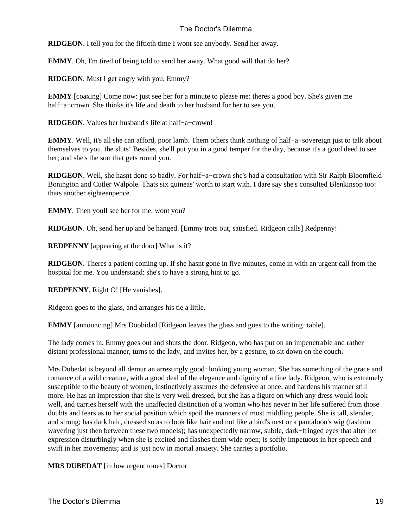**RIDGEON**. I tell you for the fiftieth time I wont see anybody. Send her away.

**EMMY**. Oh, I'm tired of being told to send her away. What good will that do her?

**RIDGEON**. Must I get angry with you, Emmy?

**EMMY** [coaxing] Come now: just see her for a minute to please me: theres a good boy. She's given me half−a−crown. She thinks it's life and death to her husband for her to see you.

**RIDGEON**. Values her husband's life at half−a−crown!

**EMMY**. Well, it's all she can afford, poor lamb. Them others think nothing of half−a−sovereign just to talk about themselves to you, the sluts! Besides, she'll put you in a good temper for the day, because it's a good deed to see her; and she's the sort that gets round you.

**RIDGEON**. Well, she hasnt done so badly. For half−a−crown she's had a consultation with Sir Ralph Bloomfield Bonington and Cutler Walpole. Thats six guineas' worth to start with. I dare say she's consulted Blenkinsop too: thats another eighteenpence.

**EMMY**. Then youll see her for me, wont you?

**RIDGEON**. Oh, send her up and be hanged. [Emmy trots out, satisfied. Ridgeon calls] Redpenny!

**REDPENNY** [appearing at the door] What is it?

**RIDGEON**. Theres a patient coming up. If she hasnt gone in five minutes, come in with an urgent call from the hospital for me. You understand: she's to have a strong hint to go.

**REDPENNY**. Right O! [He vanishes].

Ridgeon goes to the glass, and arranges his tie a little.

**EMMY** [announcing] Mrs Doobidad [Ridgeon leaves the glass and goes to the writing−table].

The lady comes in. Emmy goes out and shuts the door. Ridgeon, who has put on an impenetrable and rather distant professional manner, turns to the lady, and invites her, by a gesture, to sit down on the couch.

Mrs Dubedat is beyond all demur an arrestingly good−looking young woman. She has something of the grace and romance of a wild creature, with a good deal of the elegance and dignity of a fine lady. Ridgeon, who is extremely susceptible to the beauty of women, instinctively assumes the defensive at once, and hardens his manner still more. He has an impression that she is very well dressed, but she has a figure on which any dress would look well, and carries herself with the unaffected distinction of a woman who has never in her life suffered from those doubts and fears as to her social position which spoil the manners of most middling people. She is tall, slender, and strong; has dark hair, dressed so as to look like hair and not like a bird's nest or a pantaloon's wig (fashion wavering just then between these two models); has unexpectedly narrow, subtle, dark−fringed eyes that alter her expression disturbingly when she is excited and flashes them wide open; is softly impetuous in her speech and swift in her movements; and is just now in mortal anxiety. She carries a portfolio.

**MRS DUBEDAT** [in low urgent tones] Doctor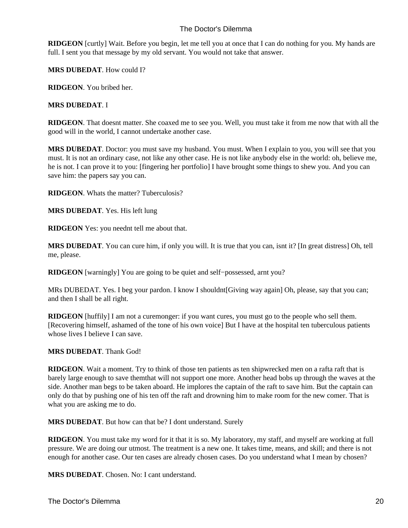**RIDGEON** [curtly] Wait. Before you begin, let me tell you at once that I can do nothing for you. My hands are full. I sent you that message by my old servant. You would not take that answer.

**MRS DUBEDAT**. How could I?

**RIDGEON**. You bribed her.

#### **MRS DUBEDAT**. I

**RIDGEON**. That doesnt matter. She coaxed me to see you. Well, you must take it from me now that with all the good will in the world, I cannot undertake another case.

**MRS DUBEDAT**. Doctor: you must save my husband. You must. When I explain to you, you will see that you must. It is not an ordinary case, not like any other case. He is not like anybody else in the world: oh, believe me, he is not. I can prove it to you: [fingering her portfolio] I have brought some things to shew you. And you can save him: the papers say you can.

**RIDGEON**. Whats the matter? Tuberculosis?

**MRS DUBEDAT**. Yes. His left lung

**RIDGEON** Yes: you neednt tell me about that.

**MRS DUBEDAT**. You can cure him, if only you will. It is true that you can, isnt it? [In great distress] Oh, tell me, please.

**RIDGEON** [warningly] You are going to be quiet and self−possessed, arnt you?

MRs DUBEDAT. Yes. I beg your pardon. I know I shouldnt [Giving way again] Oh, please, say that you can; and then I shall be all right.

**RIDGEON** [huffily] I am not a curemonger: if you want cures, you must go to the people who sell them. [Recovering himself, ashamed of the tone of his own voice] But I have at the hospital ten tuberculous patients whose lives I believe I can save.

#### **MRS DUBEDAT**. Thank God!

**RIDGEON**. Wait a moment. Try to think of those ten patients as ten shipwrecked men on a raft a raft that is barely large enough to save them that will not support one more. Another head bobs up through the waves at the side. Another man begs to be taken aboard. He implores the captain of the raft to save him. But the captain can only do that by pushing one of his ten off the raft and drowning him to make room for the new comer. That is what you are asking me to do.

**MRS DUBEDAT**. But how can that be? I dont understand. Surely

**RIDGEON**. You must take my word for it that it is so. My laboratory, my staff, and myself are working at full pressure. We are doing our utmost. The treatment is a new one. It takes time, means, and skill; and there is not enough for another case. Our ten cases are already chosen cases. Do you understand what I mean by chosen?

**MRS DUBEDAT**. Chosen. No: I cant understand.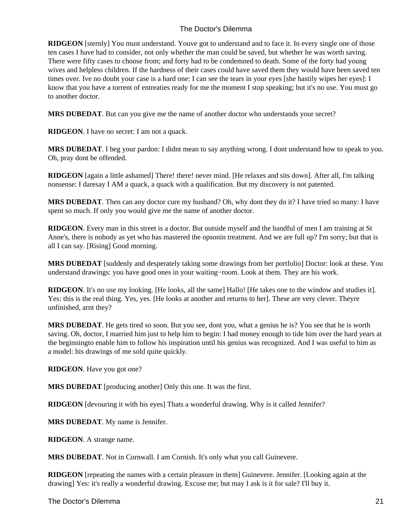**RIDGEON** [sternly] You must understand. Youve got to understand and to face it. In every single one of those ten cases I have had to consider, not only whether the man could be saved, but whether he was worth saving. There were fifty cases to choose from; and forty had to be condemned to death. Some of the forty had young wives and helpless children. If the hardness of their cases could have saved them they would have been saved ten times over. Ive no doubt your case is a hard one: I can see the tears in your eyes [she hastily wipes her eyes]: I know that you have a torrent of entreaties ready for me the moment I stop speaking; but it's no use. You must go to another doctor.

**MRS DUBEDAT**. But can you give me the name of another doctor who understands your secret?

**RIDGEON**. I have no secret: I am not a quack.

**MRS DUBEDAT**. I beg your pardon: I didnt mean to say anything wrong. I dont understand how to speak to you. Oh, pray dont be offended.

**RIDGEON** [again a little ashamed] There! there! never mind. [He relaxes and sits down]. After all, I'm talking nonsense: I daresay I AM a quack, a quack with a qualification. But my discovery is not patented.

**MRS DUBEDAT**. Then can any doctor cure my husband? Oh, why dont they do it? I have tried so many: I have spent so much. If only you would give me the name of another doctor.

**RIDGEON**. Every man in this street is a doctor. But outside myself and the handful of men I am training at St Anne's, there is nobody as yet who has mastered the opsonin treatment. And we are full up? I'm sorry; but that is all I can say. [Rising] Good morning.

**MRS DUBEDAT** [suddenly and desperately taking some drawings from her portfolio] Doctor: look at these. You understand drawings: you have good ones in your waiting−room. Look at them. They are his work.

**RIDGEON**. It's no use my looking. [He looks, all the same] Hallo! [He takes one to the window and studies it]. Yes: this is the real thing. Yes, yes. [He looks at another and returns to her]. These are very clever. Theyre unfinished, arnt they?

**MRS DUBEDAT**. He gets tired so soon. But you see, dont you, what a genius he is? You see that he is worth saving. Oh, doctor, I married him just to help him to begin: I had money enough to tide him over the hard years at the beginning to enable him to follow his inspiration until his genius was recognized. And I was useful to him as a model: his drawings of me sold quite quickly.

**RIDGEON**. Have you got one?

**MRS DUBEDAT** [producing another] Only this one. It was the first.

**RIDGEON** [devouring it with his eyes] Thats a wonderful drawing. Why is it called Jennifer?

**MRS DUBEDAT**. My name is Jennifer.

**RIDGEON**. A strange name.

**MRS DUBEDAT**. Not in Cornwall. I am Cornish. It's only what you call Guinevere.

**RIDGEON** [repeating the names with a certain pleasure in them] Guinevere. Jennifer. [Looking again at the drawing] Yes: it's really a wonderful drawing. Excuse me; but may I ask is it for sale? I'll buy it.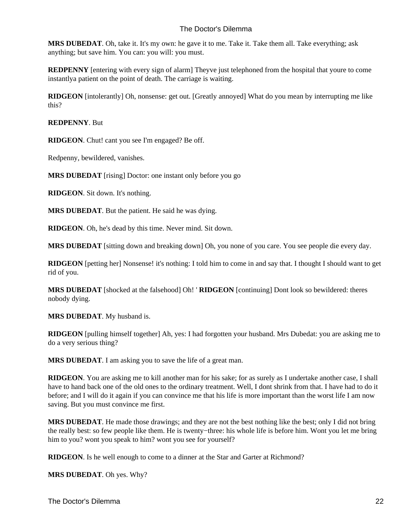**MRS DUBEDAT**. Oh, take it. It's my own: he gave it to me. Take it. Take them all. Take everything; ask anything; but save him. You can: you will: you must.

**REDPENNY** [entering with every sign of alarm] Theyve just telephoned from the hospital that youre to come instantly a patient on the point of death. The carriage is waiting.

**RIDGEON** [intolerantly] Oh, nonsense: get out. [Greatly annoyed] What do you mean by interrupting me like this?

#### **REDPENNY**. But

**RIDGEON**. Chut! cant you see I'm engaged? Be off.

Redpenny, bewildered, vanishes.

**MRS DUBEDAT** [rising] Doctor: one instant only before you go

**RIDGEON**. Sit down. It's nothing.

**MRS DUBEDAT**. But the patient. He said he was dying.

**RIDGEON**. Oh, he's dead by this time. Never mind. Sit down.

**MRS DUBEDAT** [sitting down and breaking down] Oh, you none of you care. You see people die every day.

**RIDGEON** [petting her] Nonsense! it's nothing: I told him to come in and say that. I thought I should want to get rid of you.

**MRS DUBEDAT** [shocked at the falsehood] Oh! ' **RIDGEON** [continuing] Dont look so bewildered: theres nobody dying.

**MRS DUBEDAT**. My husband is.

**RIDGEON** [pulling himself together] Ah, yes: I had forgotten your husband. Mrs Dubedat: you are asking me to do a very serious thing?

**MRS DUBEDAT**. I am asking you to save the life of a great man.

**RIDGEON**. You are asking me to kill another man for his sake; for as surely as I undertake another case, I shall have to hand back one of the old ones to the ordinary treatment. Well, I dont shrink from that. I have had to do it before; and I will do it again if you can convince me that his life is more important than the worst life I am now saving. But you must convince me first.

**MRS DUBEDAT**. He made those drawings; and they are not the best nothing like the best; only I did not bring the really best: so few people like them. He is twenty−three: his whole life is before him. Wont you let me bring him to you? wont you speak to him? wont you see for yourself?

**RIDGEON**. Is he well enough to come to a dinner at the Star and Garter at Richmond?

**MRS DUBEDAT**. Oh yes. Why?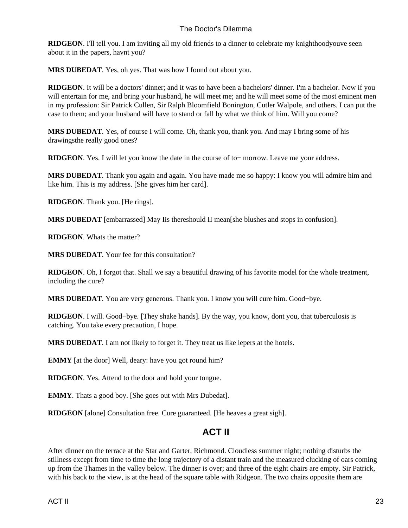**RIDGEON**. I'll tell you. I am inviting all my old friends to a dinner to celebrate my knighthood youve seen about it in the papers, havnt you?

**MRS DUBEDAT**. Yes, oh yes. That was how I found out about you.

**RIDGEON**. It will be a doctors' dinner; and it was to have been a bachelors' dinner. I'm a bachelor. Now if you will entertain for me, and bring your husband, he will meet me; and he will meet some of the most eminent men in my profession: Sir Patrick Cullen, Sir Ralph Bloomfield Bonington, Cutler Walpole, and others. I can put the case to them; and your husband will have to stand or fall by what we think of him. Will you come?

**MRS DUBEDAT**. Yes, of course I will come. Oh, thank you, thank you. And may I bring some of his drawings the really good ones?

**RIDGEON**. Yes. I will let you know the date in the course of to− morrow. Leave me your address.

**MRS DUBEDAT**. Thank you again and again. You have made me so happy: I know you will admire him and like him. This is my address. [She gives him her card].

**RIDGEON**. Thank you. [He rings].

**MRS DUBEDAT** [embarrassed] May I is there should I I mean [she blushes and stops in confusion].

**RIDGEON**. Whats the matter?

**MRS DUBEDAT**. Your fee for this consultation?

**RIDGEON**. Oh, I forgot that. Shall we say a beautiful drawing of his favorite model for the whole treatment, including the cure?

**MRS DUBEDAT**. You are very generous. Thank you. I know you will cure him. Good−bye.

**RIDGEON**. I will. Good−bye. [They shake hands]. By the way, you know, dont you, that tuberculosis is catching. You take every precaution, I hope.

**MRS DUBEDAT**. I am not likely to forget it. They treat us like lepers at the hotels.

**EMMY** [at the door] Well, deary: have you got round him?

**RIDGEON**. Yes. Attend to the door and hold your tongue.

**EMMY**. Thats a good boy. [She goes out with Mrs Dubedat].

<span id="page-24-0"></span>**RIDGEON** [alone] Consultation free. Cure guaranteed. [He heaves a great sigh].

# **ACT II**

After dinner on the terrace at the Star and Garter, Richmond. Cloudless summer night; nothing disturbs the stillness except from time to time the long trajectory of a distant train and the measured clucking of oars coming up from the Thames in the valley below. The dinner is over; and three of the eight chairs are empty. Sir Patrick, with his back to the view, is at the head of the square table with Ridgeon. The two chairs opposite them are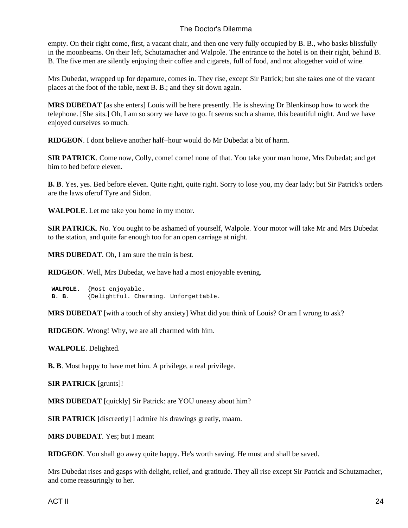empty. On their right come, first, a vacant chair, and then one very fully occupied by B. B., who basks blissfully in the moonbeams. On their left, Schutzmacher and Walpole. The entrance to the hotel is on their right, behind B. B. The five men are silently enjoying their coffee and cigarets, full of food, and not altogether void of wine.

Mrs Dubedat, wrapped up for departure, comes in. They rise, except Sir Patrick; but she takes one of the vacant places at the foot of the table, next B. B.; and they sit down again.

**MRS DUBEDAT** [as she enters] Louis will be here presently. He is shewing Dr Blenkinsop how to work the telephone. [She sits.] Oh, I am so sorry we have to go. It seems such a shame, this beautiful night. And we have enjoyed ourselves so much.

**RIDGEON**. I dont believe another half−hour would do Mr Dubedat a bit of harm.

**SIR PATRICK**. Come now, Colly, come! come! none of that. You take your man home, Mrs Dubedat; and get him to bed before eleven.

**B. B**. Yes, yes. Bed before eleven. Quite right, quite right. Sorry to lose you, my dear lady; but Sir Patrick's orders are the laws of er of Tyre and Sidon.

**WALPOLE**. Let me take you home in my motor.

**SIR PATRICK**. No. You ought to be ashamed of yourself, Walpole. Your motor will take Mr and Mrs Dubedat to the station, and quite far enough too for an open carriage at night.

**MRS DUBEDAT**. Oh, I am sure the train is best.

**RIDGEON**. Well, Mrs Dubedat, we have had a most enjoyable evening.

 **WALPOLE**. {Most enjoyable.  **B. B**. {Delightful. Charming. Unforgettable.

**MRS DUBEDAT** [with a touch of shy anxiety] What did you think of Louis? Or am I wrong to ask?

**RIDGEON**. Wrong! Why, we are all charmed with him.

**WALPOLE**. Delighted.

**B. B**. Most happy to have met him. A privilege, a real privilege.

**SIR PATRICK** [grunts]!

**MRS DUBEDAT** [quickly] Sir Patrick: are YOU uneasy about him?

**SIR PATRICK** [discreetly] I admire his drawings greatly, maam.

**MRS DUBEDAT**. Yes; but I meant

**RIDGEON**. You shall go away quite happy. He's worth saving. He must and shall be saved.

Mrs Dubedat rises and gasps with delight, relief, and gratitude. They all rise except Sir Patrick and Schutzmacher, and come reassuringly to her.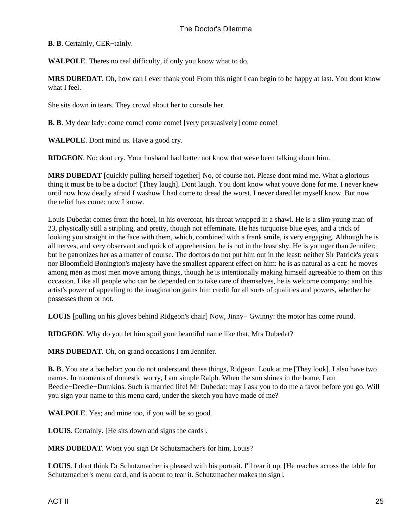**B. B**. Certainly, CER−tainly.

**WALPOLE**. Theres no real difficulty, if only you know what to do.

**MRS DUBEDAT**. Oh, how can I ever thank you! From this night I can begin to be happy at last. You dont know what I feel.

She sits down in tears. They crowd about her to console her.

**B. B**. My dear lady: come come! come come! [very persuasively] come come!

**WALPOLE**. Dont mind us. Have a good cry.

**RIDGEON**. No: dont cry. Your husband had better not know that weve been talking about him.

**MRS DUBEDAT** [quickly pulling herself together] No, of course not. Please dont mind me. What a glorious thing it must be to be a doctor! [They laugh]. Dont laugh. You dont know what youve done for me. I never knew until now how deadly afraid I was how I had come to dread the worst. I never dared let myself know. But now the relief has come: now I know.

Louis Dubedat comes from the hotel, in his overcoat, his throat wrapped in a shawl. He is a slim young man of 23, physically still a stripling, and pretty, though not effeminate. He has turquoise blue eyes, and a trick of looking you straight in the face with them, which, combined with a frank smile, is very engaging. Although he is all nerves, and very observant and quick of apprehension, he is not in the least shy. He is younger than Jennifer; but he patronizes her as a matter of course. The doctors do not put him out in the least: neither Sir Patrick's years nor Bloomfield Bonington's majesty have the smallest apparent effect on him: he is as natural as a cat: he moves among men as most men move among things, though he is intentionally making himself agreeable to them on this occasion. Like all people who can be depended on to take care of themselves, he is welcome company; and his artist's power of appealing to the imagination gains him credit for all sorts of qualities and powers, whether he possesses them or not.

**LOUIS** [pulling on his gloves behind Ridgeon's chair] Now, Jinny− Gwinny: the motor has come round.

**RIDGEON**. Why do you let him spoil your beautiful name like that, Mrs Dubedat?

**MRS DUBEDAT**. Oh, on grand occasions I am Jennifer.

**B. B**. You are a bachelor: you do not understand these things, Ridgeon. Look at me [They look]. I also have two names. In moments of domestic worry, I am simple Ralph. When the sun shines in the home, I am Beedle−Deedle−Dumkins. Such is married life! Mr Dubedat: may I ask you to do me a favor before you go. Will you sign your name to this menu card, under the sketch you have made of me?

**WALPOLE**. Yes; and mine too, if you will be so good.

**LOUIS**. Certainly. [He sits down and signs the cards].

**MRS DUBEDAT**. Wont you sign Dr Schutzmacher's for him, Louis?

**LOUIS**. I dont think Dr Schutzmacher is pleased with his portrait. I'll tear it up. [He reaches across the table for Schutzmacher's menu card, and is about to tear it. Schutzmacher makes no sign].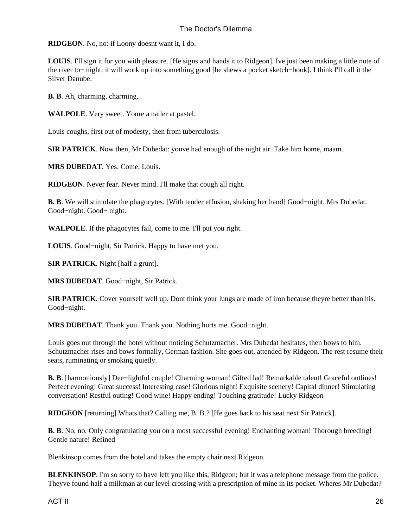**RIDGEON**. No, no: if Loony doesnt want it, I do.

**LOUIS**. I'll sign it for you with pleasure. [He signs and hands it to Ridgeon]. Ive just been making a little note of the river to− night: it will work up into something good [he shews a pocket sketch−book]. I think I'll call it the Silver Danube.

**B. B**. Ah, charming, charming.

**WALPOLE**. Very sweet. Youre a nailer at pastel.

Louis coughs, first out of modesty, then from tuberculosis.

**SIR PATRICK**. Now then, Mr Dubedat: youve had enough of the night air. Take him home, maam.

**MRS DUBEDAT**. Yes. Come, Louis.

**RIDGEON**. Never fear. Never mind. I'll make that cough all right.

**B. B**. We will stimulate the phagocytes. [With tender effusion, shaking her hand] Good−night, Mrs Dubedat. Good−night. Good− night.

**WALPOLE**. If the phagocytes fail, come to me. I'll put you right.

**LOUIS**. Good−night, Sir Patrick. Happy to have met you.

**SIR PATRICK**. Night [half a grunt].

**MRS DUBEDAT**. Good−night, Sir Patrick.

**SIR PATRICK**. Cover yourself well up. Dont think your lungs are made of iron because theyre better than his. Good−night.

**MRS DUBEDAT**. Thank you. Thank you. Nothing hurts me. Good−night.

Louis goes out through the hotel without noticing Schutzmacher. Mrs Dubedat hesitates, then bows to him. Schutzmacher rises and bows formally, German fashion. She goes out, attended by Ridgeon. The rest resume their seats, ruminating or smoking quietly.

**B. B**. [harmoniously] Dee–lightful couple! Charming woman! Gifted lad! Remarkable talent! Graceful outlines! Perfect evening! Great success! Interesting case! Glorious night! Exquisite scenery! Capital dinner! Stimulating conversation! Restful outing! Good wine! Happy ending! Touching gratitude! Lucky Ridgeon

**RIDGEON** [returning] Whats that? Calling me, B. B.? [He goes back to his seat next Sir Patrick].

**B. B**. No, no. Only congratulating you on a most successful evening! Enchanting woman! Thorough breeding! Gentle nature! Refined

Blenkinsop comes from the hotel and takes the empty chair next Ridgeon.

**BLENKINSOP**. I'm so sorry to have left you like this, Ridgeon; but it was a telephone message from the police. Theyve found half a milkman at our level crossing with a prescription of mine in its pocket. Wheres Mr Dubedat?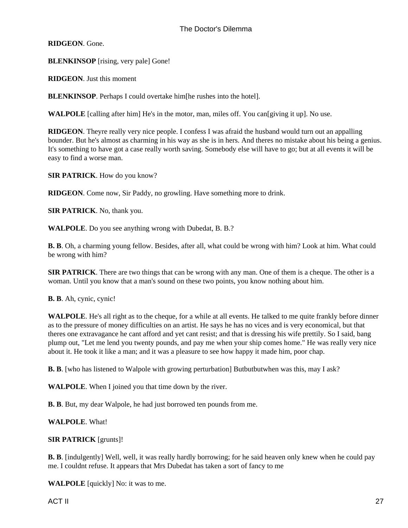**RIDGEON**. Gone.

**BLENKINSOP** [rising, very pale] Gone!

**RIDGEON**. Just this moment

**BLENKINSOP**. Perhaps I could overtake him [he rushes into the hotel].

**WALPOLE** [calling after him] He's in the motor, man, miles off. You can [giving it up]. No use.

**RIDGEON**. Theyre really very nice people. I confess I was afraid the husband would turn out an appalling bounder. But he's almost as charming in his way as she is in hers. And theres no mistake about his being a genius. It's something to have got a case really worth saving. Somebody else will have to go; but at all events it will be easy to find a worse man.

**SIR PATRICK**. How do you know?

**RIDGEON**. Come now, Sir Paddy, no growling. Have something more to drink.

**SIR PATRICK**. No, thank you.

**WALPOLE**. Do you see anything wrong with Dubedat, B. B.?

**B. B**. Oh, a charming young fellow. Besides, after all, what could be wrong with him? Look at him. What could be wrong with him?

**SIR PATRICK**. There are two things that can be wrong with any man. One of them is a cheque. The other is a woman. Until you know that a man's sound on these two points, you know nothing about him.

**B. B**. Ah, cynic, cynic!

**WALPOLE**. He's all right as to the cheque, for a while at all events. He talked to me quite frankly before dinner as to the pressure of money difficulties on an artist. He says he has no vices and is very economical, but that theres one extravagance he cant afford and yet cant resist; and that is dressing his wife prettily. So I said, bang plump out, "Let me lend you twenty pounds, and pay me when your ship comes home." He was really very nice about it. He took it like a man; and it was a pleasure to see how happy it made him, poor chap.

**B. B.** [who has listened to Walpole with growing perturbation] But but but when was this, may I ask?

**WALPOLE**. When I joined you that time down by the river.

**B. B**. But, my dear Walpole, he had just borrowed ten pounds from me.

**WALPOLE**. What!

**SIR PATRICK** [grunts]!

**B. B**. [indulgently] Well, well, it was really hardly borrowing; for he said heaven only knew when he could pay me. I couldnt refuse. It appears that Mrs Dubedat has taken a sort of fancy to me

**WALPOLE** [quickly] No: it was to me.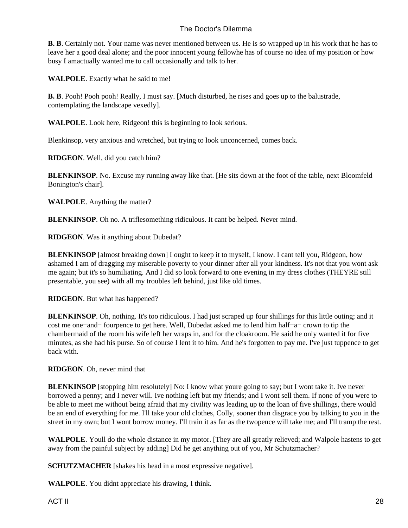**B. B**. Certainly not. Your name was never mentioned between us. He is so wrapped up in his work that he has to leave her a good deal alone; and the poor innocent young fellow he has of course no idea of my position or how busy I amactually wanted me to call occasionally and talk to her.

**WALPOLE**. Exactly what he said to me!

**B. B**. Pooh! Pooh pooh! Really, I must say. [Much disturbed, he rises and goes up to the balustrade, contemplating the landscape vexedly].

**WALPOLE**. Look here, Ridgeon! this is beginning to look serious.

Blenkinsop, very anxious and wretched, but trying to look unconcerned, comes back.

**RIDGEON**. Well, did you catch him?

**BLENKINSOP**. No. Excuse my running away like that. [He sits down at the foot of the table, next Bloomfeld Bonington's chair].

**WALPOLE**. Anything the matter?

**BLENKINSOP**. Oh no. A trifle something ridiculous. It cant be helped. Never mind.

**RIDGEON**. Was it anything about Dubedat?

**BLENKINSOP** [almost breaking down] I ought to keep it to myself, I know. I cant tell you, Ridgeon, how ashamed I am of dragging my miserable poverty to your dinner after all your kindness. It's not that you wont ask me again; but it's so humiliating. And I did so look forward to one evening in my dress clothes (THEYRE still presentable, you see) with all my troubles left behind, just like old times.

**RIDGEON**. But what has happened?

**BLENKINSOP**. Oh, nothing. It's too ridiculous. I had just scraped up four shillings for this little outing; and it cost me one−and− fourpence to get here. Well, Dubedat asked me to lend him half−a− crown to tip the chambermaid of the room his wife left her wraps in, and for the cloakroom. He said he only wanted it for five minutes, as she had his purse. So of course I lent it to him. And he's forgotten to pay me. I've just tuppence to get back with.

**RIDGEON**. Oh, never mind that

**BLENKINSOP** [stopping him resolutely] No: I know what youre going to say; but I wont take it. Ive never borrowed a penny; and I never will. Ive nothing left but my friends; and I wont sell them. If none of you were to be able to meet me without being afraid that my civility was leading up to the loan of five shillings, there would be an end of everything for me. I'll take your old clothes, Colly, sooner than disgrace you by talking to you in the street in my own; but I wont borrow money. I'll train it as far as the twopence will take me; and I'll tramp the rest.

**WALPOLE**. Youll do the whole distance in my motor. [They are all greatly relieved; and Walpole hastens to get away from the painful subject by adding] Did he get anything out of you, Mr Schutzmacher?

**SCHUTZMACHER** [shakes his head in a most expressive negative].

**WALPOLE**. You didnt appreciate his drawing, I think.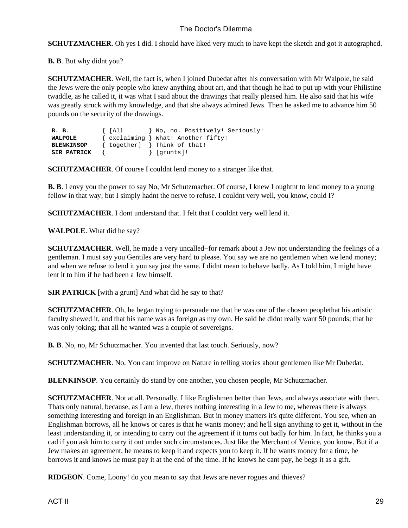**SCHUTZMACHER**. Oh yes I did. I should have liked very much to have kept the sketch and got it autographed.

**B. B**. But why didnt you?

**SCHUTZMACHER.** Well, the fact is, when I joined Dubedat after his conversation with Mr Walpole, he said the Jews were the only people who knew anything about art, and that though he had to put up with your Philistine twaddle, as he called it, it was what I said about the drawings that really pleased him. He also said that his wife was greatly struck with my knowledge, and that she always admired Jews. Then he asked me to advance him 50 pounds on the security of the drawings.

| <b>B. B.</b>       | $\{$ [All<br>No, no. Positively! Seriously! |
|--------------------|---------------------------------------------|
| WALPOLE            | { exclaiming } What! Another fifty!         |
| <b>BLENKINSOP</b>  | $\{$ together] $\}$ Think of that!          |
| <b>SIR PATRICK</b> | } [qrunts]!                                 |

**SCHUTZMACHER**. Of course I couldnt lend money to a stranger like that.

**B. B**. I envy you the power to say No, Mr Schutzmacher. Of course, I knew I oughtnt to lend money to a young fellow in that way; but I simply hadnt the nerve to refuse. I couldnt very well, you know, could I?

**SCHUTZMACHER**. I dont understand that. I felt that I couldnt very well lend it.

**WALPOLE**. What did he say?

**SCHUTZMACHER**. Well, he made a very uncalled−for remark about a Jew not understanding the feelings of a gentleman. I must say you Gentiles are very hard to please. You say we are no gentlemen when we lend money; and when we refuse to lend it you say just the same. I didnt mean to behave badly. As I told him, I might have lent it to him if he had been a Jew himself.

**SIR PATRICK** [with a grunt] And what did he say to that?

**SCHUTZMACHER.** Oh, he began trying to persuade me that he was one of the chosen people that his artistic faculty shewed it, and that his name was as foreign as my own. He said he didnt really want 50 pounds; that he was only joking; that all he wanted was a couple of sovereigns.

**B. B**. No, no, Mr Schutzmacher. You invented that last touch. Seriously, now?

**SCHUTZMACHER**. No. You cant improve on Nature in telling stories about gentlemen like Mr Dubedat.

**BLENKINSOP**. You certainly do stand by one another, you chosen people, Mr Schutzmacher.

**SCHUTZMACHER**. Not at all. Personally, I like Englishmen better than Jews, and always associate with them. Thats only natural, because, as I am a Jew, theres nothing interesting in a Jew to me, whereas there is always something interesting and foreign in an Englishman. But in money matters it's quite different. You see, when an Englishman borrows, all he knows or cares is that he wants money; and he'll sign anything to get it, without in the least understanding it, or intending to carry out the agreement if it turns out badly for him. In fact, he thinks you a cad if you ask him to carry it out under such circumstances. Just like the Merchant of Venice, you know. But if a Jew makes an agreement, he means to keep it and expects you to keep it. If he wants money for a time, he borrows it and knows he must pay it at the end of the time. If he knows he cant pay, he begs it as a gift.

**RIDGEON**. Come, Loony! do you mean to say that Jews are never rogues and thieves?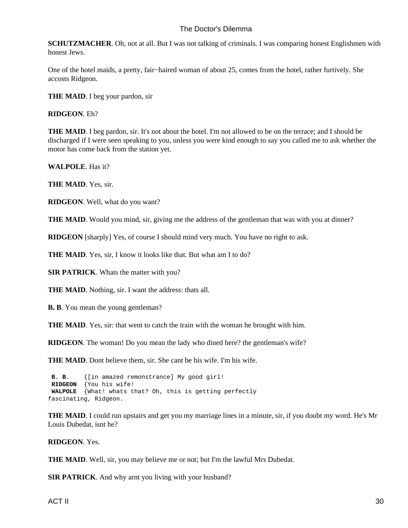**SCHUTZMACHER**. Oh, not at all. But I was not talking of criminals. I was comparing honest Englishmen with honest Jews.

One of the hotel maids, a pretty, fair−haired woman of about 25, comes from the hotel, rather furtively. She accosts Ridgeon.

**THE MAID.** I beg your pardon, sir

**RIDGEON**. Eh?

**THE MAID**. I beg pardon, sir. It's not about the hotel. I'm not allowed to be on the terrace; and I should be discharged if I were seen speaking to you, unless you were kind enough to say you called me to ask whether the motor has come back from the station yet.

**WALPOLE**. Has it?

**THE MAID**. Yes, sir.

**RIDGEON**. Well, what do you want?

**THE MAID**. Would you mind, sir, giving me the address of the gentleman that was with you at dinner?

**RIDGEON** [sharply] Yes, of course I should mind very much. You have no right to ask.

**THE MAID.** Yes, sir, I know it looks like that. But what am I to do?

**SIR PATRICK**. Whats the matter with you?

**THE MAID**. Nothing, sir. I want the address: thats all.

**B. B**. You mean the young gentleman?

**THE MAID**. Yes, sir: that went to catch the train with the woman he brought with him.

**RIDGEON**. The woman! Do you mean the lady who dined here? the gentleman's wife?

**THE MAID**. Dont believe them, sir. She cant be his wife. I'm his wife.

 **B. B**. {[in amazed remonstrance] My good girl!  **RIDGEON** {You his wife!  **WALPOLE** {What! whats that? Oh, this is getting perfectly fascinating, Ridgeon.

**THE MAID**. I could run upstairs and get you my marriage lines in a minute, sir, if you doubt my word. He's Mr Louis Dubedat, isnt he?

**RIDGEON**. Yes.

**THE MAID**. Well, sir, you may believe me or not; but I'm the lawful Mrs Dubedat.

**SIR PATRICK**. And why arnt you living with your husband?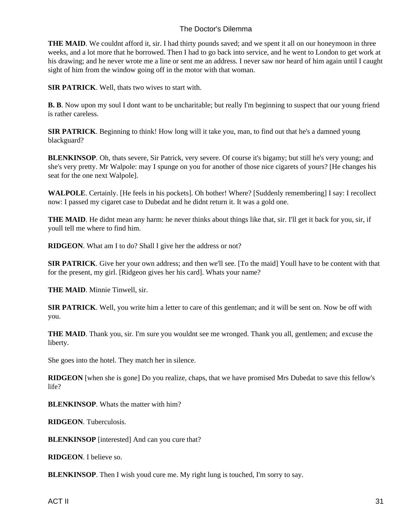**THE MAID**. We couldnt afford it, sir. I had thirty pounds saved; and we spent it all on our honeymoon in three weeks, and a lot more that he borrowed. Then I had to go back into service, and he went to London to get work at his drawing; and he never wrote me a line or sent me an address. I never saw nor heard of him again until I caught sight of him from the window going off in the motor with that woman.

**SIR PATRICK**. Well, thats two wives to start with.

**B. B**. Now upon my soul I dont want to be uncharitable; but really I'm beginning to suspect that our young friend is rather careless.

**SIR PATRICK**. Beginning to think! How long will it take you, man, to find out that he's a damned young blackguard?

**BLENKINSOP**. Oh, thats severe, Sir Patrick, very severe. Of course it's bigamy; but still he's very young; and she's very pretty. Mr Walpole: may I spunge on you for another of those nice cigarets of yours? [He changes his seat for the one next Walpole].

**WALPOLE**. Certainly. [He feels in his pockets]. Oh bother! Where? [Suddenly remembering] I say: I recollect now: I passed my cigaret case to Dubedat and he didnt return it. It was a gold one.

**THE MAID**. He didnt mean any harm: he never thinks about things like that, sir. I'll get it back for you, sir, if youll tell me where to find him.

**RIDGEON**. What am I to do? Shall I give her the address or not?

**SIR PATRICK**. Give her your own address; and then we'll see. [To the maid] Youll have to be content with that for the present, my girl. [Ridgeon gives her his card]. Whats your name?

**THE MAID**. Minnie Tinwell, sir.

**SIR PATRICK**. Well, you write him a letter to care of this gentleman; and it will be sent on. Now be off with you.

**THE MAID**. Thank you, sir. I'm sure you wouldnt see me wronged. Thank you all, gentlemen; and excuse the liberty.

She goes into the hotel. They match her in silence.

**RIDGEON** [when she is gone] Do you realize, chaps, that we have promised Mrs Dubedat to save this fellow's life?

**BLENKINSOP**. Whats the matter with him?

**RIDGEON**. Tuberculosis.

**BLENKINSOP** [interested] And can you cure that?

**RIDGEON**. I believe so.

**BLENKINSOP**. Then I wish youd cure me. My right lung is touched, I'm sorry to say.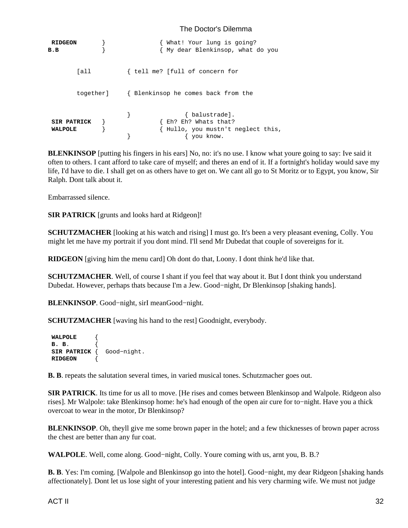| <b>RIDGEON</b><br>$B$ . $B$          |           | What! Your lung is going?<br>Wy dear Blenkinsop, what do you                             |
|--------------------------------------|-----------|------------------------------------------------------------------------------------------|
|                                      | Tall      | { tell me? [full of concern for                                                          |
|                                      | together] | { Blenkinsop he comes back from the                                                      |
| <b>SIR PATRICK</b><br><b>WALPOLE</b> |           | { balustrade].<br>{ Eh? Eh? Whats that?<br>Hullo, you mustn't neglect this,<br>you know. |

**BLENKINSOP** [putting his fingers in his ears] No, no: it's no use. I know what youre going to say: Ive said it often to others. I cant afford to take care of myself; and theres an end of it. If a fortnight's holiday would save my life, I'd have to die. I shall get on as others have to get on. We cant all go to St Moritz or to Egypt, you know, Sir Ralph. Dont talk about it.

Embarrassed silence.

**SIR PATRICK** [grunts and looks hard at Ridgeon]!

**SCHUTZMACHER** [looking at his watch and rising] I must go. It's been a very pleasant evening, Colly. You might let me have my portrait if you dont mind. I'll send Mr Dubedat that couple of sovereigns for it.

**RIDGEON** [giving him the menu card] Oh dont do that, Loony. I dont think he'd like that.

**SCHUTZMACHER**. Well, of course I shant if you feel that way about it. But I dont think you understand Dubedat. However, perhaps thats because I'm a Jew. Good−night, Dr Blenkinsop [shaking hands].

BLENKINSOP. Good–night, sir I mean Good–night.

**SCHUTZMACHER** [waving his hand to the rest] Goodnight, everybody.

| WALPOLE          |             |
|------------------|-------------|
| <b>B.</b> B.     |             |
| SIR PATRICK $\{$ | Good-night. |
| <b>RIDGEON</b>   |             |

**B. B**. repeats the salutation several times, in varied musical tones. Schutzmacher goes out.

**SIR PATRICK**. Its time for us all to move. [He rises and comes between Blenkinsop and Walpole. Ridgeon also rises]. Mr Walpole: take Blenkinsop home: he's had enough of the open air cure for to−night. Have you a thick overcoat to wear in the motor, Dr Blenkinsop?

**BLENKINSOP**. Oh, theyll give me some brown paper in the hotel; and a few thicknesses of brown paper across the chest are better than any fur coat.

**WALPOLE**. Well, come along. Good−night, Colly. Youre coming with us, arnt you, B. B.?

**B. B**. Yes: I'm coming. [Walpole and Blenkinsop go into the hotel]. Good−night, my dear Ridgeon [shaking hands affectionately]. Dont let us lose sight of your interesting patient and his very charming wife. We must not judge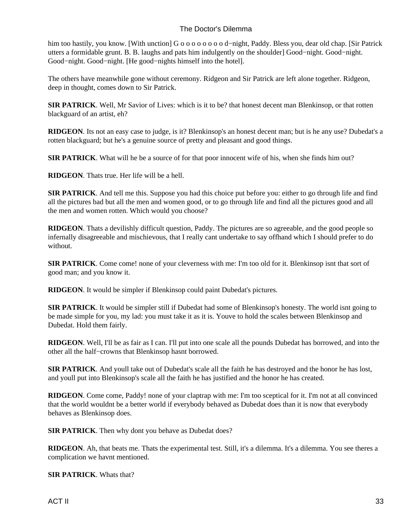him too hastily, you know. [With unction] G o o o o o o o o d−night, Paddy. Bless you, dear old chap. [Sir Patrick utters a formidable grunt. B. B. laughs and pats him indulgently on the shoulder] Good−night. Good−night. Good−night. Good−night. [He good−nights himself into the hotel].

The others have meanwhile gone without ceremony. Ridgeon and Sir Patrick are left alone together. Ridgeon, deep in thought, comes down to Sir Patrick.

**SIR PATRICK**. Well, Mr Savior of Lives: which is it to be? that honest decent man Blenkinsop, or that rotten blackguard of an artist, eh?

**RIDGEON**. Its not an easy case to judge, is it? Blenkinsop's an honest decent man; but is he any use? Dubedat's a rotten blackguard; but he's a genuine source of pretty and pleasant and good things.

**SIR PATRICK**. What will he be a source of for that poor innocent wife of his, when she finds him out?

**RIDGEON**. Thats true. Her life will be a hell.

**SIR PATRICK**. And tell me this. Suppose you had this choice put before you: either to go through life and find all the pictures bad but all the men and women good, or to go through life and find all the pictures good and all the men and women rotten. Which would you choose?

**RIDGEON**. Thats a devilishly difficult question, Paddy. The pictures are so agreeable, and the good people so infernally disagreeable and mischievous, that I really cant undertake to say offhand which I should prefer to do without.

**SIR PATRICK**. Come come! none of your cleverness with me: I'm too old for it. Blenkinsop isnt that sort of good man; and you know it.

**RIDGEON**. It would be simpler if Blenkinsop could paint Dubedat's pictures.

**SIR PATRICK**. It would be simpler still if Dubedat had some of Blenkinsop's honesty. The world isnt going to be made simple for you, my lad: you must take it as it is. Youve to hold the scales between Blenkinsop and Dubedat. Hold them fairly.

**RIDGEON**. Well, I'll be as fair as I can. I'll put into one scale all the pounds Dubedat has borrowed, and into the other all the half−crowns that Blenkinsop hasnt borrowed.

**SIR PATRICK**. And youll take out of Dubedat's scale all the faith he has destroyed and the honor he has lost, and youll put into Blenkinsop's scale all the faith he has justified and the honor he has created.

**RIDGEON**. Come come, Paddy! none of your claptrap with me: I'm too sceptical for it. I'm not at all convinced that the world wouldnt be a better world if everybody behaved as Dubedat does than it is now that everybody behaves as Blenkinsop does.

**SIR PATRICK**. Then why dont you behave as Dubedat does?

**RIDGEON**. Ah, that beats me. Thats the experimental test. Still, it's a dilemma. It's a dilemma. You see theres a complication we havnt mentioned.

**SIR PATRICK**. Whats that?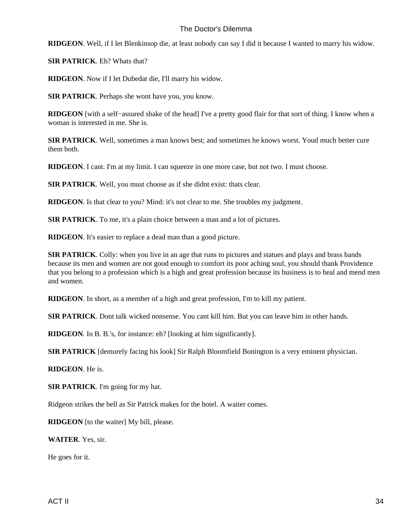**RIDGEON**. Well, if I let Blenkinsop die, at least nobody can say I did it because I wanted to marry his widow.

**SIR PATRICK**. Eh? Whats that?

**RIDGEON**. Now if I let Dubedat die, I'll marry his widow.

**SIR PATRICK**. Perhaps she wont have you, you know.

**RIDGEON** [with a self−assured shake of the head] I've a pretty good flair for that sort of thing. I know when a woman is interested in me. She is.

**SIR PATRICK**. Well, sometimes a man knows best; and sometimes he knows worst. Youd much better cure them both.

**RIDGEON**. I cant. I'm at my limit. I can squeeze in one more case, but not two. I must choose.

**SIR PATRICK**. Well, you must choose as if she didnt exist: thats clear.

**RIDGEON**. Is that clear to you? Mind: it's not clear to me. She troubles my judgment.

**SIR PATRICK**. To me, it's a plain choice between a man and a lot of pictures.

**RIDGEON**. It's easier to replace a dead man than a good picture.

**SIR PATRICK.** Colly: when you live in an age that runs to pictures and statues and plays and brass bands because its men and women are not good enough to comfort its poor aching soul, you should thank Providence that you belong to a profession which is a high and great profession because its business is to heal and mend men and women.

**RIDGEON**. In short, as a member of a high and great profession, I'm to kill my patient.

**SIR PATRICK**. Dont talk wicked nonsense. You cant kill him. But you can leave him in other hands.

**RIDGEON**. In B. B.'s, for instance: eh? [looking at him significantly].

**SIR PATRICK** [demurely facing his look] Sir Ralph Bloomfield Bonington is a very eminent physician.

**RIDGEON**. He is.

**SIR PATRICK**. I'm going for my hat.

Ridgeon strikes the bell as Sir Patrick makes for the hotel. A waiter comes.

**RIDGEON** [to the waiter] My bill, please.

**WAITER**. Yes, sir.

He goes for it.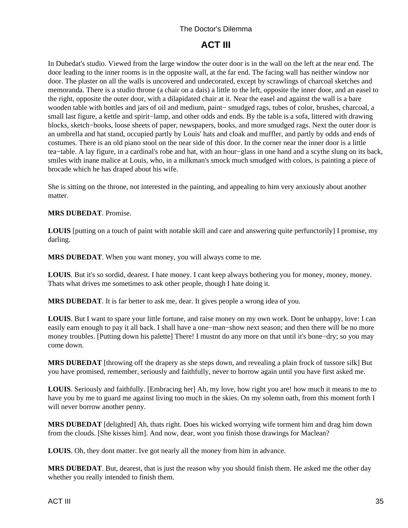# **ACT III**

<span id="page-36-0"></span>In Dubedat's studio. Viewed from the large window the outer door is in the wall on the left at the near end. The door leading to the inner rooms is in the opposite wall, at the far end. The facing wall has neither window nor door. The plaster on all the walls is uncovered and undecorated, except by scrawlings of charcoal sketches and memoranda. There is a studio throne (a chair on a dais) a little to the left, opposite the inner door, and an easel to the right, opposite the outer door, with a dilapidated chair at it. Near the easel and against the wall is a bare wooden table with bottles and jars of oil and medium, paint− smudged rags, tubes of color, brushes, charcoal, a small last figure, a kettle and spirit–lamp, and other odds and ends. By the table is a sofa, littered with drawing blocks, sketch−books, loose sheets of paper, newspapers, books, and more smudged rags. Next the outer door is an umbrella and hat stand, occupied partly by Louis' hats and cloak and muffler, and partly by odds and ends of costumes. There is an old piano stool on the near side of this door. In the corner near the inner door is a little tea−table. A lay figure, in a cardinal's robe and hat, with an hour−glass in one hand and a scythe slung on its back, smiles with inane malice at Louis, who, in a milkman's smock much smudged with colors, is painting a piece of brocade which he has draped about his wife.

She is sitting on the throne, not interested in the painting, and appealing to him very anxiously about another matter.

#### **MRS DUBEDAT**. Promise.

**LOUIS** [putting on a touch of paint with notable skill and care and answering quite perfunctorily] I promise, my darling.

**MRS DUBEDAT**. When you want money, you will always come to me.

**LOUIS**. But it's so sordid, dearest. I hate money. I cant keep always bothering you for money, money, money. Thats what drives me sometimes to ask other people, though I hate doing it.

**MRS DUBEDAT**. It is far better to ask me, dear. It gives people a wrong idea of you.

**LOUIS**. But I want to spare your little fortune, and raise money on my own work. Dont be unhappy, love: I can easily earn enough to pay it all back. I shall have a one−man−show next season; and then there will be no more money troubles. [Putting down his palette] There! I mustnt do any more on that until it's bone−dry; so you may come down.

**MRS DUBEDAT** [throwing off the drapery as she steps down, and revealing a plain frock of tussore silk] But you have promised, remember, seriously and faithfully, never to borrow again until you have first asked me.

**LOUIS**. Seriously and faithfully. [Embracing her] Ah, my love, how right you are! how much it means to me to have you by me to guard me against living too much in the skies. On my solemn oath, from this moment forth I will never borrow another penny.

**MRS DUBEDAT** [delighted] Ah, thats right. Does his wicked worrying wife torment him and drag him down from the clouds. [She kisses him]. And now, dear, wont you finish those drawings for Maclean?

**LOUIS**. Oh, they dont matter. Ive got nearly all the money from him in advance.

**MRS DUBEDAT**. But, dearest, that is just the reason why you should finish them. He asked me the other day whether you really intended to finish them.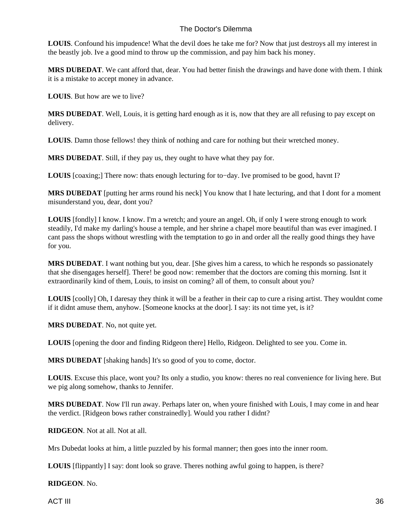**LOUIS**. Confound his impudence! What the devil does he take me for? Now that just destroys all my interest in the beastly job. Ive a good mind to throw up the commission, and pay him back his money.

**MRS DUBEDAT**. We cant afford that, dear. You had better finish the drawings and have done with them. I think it is a mistake to accept money in advance.

**LOUIS**. But how are we to live?

**MRS DUBEDAT**. Well, Louis, it is getting hard enough as it is, now that they are all refusing to pay except on delivery.

**LOUIS**. Damn those fellows! they think of nothing and care for nothing but their wretched money.

**MRS DUBEDAT**. Still, if they pay us, they ought to have what they pay for.

**LOUIS** [coaxing;] There now: thats enough lecturing for to−day. Ive promised to be good, havnt I?

**MRS DUBEDAT** [putting her arms round his neck] You know that I hate lecturing, and that I dont for a moment misunderstand you, dear, dont you?

**LOUIS** [fondly] I know. I know. I'm a wretch; and youre an angel. Oh, if only I were strong enough to work steadily, I'd make my darling's house a temple, and her shrine a chapel more beautiful than was ever imagined. I cant pass the shops without wrestling with the temptation to go in and order all the really good things they have for you.

**MRS DUBEDAT**. I want nothing but you, dear. [She gives him a caress, to which he responds so passionately that she disengages herself]. There! be good now: remember that the doctors are coming this morning. Isnt it extraordinarily kind of them, Louis, to insist on coming? all of them, to consult about you?

**LOUIS** [coolly] Oh, I daresay they think it will be a feather in their cap to cure a rising artist. They wouldnt come if it didnt amuse them, anyhow. [Someone knocks at the door]. I say: its not time yet, is it?

**MRS DUBEDAT**. No, not quite yet.

**LOUIS** [opening the door and finding Ridgeon there] Hello, Ridgeon. Delighted to see you. Come in.

**MRS DUBEDAT** [shaking hands] It's so good of you to come, doctor.

**LOUIS**. Excuse this place, wont you? Its only a studio, you know: theres no real convenience for living here. But we pig along somehow, thanks to Jennifer.

**MRS DUBEDAT**. Now I'll run away. Perhaps later on, when youre finished with Louis, I may come in and hear the verdict. [Ridgeon bows rather constrainedly]. Would you rather I didnt?

**RIDGEON**. Not at all. Not at all.

Mrs Dubedat looks at him, a little puzzled by his formal manner; then goes into the inner room.

**LOUIS** [flippantly] I say: dont look so grave. Theres nothing awful going to happen, is there?

**RIDGEON**. No.

ACT III 36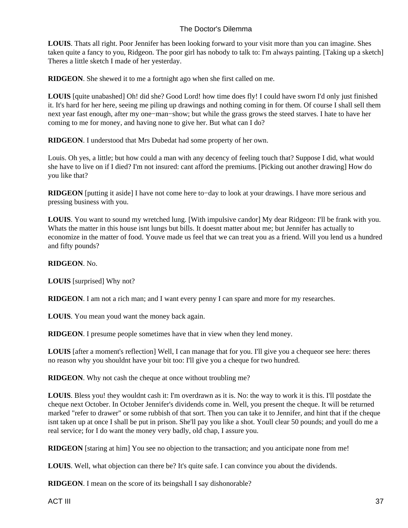**LOUIS**. Thats all right. Poor Jennifer has been looking forward to your visit more than you can imagine. Shes taken quite a fancy to you, Ridgeon. The poor girl has nobody to talk to: I'm always painting. [Taking up a sketch] Theres a little sketch I made of her yesterday.

**RIDGEON**. She shewed it to me a fortnight ago when she first called on me.

**LOUIS** [quite unabashed] Oh! did she? Good Lord! how time does fly! I could have sworn I'd only just finished it. It's hard for her here, seeing me piling up drawings and nothing coming in for them. Of course I shall sell them next year fast enough, after my one−man−show; but while the grass grows the steed starves. I hate to have her coming to me for money, and having none to give her. But what can I do?

**RIDGEON**. I understood that Mrs Dubedat had some property of her own.

Louis. Oh yes, a little; but how could a man with any decency of feeling touch that? Suppose I did, what would she have to live on if I died? I'm not insured: cant afford the premiums. [Picking out another drawing] How do you like that?

**RIDGEON** [putting it aside] I have not come here to−day to look at your drawings. I have more serious and pressing business with you.

**LOUIS**. You want to sound my wretched lung. [With impulsive candor] My dear Ridgeon: I'll be frank with you. Whats the matter in this house isnt lungs but bills. It doesnt matter about me; but Jennifer has actually to economize in the matter of food. Youve made us feel that we can treat you as a friend. Will you lend us a hundred and fifty pounds?

#### **RIDGEON**. No.

**LOUIS** [surprised] Why not?

**RIDGEON**. I am not a rich man; and I want every penny I can spare and more for my researches.

**LOUIS**. You mean youd want the money back again.

**RIDGEON**. I presume people sometimes have that in view when they lend money.

LOUIS [after a moment's reflection] Well, I can manage that for you. I'll give you a cheque or see here: theres no reason why you shouldnt have your bit too: I'll give you a cheque for two hundred.

**RIDGEON**. Why not cash the cheque at once without troubling me?

**LOUIS**. Bless you! they wouldnt cash it: I'm overdrawn as it is. No: the way to work it is this. I'll postdate the cheque next October. In October Jennifer's dividends come in. Well, you present the cheque. It will be returned marked "refer to drawer" or some rubbish of that sort. Then you can take it to Jennifer, and hint that if the cheque isnt taken up at once I shall be put in prison. She'll pay you like a shot. Youll clear 50 pounds; and youll do me a real service; for I do want the money very badly, old chap, I assure you.

**RIDGEON** [staring at him] You see no objection to the transaction; and you anticipate none from me!

**LOUIS**. Well, what objection can there be? It's quite safe. I can convince you about the dividends.

**RIDGEON**. I mean on the score of its being shall I say dishonorable?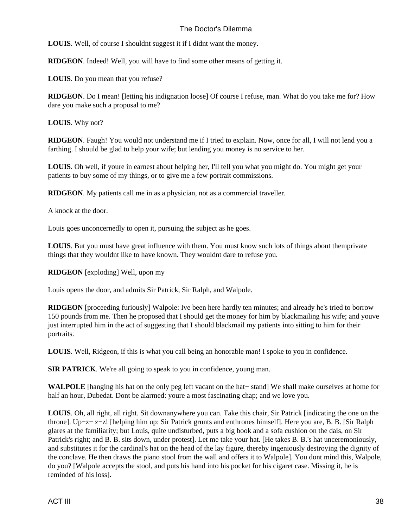**LOUIS**. Well, of course I shouldnt suggest it if I didnt want the money.

**RIDGEON**. Indeed! Well, you will have to find some other means of getting it.

**LOUIS**. Do you mean that you refuse?

**RIDGEON**. Do I mean! [letting his indignation loose] Of course I refuse, man. What do you take me for? How dare you make such a proposal to me?

**LOUIS**. Why not?

**RIDGEON**. Faugh! You would not understand me if I tried to explain. Now, once for all, I will not lend you a farthing. I should be glad to help your wife; but lending you money is no service to her.

**LOUIS**. Oh well, if youre in earnest about helping her, I'll tell you what you might do. You might get your patients to buy some of my things, or to give me a few portrait commissions.

**RIDGEON**. My patients call me in as a physician, not as a commercial traveller.

A knock at the door.

Louis goes unconcernedly to open it, pursuing the subject as he goes.

**LOUIS**. But you must have great influence with them. You must know such lots of things about them private things that they wouldnt like to have known. They wouldnt dare to refuse you.

**RIDGEON** [exploding] Well, upon my

Louis opens the door, and admits Sir Patrick, Sir Ralph, and Walpole.

**RIDGEON** [proceeding furiously] Walpole: Ive been here hardly ten minutes; and already he's tried to borrow 150 pounds from me. Then he proposed that I should get the money for him by blackmailing his wife; and youve just interrupted him in the act of suggesting that I should blackmail my patients into sitting to him for their portraits.

**LOUIS**. Well, Ridgeon, if this is what you call being an honorable man! I spoke to you in confidence.

**SIR PATRICK**. We're all going to speak to you in confidence, young man.

**WALPOLE** [hanging his hat on the only peg left vacant on the hat− stand] We shall make ourselves at home for half an hour, Dubedat. Dont be alarmed: youre a most fascinating chap; and we love you.

**LOUIS**. Oh, all right, all right. Sit downanywhere you can. Take this chair, Sir Patrick [indicating the one on the throne]. Up−z− z−z! [helping him up: Sir Patrick grunts and enthrones himself]. Here you are, B. B. [Sir Ralph glares at the familiarity; but Louis, quite undisturbed, puts a big book and a sofa cushion on the dais, on Sir Patrick's right; and B. B. sits down, under protest]. Let me take your hat. [He takes B. B.'s hat unceremoniously, and substitutes it for the cardinal's hat on the head of the lay figure, thereby ingeniously destroying the dignity of the conclave. He then draws the piano stool from the wall and offers it to Walpole]. You dont mind this, Walpole, do you? [Walpole accepts the stool, and puts his hand into his pocket for his cigaret case. Missing it, he is reminded of his loss].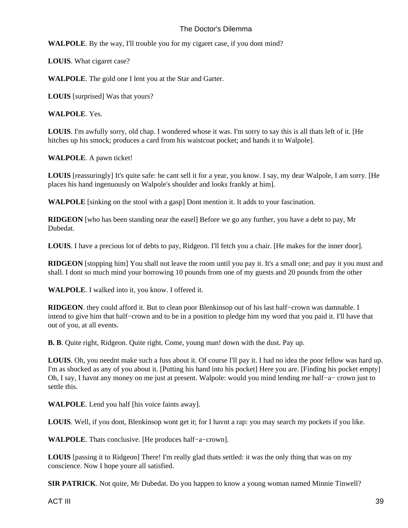WALPOLE. By the way, I'll trouble you for my cigaret case, if you dont mind?

**LOUIS**. What cigaret case?

**WALPOLE**. The gold one I lent you at the Star and Garter.

**LOUIS** [surprised] Was that yours?

**WALPOLE**. Yes.

**LOUIS**. I'm awfully sorry, old chap. I wondered whose it was. I'm sorry to say this is all thats left of it. [He hitches up his smock; produces a card from his waistcoat pocket; and hands it to Walpole].

**WALPOLE**. A pawn ticket!

**LOUIS** [reassuringly] It's quite safe: he cant sell it for a year, you know. I say, my dear Walpole, I am sorry. [He places his hand ingenuously on Walpole's shoulder and looks frankly at him].

**WALPOLE** [sinking on the stool with a gasp] Dont mention it. It adds to your fascination.

**RIDGEON** [who has been standing near the easel] Before we go any further, you have a debt to pay, Mr Dubedat.

**LOUIS**. I have a precious lot of debts to pay, Ridgeon. I'll fetch you a chair. [He makes for the inner door].

**RIDGEON** [stopping him] You shall not leave the room until you pay it. It's a small one; and pay it you must and shall. I dont so much mind your borrowing 10 pounds from one of my guests and 20 pounds from the other

**WALPOLE**. I walked into it, you know. I offered it.

**RIDGEON**. they could afford it. But to clean poor Blenkinsop out of his last half−crown was damnable. I intend to give him that half−crown and to be in a position to pledge him my word that you paid it. I'll have that out of you, at all events.

**B. B**. Quite right, Ridgeon. Quite right. Come, young man! down with the dust. Pay up.

**LOUIS**. Oh, you neednt make such a fuss about it. Of course I'll pay it. I had no idea the poor fellow was hard up. I'm as shocked as any of you about it. [Putting his hand into his pocket] Here you are. [Finding his pocket empty] Oh, I say, I havnt any money on me just at present. Walpole: would you mind lending me half−a− crown just to settle this.

**WALPOLE**. Lend you half [his voice faints away].

**LOUIS**. Well, if you dont, Blenkinsop wont get it; for I havnt a rap: you may search my pockets if you like.

**WALPOLE**. Thats conclusive. [He produces half−a−crown].

**LOUIS** [passing it to Ridgeon] There! I'm really glad thats settled: it was the only thing that was on my conscience. Now I hope youre all satisfied.

**SIR PATRICK**. Not quite, Mr Dubedat. Do you happen to know a young woman named Minnie Tinwell?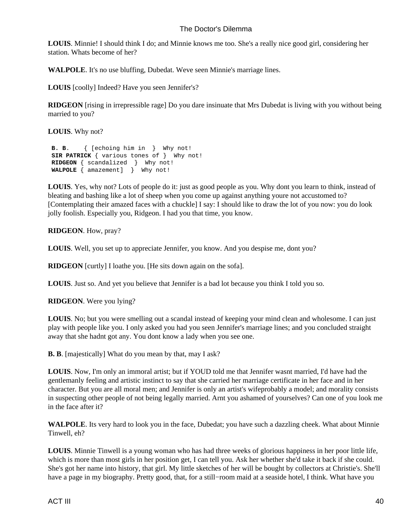**LOUIS**. Minnie! I should think I do; and Minnie knows me too. She's a really nice good girl, considering her station. Whats become of her?

**WALPOLE**. It's no use bluffing, Dubedat. Weve seen Minnie's marriage lines.

**LOUIS** [coolly] Indeed? Have you seen Jennifer's?

**RIDGEON** [rising in irrepressible rage] Do you dare insinuate that Mrs Dubedat is living with you without being married to you?

**LOUIS**. Why not?

```
 B. B. { [echoing him in } Why not!
SIR PATRICK { various tones of } Why not!
RIDGEON { scandalized } Why not!
WALPOLE { amazement] } Why not!
```
**LOUIS**. Yes, why not? Lots of people do it: just as good people as you. Why dont you learn to think, instead of bleating and bashing like a lot of sheep when you come up against anything youre not accustomed to? [Contemplating their amazed faces with a chuckle] I say: I should like to draw the lot of you now: you do look jolly foolish. Especially you, Ridgeon. I had you that time, you know.

**RIDGEON**. How, pray?

**LOUIS**. Well, you set up to appreciate Jennifer, you know. And you despise me, dont you?

**RIDGEON** [curtly] I loathe you. [He sits down again on the sofa].

**LOUIS**. Just so. And yet you believe that Jennifer is a bad lot because you think I told you so.

**RIDGEON**. Were you lying?

**LOUIS**. No; but you were smelling out a scandal instead of keeping your mind clean and wholesome. I can just play with people like you. I only asked you had you seen Jennifer's marriage lines; and you concluded straight away that she hadnt got any. You dont know a lady when you see one.

**B. B**. [majestically] What do you mean by that, may I ask?

**LOUIS**. Now, I'm only an immoral artist; but if YOUD told me that Jennifer wasnt married, I'd have had the gentlemanly feeling and artistic instinct to say that she carried her marriage certificate in her face and in her character. But you are all moral men; and Jennifer is only an artist's wife probably a model; and morality consists in suspecting other people of not being legally married. Arnt you ashamed of yourselves? Can one of you look me in the face after it?

**WALPOLE**. Its very hard to look you in the face, Dubedat; you have such a dazzling cheek. What about Minnie Tinwell, eh?

**LOUIS**. Minnie Tinwell is a young woman who has had three weeks of glorious happiness in her poor little life, which is more than most girls in her position get, I can tell you. Ask her whether she'd take it back if she could. She's got her name into history, that girl. My little sketches of her will be bought by collectors at Christie's. She'll have a page in my biography. Pretty good, that, for a still−room maid at a seaside hotel, I think. What have you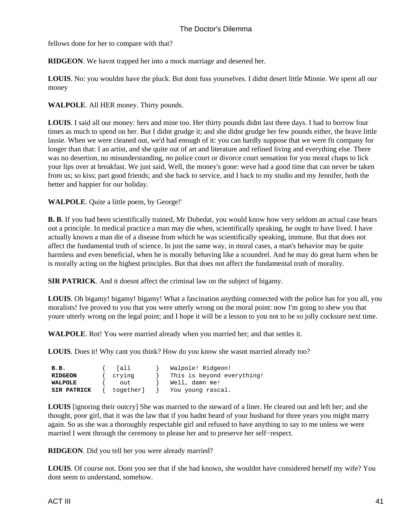fellows done for her to compare with that?

**RIDGEON**. We havnt trapped her into a mock marriage and deserted her.

**LOUIS**. No: you wouldnt have the pluck. But dont fuss yourselves. I didnt desert little Minnie. We spent all our money

#### **WALPOLE**. All HER money. Thirty pounds.

**LOUIS**. I said all our money: hers and mine too. Her thirty pounds didnt last three days. I had to borrow four times as much to spend on her. But I didnt grudge it; and she didnt grudge her few pounds either, the brave little lassie. When we were cleaned out, we'd had enough of it: you can hardly suppose that we were fit company for longer than that: I an artist, and she quite out of art and literature and refined living and everything else. There was no desertion, no misunderstanding, no police court or divorce court sensation for you moral chaps to lick your lips over at breakfast. We just said, Well, the money's gone: weve had a good time that can never be taken from us; so kiss; part good friends; and she back to service, and I back to my studio and my Jennifer, both the better and happier for our holiday.

**WALPOLE**. Quite a little poem, by George!'

**B. B**. If you had been scientifically trained, Mr Dubedat, you would know how very seldom an actual case bears out a principle. In medical practice a man may die when, scientifically speaking, he ought to have lived. I have actually known a man die of a disease from which he was scientifically speaking, immune. But that does not affect the fundamental truth of science. In just the same way, in moral cases, a man's behavior may be quite harmless and even beneficial, when he is morally behaving like a scoundrel. And he may do great harm when he is morally acting on the highest principles. But that does not affect the fundamental truth of morality.

**SIR PATRICK**. And it doesnt affect the criminal law on the subject of bigamy.

**LOUIS**. Oh bigamy! bigamy! bigamy! What a fascination anything connected with the police has for you all, you moralists! Ive proved to you that you were utterly wrong on the moral point: now I'm going to shew you that youre utterly wrong on the legal point; and I hope it will be a lesson to you not to be so jolly cocksure next time.

**WALPOLE**. Rot! You were married already when you married her; and that settles it.

**LOUIS**. Does it! Why cant you think? How do you know she wasnt married already too?

| $B$ . $B$ .    | [all      | Walpole! Ridgeon!          |
|----------------|-----------|----------------------------|
| <b>RIDGEON</b> | crying    | This is beyond everything! |
| WALPOLE        | out       | Well, damn me!             |
| SIR PATRICK    | together] | You young rascal.          |

**LOUIS** [ignoring their outcry] She was married to the steward of a liner. He cleared out and left her; and she thought, poor girl, that it was the law that if you hadnt heard of your husband for three years you might marry again. So as she was a thoroughly respectable girl and refused to have anything to say to me unless we were married I went through the ceremony to please her and to preserve her self−respect.

**RIDGEON**. Did you tell her you were already married?

**LOUIS**. Of course not. Dont you see that if she had known, she wouldnt have considered herself my wife? You dont seem to understand, somehow.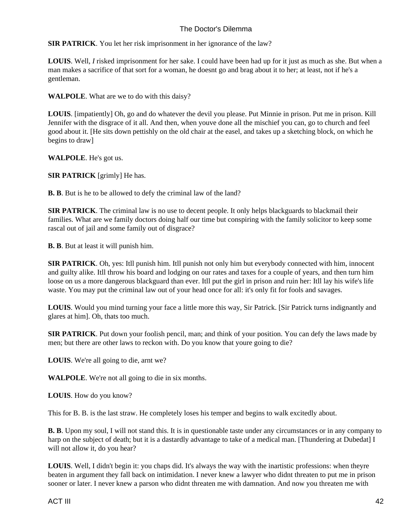**SIR PATRICK**. You let her risk imprisonment in her ignorance of the law?

**LOUIS**. Well, *I* risked imprisonment for her sake. I could have been had up for it just as much as she. But when a man makes a sacrifice of that sort for a woman, he doesnt go and brag about it to her; at least, not if he's a gentleman.

**WALPOLE**. What are we to do with this daisy?

**LOUIS**. [impatiently] Oh, go and do whatever the devil you please. Put Minnie in prison. Put me in prison. Kill Jennifer with the disgrace of it all. And then, when youve done all the mischief you can, go to church and feel good about it. [He sits down pettishly on the old chair at the easel, and takes up a sketching block, on which he begins to draw]

**WALPOLE**. He's got us.

**SIR PATRICK** [grimly] He has.

**B. B**. But is he to be allowed to defy the criminal law of the land?

**SIR PATRICK**. The criminal law is no use to decent people. It only helps blackguards to blackmail their families. What are we family doctors doing half our time but conspiring with the family solicitor to keep some rascal out of jail and some family out of disgrace?

**B. B**. But at least it will punish him.

**SIR PATRICK**. Oh, yes: Itll punish him. Itll punish not only him but everybody connected with him, innocent and guilty alike. Itll throw his board and lodging on our rates and taxes for a couple of years, and then turn him loose on us a more dangerous blackguard than ever. Itll put the girl in prison and ruin her: Itll lay his wife's life waste. You may put the criminal law out of your head once for all: it's only fit for fools and savages.

**LOUIS**. Would you mind turning your face a little more this way, Sir Patrick. [Sir Patrick turns indignantly and glares at him]. Oh, thats too much.

**SIR PATRICK**. Put down your foolish pencil, man; and think of your position. You can defy the laws made by men; but there are other laws to reckon with. Do you know that youre going to die?

**LOUIS**. We're all going to die, arnt we?

**WALPOLE**. We're not all going to die in six months.

**LOUIS**. How do you know?

This for B. B. is the last straw. He completely loses his temper and begins to walk excitedly about.

**B. B**. Upon my soul, I will not stand this. It is in questionable taste under any circumstances or in any company to harp on the subject of death; but it is a dastardly advantage to take of a medical man. [Thundering at Dubedat] I will not allow it, do you hear?

**LOUIS**. Well, I didn't begin it: you chaps did. It's always the way with the inartistic professions: when theyre beaten in argument they fall back on intimidation. I never knew a lawyer who didnt threaten to put me in prison sooner or later. I never knew a parson who didnt threaten me with damnation. And now you threaten me with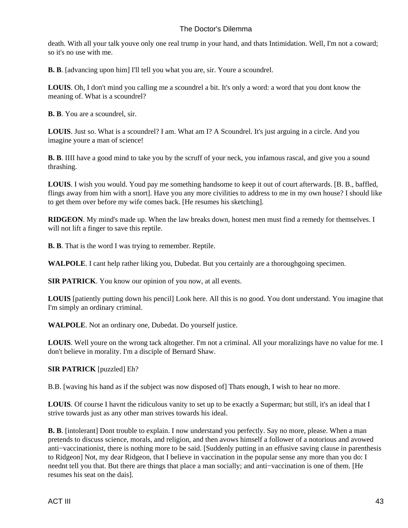death. With all your talk youve only one real trump in your hand, and thats Intimidation. Well, I'm not a coward; so it's no use with me.

**B. B.** [advancing upon him] I'll tell you what you are, sir. Youre a scoundrel.

**LOUIS**. Oh, I don't mind you calling me a scoundrel a bit. It's only a word: a word that you dont know the meaning of. What is a scoundrel?

**B. B**. You are a scoundrel, sir.

**LOUIS**. Just so. What is a scoundrel? I am. What am I? A Scoundrel. It's just arguing in a circle. And you imagine youre a man of science!

**B. B.** IIII have a good mind to take you by the scruff of your neck, you infamous rascal, and give you a sound thrashing.

**LOUIS**. I wish you would. Youd pay me something handsome to keep it out of court afterwards. [B. B., baffled, flings away from him with a snort]. Have you any more civilities to address to me in my own house? I should like to get them over before my wife comes back. [He resumes his sketching].

**RIDGEON**. My mind's made up. When the law breaks down, honest men must find a remedy for themselves. I will not lift a finger to save this reptile.

**B. B**. That is the word I was trying to remember. Reptile.

**WALPOLE**. I cant help rather liking you, Dubedat. But you certainly are a thoroughgoing specimen.

**SIR PATRICK**. You know our opinion of you now, at all events.

**LOUIS** [patiently putting down his pencil] Look here. All this is no good. You dont understand. You imagine that I'm simply an ordinary criminal.

**WALPOLE**. Not an ordinary one, Dubedat. Do yourself justice.

**LOUIS**. Well youre on the wrong tack altogether. I'm not a criminal. All your moralizings have no value for me. I don't believe in morality. I'm a disciple of Bernard Shaw.

#### **SIR PATRICK** [puzzled] Eh?

B.B. [waving his hand as if the subject was now disposed of] Thats enough, I wish to hear no more.

**LOUIS**. Of course I havnt the ridiculous vanity to set up to be exactly a Superman; but still, it's an ideal that I strive towards just as any other man strives towards his ideal.

**B. B.** [intolerant] Dont trouble to explain. I now understand you perfectly. Say no more, please. When a man pretends to discuss science, morals, and religion, and then avows himself a follower of a notorious and avowed anti−vaccinationist, there is nothing more to be said. [Suddenly putting in an effusive saving clause in parenthesis to Ridgeon] Not, my dear Ridgeon, that I believe in vaccination in the popular sense any more than you do: I neednt tell you that. But there are things that place a man socially; and anti−vaccination is one of them. [He resumes his seat on the dais].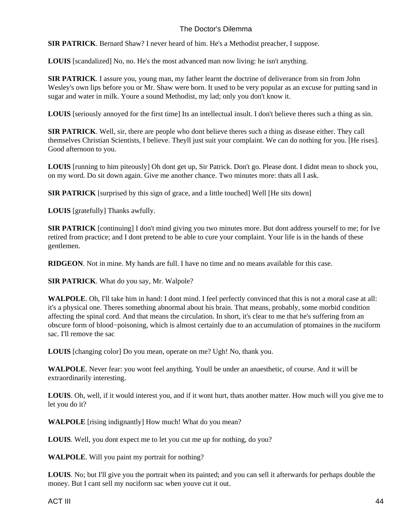**SIR PATRICK**. Bernard Shaw? I never heard of him. He's a Methodist preacher, I suppose.

**LOUIS** [scandalized] No, no. He's the most advanced man now living: he isn't anything.

**SIR PATRICK**. I assure you, young man, my father learnt the doctrine of deliverance from sin from John Wesley's own lips before you or Mr. Shaw were born. It used to be very popular as an excuse for putting sand in sugar and water in milk. Youre a sound Methodist, my lad; only you don't know it.

**LOUIS** [seriously annoyed for the first time] Its an intellectual insult. I don't believe theres such a thing as sin.

**SIR PATRICK**. Well, sir, there are people who dont believe theres such a thing as disease either. They call themselves Christian Scientists, I believe. Theyll just suit your complaint. We can do nothing for you. [He rises]. Good afternoon to you.

**LOUIS** [running to him piteously] Oh dont get up, Sir Patrick. Don't go. Please dont. I didnt mean to shock you, on my word. Do sit down again. Give me another chance. Two minutes more: thats all I ask.

**SIR PATRICK** [surprised by this sign of grace, and a little touched] Well [He sits down]

**LOUIS** [gratefully] Thanks awfully.

**SIR PATRICK** [continuing] I don't mind giving you two minutes more. But dont address yourself to me; for Ive retired from practice; and I dont pretend to be able to cure your complaint. Your life is in the hands of these gentlemen.

**RIDGEON**. Not in mine. My hands are full. I have no time and no means available for this case.

**SIR PATRICK**. What do you say, Mr. Walpole?

**WALPOLE**. Oh, I'll take him in hand: I dont mind. I feel perfectly convinced that this is not a moral case at all: it's a physical one. Theres something abnormal about his brain. That means, probably, some morbid condition affecting the spinal cord. And that means the circulation. In short, it's clear to me that he's suffering from an obscure form of blood−poisoning, which is almost certainly due to an accumulation of ptomaines in the nuciform sac. I'll remove the sac

**LOUIS** [changing color] Do you mean, operate on me? Ugh! No, thank you.

**WALPOLE**. Never fear: you wont feel anything. Youll be under an anaesthetic, of course. And it will be extraordinarily interesting.

**LOUIS**. Oh, well, if it would interest you, and if it wont hurt, thats another matter. How much will you give me to let you do it?

**WALPOLE** [rising indignantly] How much! What do you mean?

**LOUIS**. Well, you dont expect me to let you cut me up for nothing, do you?

**WALPOLE**. Will you paint my portrait for nothing?

**LOUIS**. No; but I'll give you the portrait when its painted; and you can sell it afterwards for perhaps double the money. But I cant sell my nuciform sac when youve cut it out.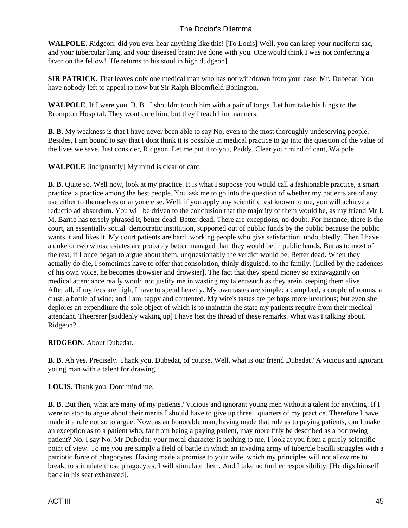**WALPOLE**. Ridgeon: did you ever hear anything like this! [To Louis] Well, you can keep your nuciform sac, and your tubercular lung, and your diseased brain: Ive done with you. One would think I was not conferring a favor on the fellow! [He returns to his stool in high dudgeon].

**SIR PATRICK**. That leaves only one medical man who has not withdrawn from your case, Mr. Dubedat. You have nobody left to appeal to now but Sir Ralph Bloomfield Bonington.

**WALPOLE**. If I were you, B. B., I shouldnt touch him with a pair of tongs. Let him take his lungs to the Brompton Hospital. They wont cure him; but theyll teach him manners.

**B. B**. My weakness is that I have never been able to say No, even to the most thoroughly undeserving people. Besides, I am bound to say that I dont think it is possible in medical practice to go into the question of the value of the lives we save. Just consider, Ridgeon. Let me put it to you, Paddy. Clear your mind of cant, Walpole.

**WALPOLE** [indignantly] My mind is clear of cant.

**B. B**. Quite so. Well now, look at my practice. It is what I suppose you would call a fashionable practice, a smart practice, a practice among the best people. You ask me to go into the question of whether my patients are of any use either to themselves or anyone else. Well, if you apply any scientific test known to me, you will achieve a reductio ad absurdum. You will be driven to the conclusion that the majority of them would be, as my friend Mr J. M. Barrie has tersely phrased it, better dead. Better dead. There are exceptions, no doubt. For instance, there is the court, an essentially social−democratic institution, supported out of public funds by the public because the public wants it and likes it. My court patients are hard−working people who give satisfaction, undoubtedly. Then I have a duke or two whose estates are probably better managed than they would be in public hands. But as to most of the rest, if I once began to argue about them, unquestionably the verdict would be, Better dead. When they actually do die, I sometimes have to offer that consolation, thinly disguised, to the family. [Lulled by the cadences of his own voice, he becomes drowsier and drowsier]. The fact that they spend money so extravagantly on medical attendance really would not justify me in wasting my talents such as they are in keeping them alive. After all, if my fees are high, I have to spend heavily. My own tastes are simple: a camp bed, a couple of rooms, a crust, a bottle of wine; and I am happy and contented. My wife's tastes are perhaps more luxurious; but even she deplores an expenditure the sole object of which is to maintain the state my patients require from their medical attendant. The erer rerer [suddenly waking up] I have lost the thread of these remarks. What was I talking about, Ridgeon?

#### **RIDGEON**. About Dubedat.

**B. B**. Ah yes. Precisely. Thank you. Dubedat, of course. Well, what is our friend Dubedat? A vicious and ignorant young man with a talent for drawing.

**LOUIS**. Thank you. Dont mind me.

**B. B**. But then, what are many of my patients? Vicious and ignorant young men without a talent for anything. If I were to stop to argue about their merits I should have to give up three− quarters of my practice. Therefore I have made it a rule not so to argue. Now, as an honorable man, having made that rule as to paying patients, can I make an exception as to a patient who, far from being a paying patient, may more fitly be described as a borrowing patient? No. I say No. Mr Dubedat: your moral character is nothing to me. I look at you from a purely scientific point of view. To me you are simply a field of battle in which an invading army of tubercle bacilli struggles with a patriotic force of phagocytes. Having made a promise to your wife, which my principles will not allow me to break, to stimulate those phagocytes, I will stimulate them. And I take no further responsibility. [He digs himself back in his seat exhausted].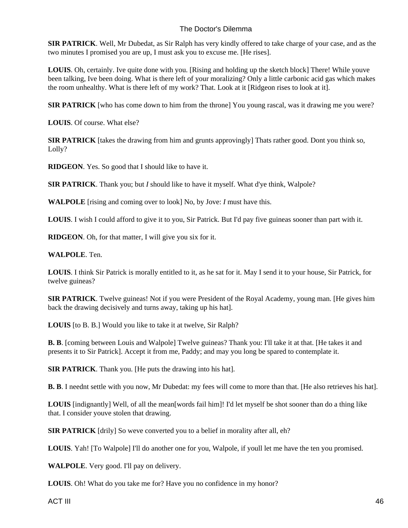**SIR PATRICK**. Well, Mr Dubedat, as Sir Ralph has very kindly offered to take charge of your case, and as the two minutes I promised you are up, I must ask you to excuse me. [He rises].

**LOUIS**. Oh, certainly. Ive quite done with you. [Rising and holding up the sketch block] There! While youve been talking, Ive been doing. What is there left of your moralizing? Only a little carbonic acid gas which makes the room unhealthy. What is there left of my work? That. Look at it [Ridgeon rises to look at it].

**SIR PATRICK** [who has come down to him from the throne] You young rascal, was it drawing me you were?

**LOUIS**. Of course. What else?

**SIR PATRICK** [takes the drawing from him and grunts approvingly] Thats rather good. Dont you think so, Lolly?

**RIDGEON**. Yes. So good that I should like to have it.

**SIR PATRICK**. Thank you; but *I* should like to have it myself. What d'ye think, Walpole?

**WALPOLE** [rising and coming over to look] No, by Jove: *I* must have this.

**LOUIS**. I wish I could afford to give it to you, Sir Patrick. But I'd pay five guineas sooner than part with it.

**RIDGEON**. Oh, for that matter, I will give you six for it.

#### **WALPOLE**. Ten.

**LOUIS**. I think Sir Patrick is morally entitled to it, as he sat for it. May I send it to your house, Sir Patrick, for twelve guineas?

**SIR PATRICK**. Twelve guineas! Not if you were President of the Royal Academy, young man. [He gives him back the drawing decisively and turns away, taking up his hat].

**LOUIS** [to B. B.] Would you like to take it at twelve, Sir Ralph?

**B. B**. [coming between Louis and Walpole] Twelve guineas? Thank you: I'll take it at that. [He takes it and presents it to Sir Patrick]. Accept it from me, Paddy; and may you long be spared to contemplate it.

**SIR PATRICK**. Thank you. [He puts the drawing into his hat].

**B. B**. I neednt settle with you now, Mr Dubedat: my fees will come to more than that. [He also retrieves his hat].

**LOUIS** [indignantly] Well, of all the mean [words fail him]! I'd let myself be shot sooner than do a thing like that. I consider youve stolen that drawing.

**SIR PATRICK** [drily] So weve converted you to a belief in morality after all, eh?

**LOUIS**. Yah! [To Walpole] I'll do another one for you, Walpole, if youll let me have the ten you promised.

**WALPOLE**. Very good. I'll pay on delivery.

**LOUIS**. Oh! What do you take me for? Have you no confidence in my honor?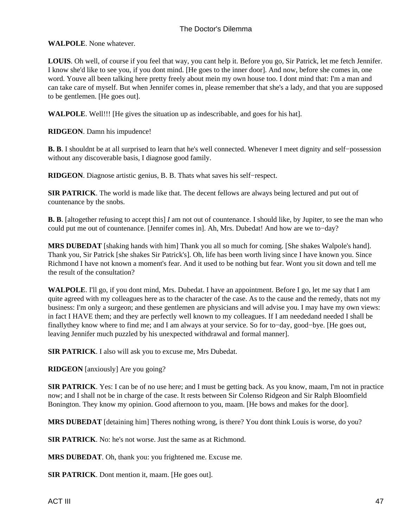**WALPOLE**. None whatever.

**LOUIS**. Oh well, of course if you feel that way, you cant help it. Before you go, Sir Patrick, let me fetch Jennifer. I know she'd like to see you, if you dont mind. [He goes to the inner door]. And now, before she comes in, one word. Youve all been talking here pretty freely about mein my own house too. I dont mind that: I'm a man and can take care of myself. But when Jennifer comes in, please remember that she's a lady, and that you are supposed to be gentlemen. [He goes out].

**WALPOLE**. Well!!! [He gives the situation up as indescribable, and goes for his hat].

**RIDGEON**. Damn his impudence!

**B. B**. I shouldnt be at all surprised to learn that he's well connected. Whenever I meet dignity and self−possession without any discoverable basis, I diagnose good family.

**RIDGEON**. Diagnose artistic genius, B. B. Thats what saves his self−respect.

**SIR PATRICK**. The world is made like that. The decent fellows are always being lectured and put out of countenance by the snobs.

**B. B**. [altogether refusing to accept this] *I* am not out of countenance. I should like, by Jupiter, to see the man who could put me out of countenance. [Jennifer comes in]. Ah, Mrs. Dubedat! And how are we to−day?

**MRS DUBEDAT** [shaking hands with him] Thank you all so much for coming. [She shakes Walpole's hand]. Thank you, Sir Patrick [she shakes Sir Patrick's]. Oh, life has been worth living since I have known you. Since Richmond I have not known a moment's fear. And it used to be nothing but fear. Wont you sit down and tell me the result of the consultation?

**WALPOLE**. I'll go, if you dont mind, Mrs. Dubedat. I have an appointment. Before I go, let me say that I am quite agreed with my colleagues here as to the character of the case. As to the cause and the remedy, thats not my business: I'm only a surgeon; and these gentlemen are physicians and will advise you. I may have my own views: in fact I HAVE them; and they are perfectly well known to my colleagues. If I am neededand needed I shall be finallythey know where to find me; and I am always at your service. So for to−day, good−bye. [He goes out, leaving Jennifer much puzzled by his unexpected withdrawal and formal manner].

**SIR PATRICK**. I also will ask you to excuse me, Mrs Dubedat.

**RIDGEON** [anxiously] Are you going?

**SIR PATRICK.** Yes: I can be of no use here; and I must be getting back. As you know, maam, I'm not in practice now; and I shall not be in charge of the case. It rests between Sir Colenso Ridgeon and Sir Ralph Bloomfield Bonington. They know my opinion. Good afternoon to you, maam. [He bows and makes for the door].

**MRS DUBEDAT** [detaining him] Theres nothing wrong, is there? You dont think Louis is worse, do you?

**SIR PATRICK**. No: he's not worse. Just the same as at Richmond.

**MRS DUBEDAT**. Oh, thank you: you frightened me. Excuse me.

**SIR PATRICK**. Dont mention it, maam. [He goes out].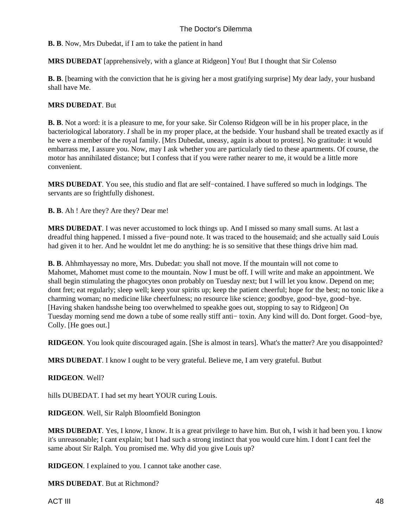**B. B**. Now, Mrs Dubedat, if I am to take the patient in hand

**MRS DUBEDAT** [apprehensively, with a glance at Ridgeon] You! But I thought that Sir Colenso

**B. B.** [beaming with the conviction that he is giving her a most gratifying surprise] My dear lady, your husband shall have Me.

## **MRS DUBEDAT**. But

**B. B**. Not a word: it is a pleasure to me, for your sake. Sir Colenso Ridgeon will be in his proper place, in the bacteriological laboratory. *I* shall be in my proper place, at the bedside. Your husband shall be treated exactly as if he were a member of the royal family. [Mrs Dubedat, uneasy, again is about to protest]. No gratitude: it would embarrass me, I assure you. Now, may I ask whether you are particularly tied to these apartments. Of course, the motor has annihilated distance; but I confess that if you were rather nearer to me, it would be a little more convenient.

**MRS DUBEDAT**. You see, this studio and flat are self−contained. I have suffered so much in lodgings. The servants are so frightfully dishonest.

**B. B**. Ah ! Are they? Are they? Dear me!

**MRS DUBEDAT**. I was never accustomed to lock things up. And I missed so many small sums. At last a dreadful thing happened. I missed a five−pound note. It was traced to the housemaid; and she actually said Louis had given it to her. And he wouldnt let me do anything: he is so sensitive that these things drive him mad.

**B. B.** Ah hm ha yes say no more, Mrs. Dubedat: you shall not move. If the mountain will not come to Mahomet, Mahomet must come to the mountain. Now I must be off. I will write and make an appointment. We shall begin stimulating the phagocytes on on probably on Tuesday next; but I will let you know. Depend on me; dont fret; eat regularly; sleep well; keep your spirits up; keep the patient cheerful; hope for the best; no tonic like a charming woman; no medicine like cheerfulness; no resource like science; goodbye, good−bye, good−bye. [Having shaken handsshe being too overwhelmed to speakhe goes out, stopping to say to Ridgeon] On Tuesday morning send me down a tube of some really stiff anti− toxin. Any kind will do. Dont forget. Good−bye, Colly. [He goes out.]

**RIDGEON**. You look quite discouraged again. [She is almost in tears]. What's the matter? Are you disappointed?

**MRS DUBEDAT**. I know I ought to be very grateful. Believe me, I am very grateful. Butbut

#### **RIDGEON**. Well?

hills DUBEDAT. I had set my heart YOUR curing Louis.

**RIDGEON**. Well, Sir Ralph Bloomfield Bonington

**MRS DUBEDAT.** Yes, I know, I know. It is a great privilege to have him. But oh, I wish it had been you. I know it's unreasonable; I cant explain; but I had such a strong instinct that you would cure him. I dont I cant feel the same about Sir Ralph. You promised me. Why did you give Louis up?

**RIDGEON**. I explained to you. I cannot take another case.

**MRS DUBEDAT**. But at Richmond?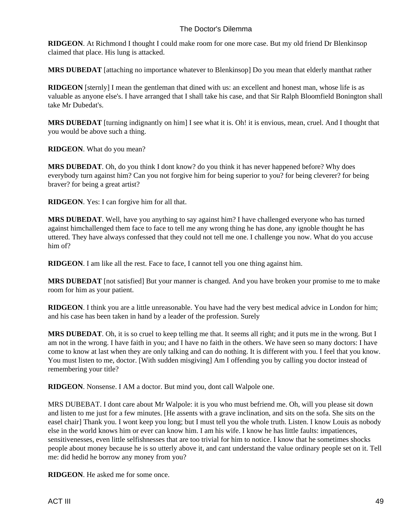**RIDGEON**. At Richmond I thought I could make room for one more case. But my old friend Dr Blenkinsop claimed that place. His lung is attacked.

**MRS DUBEDAT** [attaching no importance whatever to Blenkinsop] Do you mean that elderly manthat rather

**RIDGEON** [sternly] I mean the gentleman that dined with us: an excellent and honest man, whose life is as valuable as anyone else's. I have arranged that I shall take his case, and that Sir Ralph Bloomfield Bonington shall take Mr Dubedat's.

**MRS DUBEDAT** [turning indignantly on him] I see what it is. Oh! it is envious, mean, cruel. And I thought that you would be above such a thing.

**RIDGEON**. What do you mean?

**MRS DUBEDAT**. Oh, do you think I dont know? do you think it has never happened before? Why does everybody turn against him? Can you not forgive him for being superior to you? for being cleverer? for being braver? for being a great artist?

**RIDGEON**. Yes: I can forgive him for all that.

**MRS DUBEDAT**. Well, have you anything to say against him? I have challenged everyone who has turned against himchallenged them face to face to tell me any wrong thing he has done, any ignoble thought he has uttered. They have always confessed that they could not tell me one. I challenge you now. What do you accuse him of?

**RIDGEON**. I am like all the rest. Face to face, I cannot tell you one thing against him.

**MRS DUBEDAT** [not satisfied] But your manner is changed. And you have broken your promise to me to make room for him as your patient.

**RIDGEON**. I think you are a little unreasonable. You have had the very best medical advice in London for him; and his case has been taken in hand by a leader of the profession. Surely

**MRS DUBEDAT**. Oh, it is so cruel to keep telling me that. It seems all right; and it puts me in the wrong. But I am not in the wrong. I have faith in you; and I have no faith in the others. We have seen so many doctors: I have come to know at last when they are only talking and can do nothing. It is different with you. I feel that you know. You must listen to me, doctor. [With sudden misgiving] Am I offending you by calling you doctor instead of remembering your title?

**RIDGEON**. Nonsense. I AM a doctor. But mind you, dont call Walpole one.

MRS DUBEBAT. I dont care about Mr Walpole: it is you who must befriend me. Oh, will you please sit down and listen to me just for a few minutes. [He assents with a grave inclination, and sits on the sofa. She sits on the easel chair] Thank you. I wont keep you long; but I must tell you the whole truth. Listen. I know Louis as nobody else in the world knows him or ever can know him. I am his wife. I know he has little faults: impatiences, sensitivenesses, even little selfishnesses that are too trivial for him to notice. I know that he sometimes shocks people about money because he is so utterly above it, and cant understand the value ordinary people set on it. Tell me: did he did he borrow any money from you?

**RIDGEON**. He asked me for some once.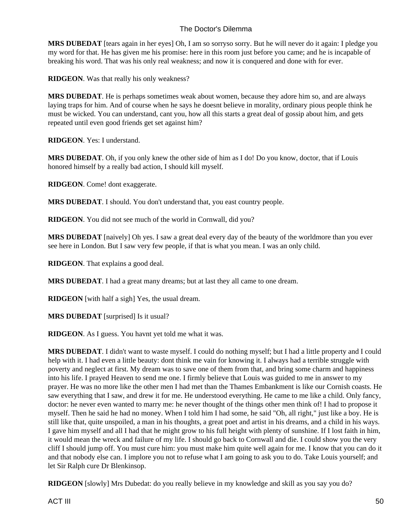**MRS DUBEDAT** [tears again in her eyes] Oh, I am so sorry so sorry. But he will never do it again: I pledge you my word for that. He has given me his promise: here in this room just before you came; and he is incapable of breaking his word. That was his only real weakness; and now it is conquered and done with for ever.

**RIDGEON**. Was that really his only weakness?

**MRS DUBEDAT**. He is perhaps sometimes weak about women, because they adore him so, and are always laying traps for him. And of course when he says he doesnt believe in morality, ordinary pious people think he must be wicked. You can understand, cant you, how all this starts a great deal of gossip about him, and gets repeated until even good friends get set against him?

**RIDGEON**. Yes: I understand.

**MRS DUBEDAT**. Oh, if you only knew the other side of him as I do! Do you know, doctor, that if Louis honored himself by a really bad action, I should kill myself.

**RIDGEON**. Come! dont exaggerate.

**MRS DUBEDAT**. I should. You don't understand that, you east country people.

**RIDGEON**. You did not see much of the world in Cornwall, did you?

**MRS DUBEDAT** [naively] Oh yes. I saw a great deal every day of the beauty of the world more than you ever see here in London. But I saw very few people, if that is what you mean. I was an only child.

**RIDGEON**. That explains a good deal.

**MRS DUBEDAT**. I had a great many dreams; but at last they all came to one dream.

**RIDGEON** [with half a sigh] Yes, the usual dream.

**MRS DUBEDAT** [surprised] Is it usual?

**RIDGEON**. As I guess. You havnt yet told me what it was.

**MRS DUBEDAT**. I didn't want to waste myself. I could do nothing myself; but I had a little property and I could help with it. I had even a little beauty: dont think me vain for knowing it. I always had a terrible struggle with poverty and neglect at first. My dream was to save one of them from that, and bring some charm and happiness into his life. I prayed Heaven to send me one. I firmly believe that Louis was guided to me in answer to my prayer. He was no more like the other men I had met than the Thames Embankment is like our Cornish coasts. He saw everything that I saw, and drew it for me. He understood everything. He came to me like a child. Only fancy, doctor: he never even wanted to marry me: he never thought of the things other men think of! I had to propose it myself. Then he said he had no money. When I told him I had some, he said "Oh, all right," just like a boy. He is still like that, quite unspoiled, a man in his thoughts, a great poet and artist in his dreams, and a child in his ways. I gave him myself and all I had that he might grow to his full height with plenty of sunshine. If I lost faith in him, it would mean the wreck and failure of my life. I should go back to Cornwall and die. I could show you the very cliff I should jump off. You must cure him: you must make him quite well again for me. I know that you can do it and that nobody else can. I implore you not to refuse what I am going to ask you to do. Take Louis yourself; and let Sir Ralph cure Dr Blenkinsop.

**RIDGEON** [slowly] Mrs Dubedat: do you really believe in my knowledge and skill as you say you do?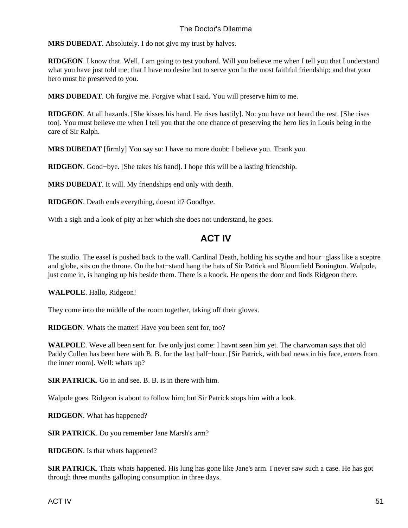**MRS DUBEDAT**. Absolutely. I do not give my trust by halves.

**RIDGEON**. I know that. Well, I am going to test youhard. Will you believe me when I tell you that I understand what you have just told me; that I have no desire but to serve you in the most faithful friendship; and that your hero must be preserved to you.

**MRS DUBEDAT**. Oh forgive me. Forgive what I said. You will preserve him to me.

**RIDGEON**. At all hazards. [She kisses his hand. He rises hastily]. No: you have not heard the rest. [She rises too]. You must believe me when I tell you that the one chance of preserving the hero lies in Louis being in the care of Sir Ralph.

**MRS DUBEDAT** [firmly] You say so: I have no more doubt: I believe you. Thank you.

**RIDGEON**. Good−bye. [She takes his hand]. I hope this will be a lasting friendship.

**MRS DUBEDAT**. It will. My friendships end only with death.

**RIDGEON**. Death ends everything, doesnt it? Goodbye.

<span id="page-52-0"></span>With a sigh and a look of pity at her which she does not understand, he goes.

## **ACT IV**

The studio. The easel is pushed back to the wall. Cardinal Death, holding his scythe and hour−glass like a sceptre and globe, sits on the throne. On the hat−stand hang the hats of Sir Patrick and Bloomfield Bonington. Walpole, just come in, is hanging up his beside them. There is a knock. He opens the door and finds Ridgeon there.

#### **WALPOLE**. Hallo, Ridgeon!

They come into the middle of the room together, taking off their gloves.

**RIDGEON**. Whats the matter! Have you been sent for, too?

**WALPOLE**. Weve all been sent for. Ive only just come: I havnt seen him yet. The charwoman says that old Paddy Cullen has been here with B. B. for the last half−hour. [Sir Patrick, with bad news in his face, enters from the inner room]. Well: whats up?

**SIR PATRICK**. Go in and see. B. B. is in there with him.

Walpole goes. Ridgeon is about to follow him; but Sir Patrick stops him with a look.

**RIDGEON**. What has happened?

**SIR PATRICK**. Do you remember Jane Marsh's arm?

**RIDGEON**. Is that whats happened?

**SIR PATRICK**. Thats whats happened. His lung has gone like Jane's arm. I never saw such a case. He has got through three months galloping consumption in three days.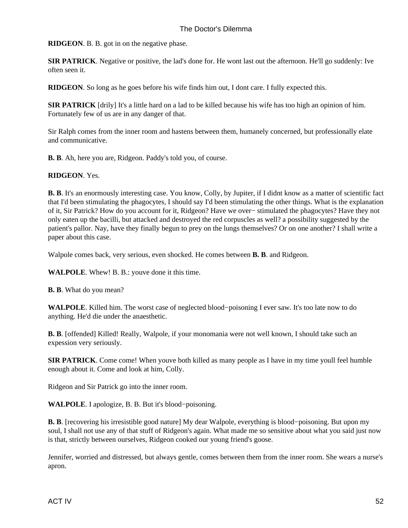**RIDGEON**. B. B. got in on the negative phase.

**SIR PATRICK**. Negative or positive, the lad's done for. He wont last out the afternoon. He'll go suddenly: Ive often seen it.

**RIDGEON**. So long as he goes before his wife finds him out, I dont care. I fully expected this.

**SIR PATRICK** [drily] It's a little hard on a lad to be killed because his wife has too high an opinion of him. Fortunately few of us are in any danger of that.

Sir Ralph comes from the inner room and hastens between them, humanely concerned, but professionally elate and communicative.

**B. B**. Ah, here you are, Ridgeon. Paddy's told you, of course.

**RIDGEON**. Yes.

**B. B**. It's an enormously interesting case. You know, Colly, by Jupiter, if I didnt know as a matter of scientific fact that I'd been stimulating the phagocytes, I should say I'd been stimulating the other things. What is the explanation of it, Sir Patrick? How do you account for it, Ridgeon? Have we over− stimulated the phagocytes? Have they not only eaten up the bacilli, but attacked and destroyed the red corpuscles as well? a possibility suggested by the patient's pallor. Nay, have they finally begun to prey on the lungs themselves? Or on one another? I shall write a paper about this case.

Walpole comes back, very serious, even shocked. He comes between **B. B**. and Ridgeon.

**WALPOLE**. Whew! B. B.: youve done it this time.

**B. B**. What do you mean?

**WALPOLE**. Killed him. The worst case of neglected blood−poisoning I ever saw. It's too late now to do anything. He'd die under the anaesthetic.

**B. B**. [offended] Killed! Really, Walpole, if your monomania were not well known, I should take such an expession very seriously.

**SIR PATRICK**. Come come! When youve both killed as many people as I have in my time youll feel humble enough about it. Come and look at him, Colly.

Ridgeon and Sir Patrick go into the inner room.

**WALPOLE**. I apologize, B. B. But it's blood−poisoning.

**B. B**. [recovering his irresistible good nature] My dear Walpole, everything is blood−poisoning. But upon my soul, I shall not use any of that stuff of Ridgeon's again. What made me so sensitive about what you said just now is that, strictly between ourselves, Ridgeon cooked our young friend's goose.

Jennifer, worried and distressed, but always gentle, comes between them from the inner room. She wears a nurse's apron.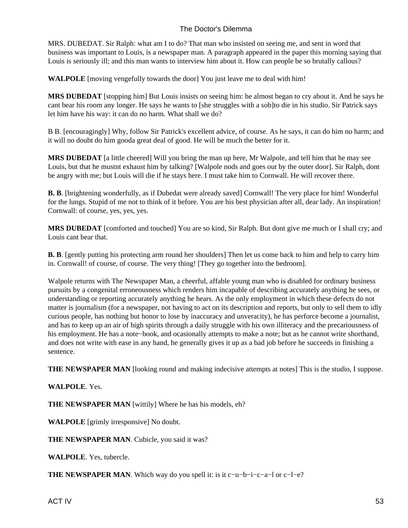MRS. DUBEDAT. Sir Ralph: what am I to do? That man who insisted on seeing me, and sent in word that business was important to Louis, is a newspaper man. A paragraph appeared in the paper this morning saying that Louis is seriously ill; and this man wants to interview him about it. How can people be so brutally callous?

**WALPOLE** [moving vengefully towards the door] You just leave me to deal with him!

**MRS DUBEDAT** [stopping him] But Louis insists on seeing him: he almost began to cry about it. And he says he cant bear his room any longer. He says he wants to [she struggles with a sob] to die in his studio. Sir Patrick says let him have his way: it can do no harm. What shall we do?

B B. [encouragingly] Why, follow Sir Patrick's excellent advice, of course. As he says, it can do him no harm; and it will no doubt do him gooda great deal of good. He will be much the better for it.

**MRS DUBEDAT** [a little cheered] Will you bring the man up here, Mr Walpole, and tell him that he may see Louis, but that he mustnt exhaust him by talking? [Walpole nods and goes out by the outer door]. Sir Ralph, dont be angry with me; but Louis will die if he stays here. I must take him to Cornwall. He will recover there.

**B. B**. [brightening wonderfully, as if Dubedat were already saved] Cornwall! The very place for him! Wonderful for the lungs. Stupid of me not to think of it before. You are his best physician after all, dear lady. An inspiration! Cornwall: of course, yes, yes, yes.

**MRS DUBEDAT** [comforted and touched] You are so kind, Sir Ralph. But dont give me much or I shall cry; and Louis cant bear that.

**B. B**. [gently putting his protecting arm round her shoulders] Then let us come back to him and help to carry him in. Cornwall! of course, of course. The very thing! [They go together into the bedroom].

Walpole returns with The Newspaper Man, a cheerful, affable young man who is disabled for ordinary business pursuits by a congenital erroneousness which renders him incapable of describing accurately anything he sees, or understanding or reporting accurately anything he hears. As the only employment in which these defects do not matter is journalism (for a newspaper, not having to act on its description and reports, but only to sell them to idly curious people, has nothing but honor to lose by inaccuracy and unveracity), he has perforce become a journalist, and has to keep up an air of high spirits through a daily struggle with his own illiteracy and the precariousness of his employment. He has a note−book, and ocasionally attempts to make a note; but as he cannot write shorthand, and does not write with ease in any hand, he generally gives it up as a bad job before he succeeds in finishing a sentence.

**THE NEWSPAPER MAN** [looking round and making indecisive attempts at notes] This is the studio, I suppose.

#### **WALPOLE**. Yes.

**THE NEWSPAPER MAN** [wittily] Where he has his models, eh?

**WALPOLE** [grimly irresponsive] No doubt.

**THE NEWSPAPER MAN**. Cubicle, you said it was?

**WALPOLE**. Yes, tubercle.

**THE NEWSPAPER MAN.** Which way do you spell it: is it c−u−b−i−c−a−l or c−l−e?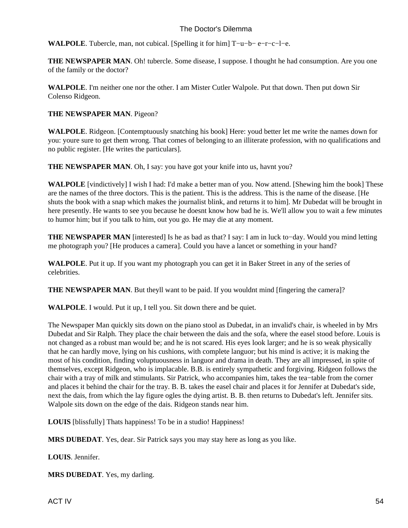**WALPOLE**. Tubercle, man, not cubical. [Spelling it for him] T−u−b− e−r−c−l−e.

**THE NEWSPAPER MAN.** Oh! tubercle. Some disease, I suppose. I thought he had consumption. Are you one of the family or the doctor?

**WALPOLE**. I'm neither one nor the other. I am Mister Cutler Walpole. Put that down. Then put down Sir Colenso Ridgeon.

#### **THE NEWSPAPER MAN**. Pigeon?

**WALPOLE**. Ridgeon. [Contemptuously snatching his book] Here: youd better let me write the names down for you: youre sure to get them wrong. That comes of belonging to an illiterate profession, with no qualifications and no public register. [He writes the particulars].

**THE NEWSPAPER MAN.** Oh, I say: you have got your knife into us, havnt you?

**WALPOLE** [vindictively] I wish I had: I'd make a better man of you. Now attend. [Shewing him the book] These are the names of the three doctors. This is the patient. This is the address. This is the name of the disease. [He shuts the book with a snap which makes the journalist blink, and returns it to him]. Mr Dubedat will be brought in here presently. He wants to see you because he doesnt know how bad he is. We'll allow you to wait a few minutes to humor him; but if you talk to him, out you go. He may die at any moment.

**THE NEWSPAPER MAN** [interested] Is he as bad as that? I say: I am in luck to−day. Would you mind letting me photograph you? [He produces a camera]. Could you have a lancet or something in your hand?

**WALPOLE**. Put it up. If you want my photograph you can get it in Baker Street in any of the series of celebrities.

**THE NEWSPAPER MAN.** But theyll want to be paid. If you wouldnt mind [fingering the camera]?

**WALPOLE**. I would. Put it up, I tell you. Sit down there and be quiet.

The Newspaper Man quickly sits down on the piano stool as Dubedat, in an invalid's chair, is wheeled in by Mrs Dubedat and Sir Ralph. They place the chair between the dais and the sofa, where the easel stood before. Louis is not changed as a robust man would be; and he is not scared. His eyes look larger; and he is so weak physically that he can hardly move, lying on his cushions, with complete languor; but his mind is active; it is making the most of his condition, finding voluptuousness in languor and drama in death. They are all impressed, in spite of themselves, except Ridgeon, who is implacable. B.B. is entirely sympathetic and forgiving. Ridgeon follows the chair with a tray of milk and stimulants. Sir Patrick, who accompanies him, takes the tea−table from the corner and places it behind the chair for the tray. B. B. takes the easel chair and places it for Jennifer at Dubedat's side, next the dais, from which the lay figure ogles the dying artist. B. B. then returns to Dubedat's left. Jennifer sits. Walpole sits down on the edge of the dais. Ridgeon stands near him.

**LOUIS** [blissfully] Thats happiness! To be in a studio! Happiness!

**MRS DUBEDAT**. Yes, dear. Sir Patrick says you may stay here as long as you like.

**LOUIS**. Jennifer.

**MRS DUBEDAT**. Yes, my darling.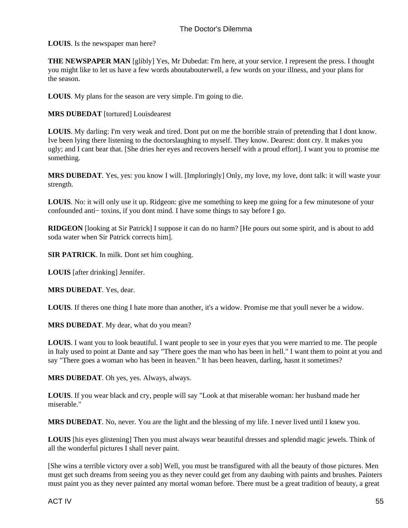**LOUIS**. Is the newspaper man here?

**THE NEWSPAPER MAN** [glibly] Yes, Mr Dubedat: I'm here, at your service. I represent the press. I thought you might like to let us have a few words about about er well, a few words on your illness, and your plans for the season.

**LOUIS**. My plans for the season are very simple. I'm going to die.

**MRS DUBEDAT** [tortured] Louis dearest

**LOUIS**. My darling: I'm very weak and tired. Dont put on me the horrible strain of pretending that I dont know. Ive been lying there listening to the doctors laughing to myself. They know. Dearest: dont cry. It makes you ugly; and I cant bear that. [She dries her eyes and recovers herself with a proud effort]. I want you to promise me something.

**MRS DUBEDAT**. Yes, yes: you know I will. [Imploringly] Only, my love, my love, dont talk: it will waste your strength.

**LOUIS**. No: it will only use it up. Ridgeon: give me something to keep me going for a few minutes one of your confounded anti− toxins, if you dont mind. I have some things to say before I go.

**RIDGEON** [looking at Sir Patrick] I suppose it can do no harm? [He pours out some spirit, and is about to add soda water when Sir Patrick corrects him].

**SIR PATRICK**. In milk. Dont set him coughing.

**LOUIS** [after drinking] Jennifer.

**MRS DUBEDAT**. Yes, dear.

**LOUIS**. If theres one thing I hate more than another, it's a widow. Promise me that youll never be a widow.

**MRS DUBEDAT**. My dear, what do you mean?

**LOUIS**. I want you to look beautiful. I want people to see in your eyes that you were married to me. The people in Italy used to point at Dante and say "There goes the man who has been in hell." I want them to point at you and say "There goes a woman who has been in heaven." It has been heaven, darling, hasnt it sometimes?

**MRS DUBEDAT**. Oh yes, yes. Always, always.

**LOUIS**. If you wear black and cry, people will say "Look at that miserable woman: her husband made her miserable."

**MRS DUBEDAT**. No, never. You are the light and the blessing of my life. I never lived until I knew you.

**LOUIS** [his eyes glistening] Then you must always wear beautiful dresses and splendid magic jewels. Think of all the wonderful pictures I shall never paint.

[She wins a terrible victory over a sob] Well, you must be transfigured with all the beauty of those pictures. Men must get such dreams from seeing you as they never could get from any daubing with paints and brushes. Painters must paint you as they never painted any mortal woman before. There must be a great tradition of beauty, a great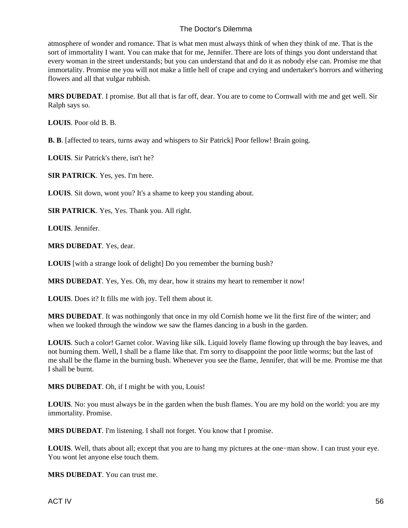atmosphere of wonder and romance. That is what men must always think of when they think of me. That is the sort of immortality I want. You can make that for me, Jennifer. There are lots of things you dont understand that every woman in the street understands; but you can understand that and do it as nobody else can. Promise me that immortality. Promise me you will not make a little hell of crape and crying and undertaker's horrors and withering flowers and all that vulgar rubbish.

**MRS DUBEDAT**. I promise. But all that is far off, dear. You are to come to Cornwall with me and get well. Sir Ralph says so.

**LOUIS**. Poor old B. B.

**B. B**. [affected to tears, turns away and whispers to Sir Patrick] Poor fellow! Brain going.

**LOUIS**. Sir Patrick's there, isn't he?

**SIR PATRICK**. Yes, yes. I'm here.

**LOUIS**. Sit down, wont you? It's a shame to keep you standing about.

**SIR PATRICK**. Yes, Yes. Thank you. All right.

**LOUIS**. Jennifer.

**MRS DUBEDAT**. Yes, dear.

**LOUIS** [with a strange look of delight] Do you remember the burning bush?

**MRS DUBEDAT**. Yes, Yes. Oh, my dear, how it strains my heart to remember it now!

**LOUIS**. Does it? It fills me with joy. Tell them about it.

**MRS DUBEDAT**. It was nothing only that once in my old Cornish home we lit the first fire of the winter; and when we looked through the window we saw the flames dancing in a bush in the garden.

**LOUIS**. Such a color! Garnet color. Waving like silk. Liquid lovely flame flowing up through the bay leaves, and not burning them. Well, I shall be a flame like that. I'm sorry to disappoint the poor little worms; but the last of me shall be the flame in the burning bush. Whenever you see the flame, Jennifer, that will be me. Promise me that I shall be burnt.

**MRS DUBEDAT**. Oh, if I might be with you, Louis!

**LOUIS**. No: you must always be in the garden when the bush flames. You are my hold on the world: you are my immortality. Promise.

**MRS DUBEDAT**. I'm listening. I shall not forget. You know that I promise.

**LOUIS**. Well, thats about all; except that you are to hang my pictures at the one−man show. I can trust your eye. You wont let anyone else touch them.

**MRS DUBEDAT**. You can trust me.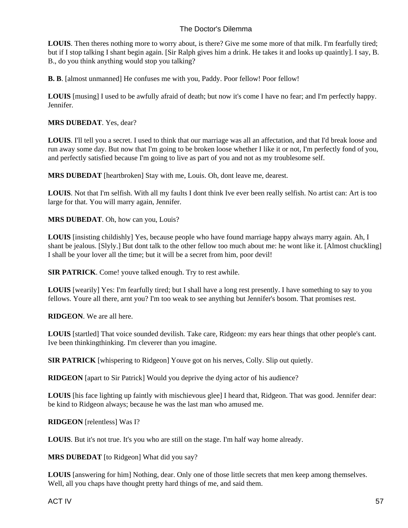**LOUIS**. Then theres nothing more to worry about, is there? Give me some more of that milk. I'm fearfully tired; but if I stop talking I shant begin again. [Sir Ralph gives him a drink. He takes it and looks up quaintly]. I say, B. B., do you think anything would stop you talking?

**B. B.** [almost unmanned] He confuses me with you, Paddy. Poor fellow! Poor fellow!

**LOUIS** [musing] I used to be awfully afraid of death; but now it's come I have no fear; and I'm perfectly happy. Jennifer.

#### **MRS DUBEDAT**. Yes, dear?

**LOUIS**. I'll tell you a secret. I used to think that our marriage was all an affectation, and that I'd break loose and run away some day. But now that I'm going to be broken loose whether I like it or not, I'm perfectly fond of you, and perfectly satisfied because I'm going to live as part of you and not as my troublesome self.

**MRS DUBEDAT** [heartbroken] Stay with me, Louis. Oh, dont leave me, dearest.

**LOUIS**. Not that I'm selfish. With all my faults I dont think Ive ever been really selfish. No artist can: Art is too large for that. You will marry again, Jennifer.

**MRS DUBEDAT**. Oh, how can you, Louis?

**LOUIS** [insisting childishly] Yes, because people who have found marriage happy always marry again. Ah, I shant be jealous. [Slyly.] But dont talk to the other fellow too much about me: he wont like it. [Almost chuckling] I shall be your lover all the time; but it will be a secret from him, poor devil!

**SIR PATRICK**. Come! youve talked enough. Try to rest awhile.

**LOUIS** [wearily] Yes: I'm fearfully tired; but I shall have a long rest presently. I have something to say to you fellows. Youre all there, arnt you? I'm too weak to see anything but Jennifer's bosom. That promises rest.

**RIDGEON**. We are all here.

**LOUIS** [startled] That voice sounded devilish. Take care, Ridgeon: my ears hear things that other people's cant. Ive been thinking thinking. I'm cleverer than you imagine.

**SIR PATRICK** [whispering to Ridgeon] Youve got on his nerves, Colly. Slip out quietly.

**RIDGEON** [apart to Sir Patrick] Would you deprive the dying actor of his audience?

**LOUIS** [his face lighting up faintly with mischievous glee] I heard that, Ridgeon. That was good. Jennifer dear: be kind to Ridgeon always; because he was the last man who amused me.

**RIDGEON** [relentless] Was I?

**LOUIS**. But it's not true. It's you who are still on the stage. I'm half way home already.

**MRS DUBEDAT** [to Ridgeon] What did you say?

**LOUIS** [answering for him] Nothing, dear. Only one of those little secrets that men keep among themselves. Well, all you chaps have thought pretty hard things of me, and said them.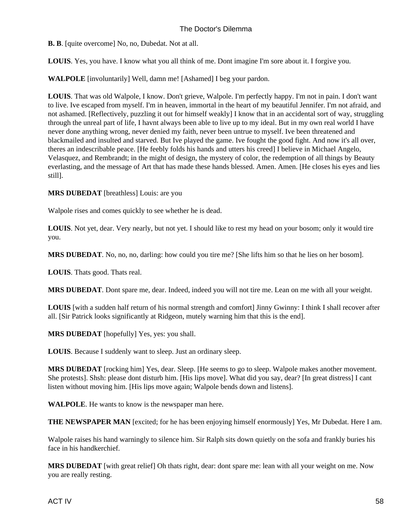**B. B**. [quite overcome] No, no, Dubedat. Not at all.

**LOUIS**. Yes, you have. I know what you all think of me. Dont imagine I'm sore about it. I forgive you.

**WALPOLE** [involuntarily] Well, damn me! [Ashamed] I beg your pardon.

**LOUIS**. That was old Walpole, I know. Don't grieve, Walpole. I'm perfectly happy. I'm not in pain. I don't want to live. Ive escaped from myself. I'm in heaven, immortal in the heart of my beautiful Jennifer. I'm not afraid, and not ashamed. [Reflectively, puzzling it out for himself weakly] I know that in an accidental sort of way, struggling through the unreal part of life, I havnt always been able to live up to my ideal. But in my own real world I have never done anything wrong, never denied my faith, never been untrue to myself. Ive been threatened and blackmailed and insulted and starved. But Ive played the game. Ive fought the good fight. And now it's all over, theres an indescribable peace. [He feebly folds his hands and utters his creed] I believe in Michael Angelo, Velasquez, and Rembrandt; in the might of design, the mystery of color, the redemption of all things by Beauty everlasting, and the message of Art that has made these hands blessed. Amen. Amen. [He closes his eyes and lies still].

**MRS DUBEDAT** [breathless] Louis: are you

Walpole rises and comes quickly to see whether he is dead.

**LOUIS**. Not yet, dear. Very nearly, but not yet. I should like to rest my head on your bosom; only it would tire you.

**MRS DUBEDAT**. No, no, no, darling: how could you tire me? [She lifts him so that he lies on her bosom].

**LOUIS**. Thats good. Thats real.

**MRS DUBEDAT**. Dont spare me, dear. Indeed, indeed you will not tire me. Lean on me with all your weight.

**LOUIS** [with a sudden half return of his normal strength and comfort] Jinny Gwinny: I think I shall recover after all. [Sir Patrick looks significantly at Ridgeon, mutely warning him that this is the end].

**MRS DUBEDAT** [hopefully] Yes, yes: you shall.

**LOUIS**. Because I suddenly want to sleep. Just an ordinary sleep.

**MRS DUBEDAT** [rocking him] Yes, dear. Sleep. [He seems to go to sleep. Walpole makes another movement. She protests]. Sh sh: please dont disturb him. [His lips move]. What did you say, dear? [In great distress] I cant listen without moving him. [His lips move again; Walpole bends down and listens].

**WALPOLE**. He wants to know is the newspaper man here.

**THE NEWSPAPER MAN** [excited; for he has been enjoying himself enormously] Yes, Mr Dubedat. Here I am.

Walpole raises his hand warningly to silence him. Sir Ralph sits down quietly on the sofa and frankly buries his face in his handkerchief.

**MRS DUBEDAT** [with great relief] Oh thats right, dear: dont spare me: lean with all your weight on me. Now you are really resting.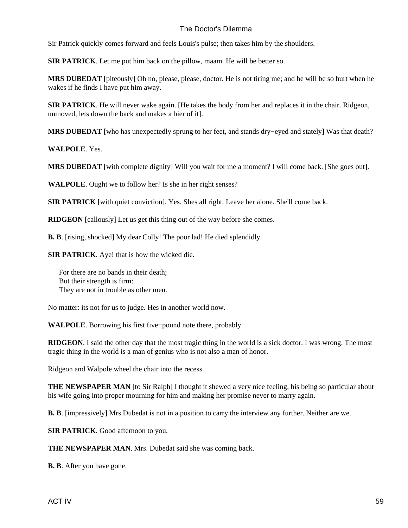Sir Patrick quickly comes forward and feels Louis's pulse; then takes him by the shoulders.

**SIR PATRICK**. Let me put him back on the pillow, maam. He will be better so.

**MRS DUBEDAT** [piteously] Oh no, please, please, doctor. He is not tiring me; and he will be so hurt when he wakes if he finds I have put him away.

**SIR PATRICK**. He will never wake again. [He takes the body from her and replaces it in the chair. Ridgeon, unmoved, lets down the back and makes a bier of it].

**MRS DUBEDAT** [who has unexpectedly sprung to her feet, and stands dry−eyed and stately] Was that death?

**WALPOLE**. Yes.

**MRS DUBEDAT** [with complete dignity] Will you wait for me a moment? I will come back. [She goes out].

**WALPOLE**. Ought we to follow her? Is she in her right senses?

**SIR PATRICK** [with quiet conviction]. Yes. Shes all right. Leave her alone. She'll come back.

**RIDGEON** [callously] Let us get this thing out of the way before she comes.

**B. B**. [rising, shocked] My dear Colly! The poor lad! He died splendidly.

**SIR PATRICK**. Aye! that is how the wicked die.

 For there are no bands in their death; But their strength is firm: They are not in trouble as other men.

No matter: its not for us to judge. Hes in another world now.

**WALPOLE**. Borrowing his first five−pound note there, probably.

**RIDGEON**. I said the other day that the most tragic thing in the world is a sick doctor. I was wrong. The most tragic thing in the world is a man of genius who is not also a man of honor.

Ridgeon and Walpole wheel the chair into the recess.

**THE NEWSPAPER MAN** [to Sir Ralph] I thought it shewed a very nice feeling, his being so particular about his wife going into proper mourning for him and making her promise never to marry again.

**B. B**. [impressively] Mrs Dubedat is not in a position to carry the interview any further. Neither are we.

**SIR PATRICK**. Good afternoon to you.

**THE NEWSPAPER MAN**. Mrs. Dubedat said she was coming back.

**B. B**. After you have gone.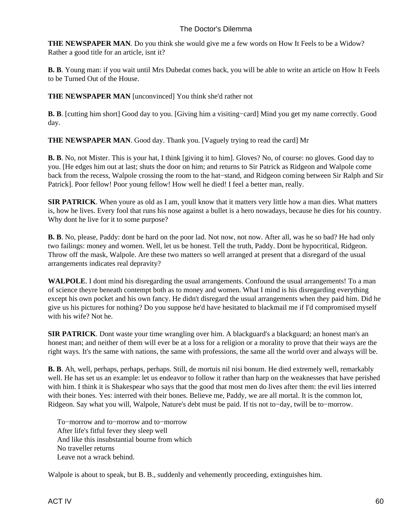**THE NEWSPAPER MAN**. Do you think she would give me a few words on How It Feels to be a Widow? Rather a good title for an article, isnt it?

**B. B**. Young man: if you wait until Mrs Dubedat comes back, you will be able to write an article on How It Feels to be Turned Out of the House.

**THE NEWSPAPER MAN** [unconvinced] You think she'd rather not

**B. B**. [cutting him short] Good day to you. [Giving him a visiting–card] Mind you get my name correctly. Good day.

**THE NEWSPAPER MAN**. Good day. Thank you. [Vaguely trying to read the card] Mr

**B. B**. No, not Mister. This is your hat, I think [giving it to him]. Gloves? No, of course: no gloves. Good day to you. [He edges him out at last; shuts the door on him; and returns to Sir Patrick as Ridgeon and Walpole come back from the recess, Walpole crossing the room to the hat−stand, and Ridgeon coming between Sir Ralph and Sir Patrick]. Poor fellow! Poor young fellow! How well he died! I feel a better man, really.

**SIR PATRICK**. When youre as old as I am, youll know that it matters very little how a man dies. What matters is, how he lives. Every fool that runs his nose against a bullet is a hero nowadays, because he dies for his country. Why dont he live for it to some purpose?

**B. B**. No, please, Paddy: dont be hard on the poor lad. Not now, not now. After all, was he so bad? He had only two failings: money and women. Well, let us be honest. Tell the truth, Paddy. Dont be hypocritical, Ridgeon. Throw off the mask, Walpole. Are these two matters so well arranged at present that a disregard of the usual arrangements indicates real depravity?

**WALPOLE**. I dont mind his disregarding the usual arrangements. Confound the usual arrangements! To a man of science theyre beneath contempt both as to money and women. What I mind is his disregarding everything except his own pocket and his own fancy. He didn't disregard the usual arrangements when they paid him. Did he give us his pictures for nothing? Do you suppose he'd have hesitated to blackmail me if I'd compromised myself with his wife? Not he.

**SIR PATRICK**. Dont waste your time wrangling over him. A blackguard's a blackguard; an honest man's an honest man; and neither of them will ever be at a loss for a religion or a morality to prove that their ways are the right ways. It's the same with nations, the same with professions, the same all the world over and always will be.

**B. B**. Ah, well, perhaps, perhaps, perhaps. Still, de mortuis nil nisi bonum. He died extremely well, remarkably well. He has set us an example: let us endeavor to follow it rather than harp on the weaknesses that have perished with him. I think it is Shakespear who says that the good that most men do lives after them: the evil lies interred with their bones. Yes: interred with their bones. Believe me, Paddy, we are all mortal. It is the common lot, Ridgeon. Say what you will, Walpole, Nature's debt must be paid. If tis not to−day, twill be to−morrow.

 To−morrow and to−morrow and to−morrow After life's fitful fever they sleep well And like this insubstantial bourne from which No traveller returns Leave not a wrack behind.

Walpole is about to speak, but B. B., suddenly and vehemently proceeding, extinguishes him.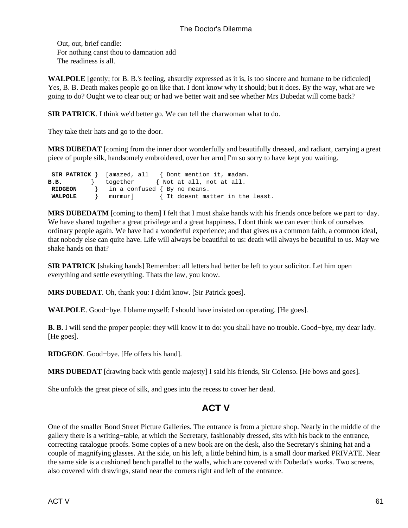Out, out, brief candle: For nothing canst thou to damnation add The readiness is all.

**WALPOLE** [gently; for B. B.'s feeling, absurdly expressed as it is, is too sincere and humane to be ridiculed] Yes, B. B. Death makes people go on like that. I dont know why it should; but it does. By the way, what are we going to do? Ought we to clear out; or had we better wait and see whether Mrs Dubedat will come back?

**SIR PATRICK**. I think we'd better go. We can tell the charwoman what to do.

They take their hats and go to the door.

**MRS DUBEDAT** [coming from the inner door wonderfully and beautifully dressed, and radiant, carrying a great piece of purple silk, handsomely embroidered, over her arm] I'm so sorry to have kept you waiting.

|                | <b>SIR PATRICK</b> $\}$ [amazed, all $\{$ Dont mention it, madam. |
|----------------|-------------------------------------------------------------------|
| B.B.           | together { Not at all, not at all.                                |
| <b>RIDGEON</b> | $\}$ in a confused $\{ By no means.$                              |
| WALPOLE        | murmur] { It doesnt matter in the least.                          |

MRS DUBEDATM [coming to them] I felt that I must shake hands with his friends once before we part to–day. We have shared together a great privilege and a great happiness. I dont think we can ever think of ourselves ordinary people again. We have had a wonderful experience; and that gives us a common faith, a common ideal, that nobody else can quite have. Life will always be beautiful to us: death will always be beautiful to us. May we shake hands on that?

**SIR PATRICK** [shaking hands] Remember: all letters had better be left to your solicitor. Let him open everything and settle everything. Thats the law, you know.

**MRS DUBEDAT**. Oh, thank you: I didnt know. [Sir Patrick goes].

**WALPOLE**. Good−bye. I blame myself: I should have insisted on operating. [He goes].

**B. B.** I will send the proper people: they will know it to do: you shall have no trouble. Good−bye, my dear lady. [He goes].

**RIDGEON**. Good−bye. [He offers his hand].

**MRS DUBEDAT** [drawing back with gentle majesty] I said his friends, Sir Colenso. [He bows and goes].

<span id="page-62-0"></span>She unfolds the great piece of silk, and goes into the recess to cover her dead.

## **ACT V**

One of the smaller Bond Street Picture Galleries. The entrance is from a picture shop. Nearly in the middle of the gallery there is a writing−table, at which the Secretary, fashionably dressed, sits with his back to the entrance, correcting catalogue proofs. Some copies of a new book are on the desk, also the Secretary's shining hat and a couple of magnifying glasses. At the side, on his left, a little behind him, is a small door marked PRIVATE. Near the same side is a cushioned bench parallel to the walls, which are covered with Dubedat's works. Two screens, also covered with drawings, stand near the corners right and left of the entrance.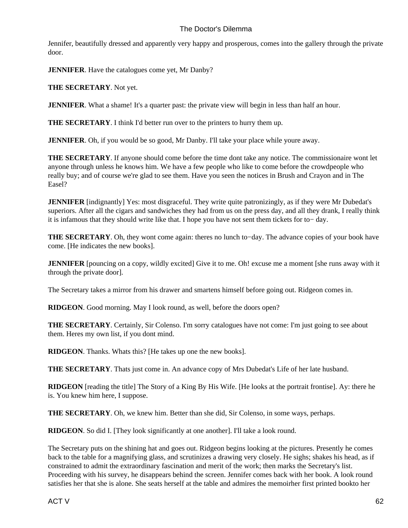Jennifer, beautifully dressed and apparently very happy and prosperous, comes into the gallery through the private door.

**JENNIFER**. Have the catalogues come yet, Mr Danby?

**THE SECRETARY**. Not yet.

**JENNIFER**. What a shame! It's a quarter past: the private view will begin in less than half an hour.

**THE SECRETARY**. I think I'd better run over to the printers to hurry them up.

**JENNIFER**. Oh, if you would be so good, Mr Danby. I'll take your place while youre away.

**THE SECRETARY**. If anyone should come before the time dont take any notice. The commissionaire wont let anyone through unless he knows him. We have a few people who like to come before the crowd people who really buy; and of course we're glad to see them. Have you seen the notices in Brush and Crayon and in The Easel?

**JENNIFER** [indignantly] Yes: most disgraceful. They write quite patronizingly, as if they were Mr Dubedat's superiors. After all the cigars and sandwiches they had from us on the press day, and all they drank, I really think it is infamous that they should write like that. I hope you have not sent them tickets for to− day.

**THE SECRETARY**. Oh, they wont come again: theres no lunch to−day. The advance copies of your book have come. [He indicates the new books].

**JENNIFER** [pouncing on a copy, wildly excited] Give it to me. Oh! excuse me a moment [she runs away with it through the private door].

The Secretary takes a mirror from his drawer and smartens himself before going out. Ridgeon comes in.

**RIDGEON**. Good morning. May I look round, as well, before the doors open?

**THE SECRETARY**. Certainly, Sir Colenso. I'm sorry catalogues have not come: I'm just going to see about them. Heres my own list, if you dont mind.

**RIDGEON**. Thanks. Whats this? [He takes up one the new books].

**THE SECRETARY**. Thats just come in. An advance copy of Mrs Dubedat's Life of her late husband.

**RIDGEON** [reading the title] The Story of a King By His Wife. [He looks at the portrait frontise]. Ay: there he is. You knew him here, I suppose.

**THE SECRETARY**. Oh, we knew him. Better than she did, Sir Colenso, in some ways, perhaps.

**RIDGEON**. So did I. [They look significantly at one another]. I'll take a look round.

The Secretary puts on the shining hat and goes out. Ridgeon begins looking at the pictures. Presently he comes back to the table for a magnifying glass, and scrutinizes a drawing very closely. He sighs; shakes his head, as if constrained to admit the extraordinary fascination and merit of the work; then marks the Secretary's list. Proceeding with his survey, he disappears behind the screen. Jennifer comes back with her book. A look round satisfies her that she is alone. She seats herself at the table and admires the memoir her first printed book to her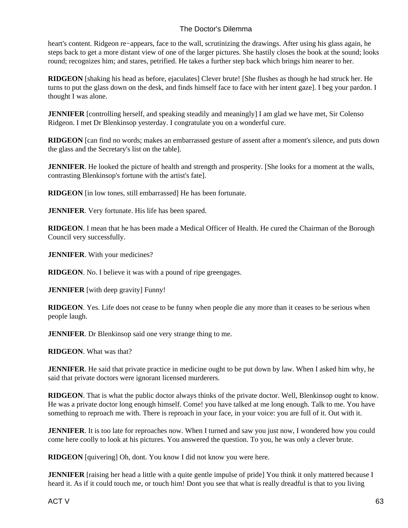heart's content. Ridgeon re−appears, face to the wall, scrutinizing the drawings. After using his glass again, he steps back to get a more distant view of one of the larger pictures. She hastily closes the book at the sound; looks round; recognizes him; and stares, petrified. He takes a further step back which brings him nearer to her.

**RIDGEON** [shaking his head as before, ejaculates] Clever brute! [She flushes as though he had struck her. He turns to put the glass down on the desk, and finds himself face to face with her intent gaze]. I beg your pardon. I thought I was alone.

**JENNIFER** [controlling herself, and speaking steadily and meaningly] I am glad we have met, Sir Colenso Ridgeon. I met Dr Blenkinsop yesterday. I congratulate you on a wonderful cure.

**RIDGEON** [can find no words; makes an embarrassed gesture of assent after a moment's silence, and puts down the glass and the Secretary's list on the table].

**JENNIFER**. He looked the picture of health and strength and prosperity. [She looks for a moment at the walls, contrasting Blenkinsop's fortune with the artist's fate].

**RIDGEON** [in low tones, still embarrassed] He has been fortunate.

**JENNIFER**. Very fortunate. His life has been spared.

**RIDGEON**. I mean that he has been made a Medical Officer of Health. He cured the Chairman of the Borough Council very successfully.

**JENNIFER**. With your medicines?

**RIDGEON**. No. I believe it was with a pound of ripe greengages.

**JENNIFER** [with deep gravity] Funny!

**RIDGEON**. Yes. Life does not cease to be funny when people die any more than it ceases to be serious when people laugh.

**JENNIFER.** Dr Blenkinsop said one very strange thing to me.

**RIDGEON**. What was that?

**JENNIFER**. He said that private practice in medicine ought to be put down by law. When I asked him why, he said that private doctors were ignorant licensed murderers.

**RIDGEON**. That is what the public doctor always thinks of the private doctor. Well, Blenkinsop ought to know. He was a private doctor long enough himself. Come! you have talked at me long enough. Talk to me. You have something to reproach me with. There is reproach in your face, in your voice: you are full of it. Out with it.

**JENNIFER**. It is too late for reproaches now. When I turned and saw you just now, I wondered how you could come here coolly to look at his pictures. You answered the question. To you, he was only a clever brute.

**RIDGEON** [quivering] Oh, dont. You know I did not know you were here.

**JENNIFER** [raising her head a little with a quite gentle impulse of pride] You think it only mattered because I heard it. As if it could touch me, or touch him! Dont you see that what is really dreadful is that to you living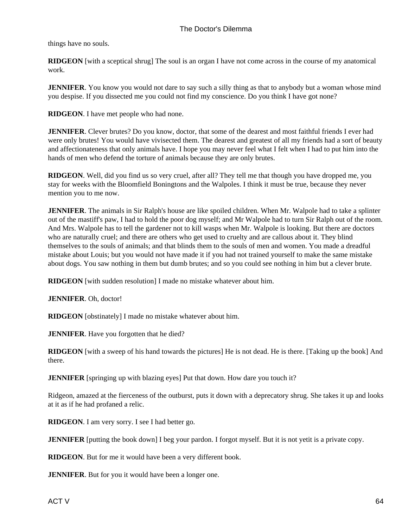things have no souls.

**RIDGEON** [with a sceptical shrug] The soul is an organ I have not come across in the course of my anatomical work.

**JENNIFER**. You know you would not dare to say such a silly thing as that to anybody but a woman whose mind you despise. If you dissected me you could not find my conscience. Do you think I have got none?

**RIDGEON**. I have met people who had none.

**JENNIFER**. Clever brutes? Do you know, doctor, that some of the dearest and most faithful friends I ever had were only brutes! You would have vivisected them. The dearest and greatest of all my friends had a sort of beauty and affectionateness that only animals have. I hope you may never feel what I felt when I had to put him into the hands of men who defend the torture of animals because they are only brutes.

**RIDGEON**. Well, did you find us so very cruel, after all? They tell me that though you have dropped me, you stay for weeks with the Bloomfield Boningtons and the Walpoles. I think it must be true, because they never mention you to me now.

**JENNIFER**. The animals in Sir Ralph's house are like spoiled children. When Mr. Walpole had to take a splinter out of the mastiff's paw, I had to hold the poor dog myself; and Mr Walpole had to turn Sir Ralph out of the room. And Mrs. Walpole has to tell the gardener not to kill wasps when Mr. Walpole is looking. But there are doctors who are naturally cruel; and there are others who get used to cruelty and are callous about it. They blind themselves to the souls of animals; and that blinds them to the souls of men and women. You made a dreadful mistake about Louis; but you would not have made it if you had not trained yourself to make the same mistake about dogs. You saw nothing in them but dumb brutes; and so you could see nothing in him but a clever brute.

**RIDGEON** [with sudden resolution] I made no mistake whatever about him.

**JENNIFER**. Oh, doctor!

**RIDGEON** [obstinately] I made no mistake whatever about him.

**JENNIFER**. Have you forgotten that he died?

**RIDGEON** [with a sweep of his hand towards the pictures] He is not dead. He is there. [Taking up the book] And there.

**JENNIFER** [springing up with blazing eyes] Put that down. How dare you touch it?

Ridgeon, amazed at the fierceness of the outburst, puts it down with a deprecatory shrug. She takes it up and looks at it as if he had profaned a relic.

**RIDGEON**. I am very sorry. I see I had better go.

**JENNIFER** [putting the book down] I beg your pardon. I forgot myself. But it is not yet it is a private copy.

**RIDGEON**. But for me it would have been a very different book.

**JENNIFER**. But for you it would have been a longer one.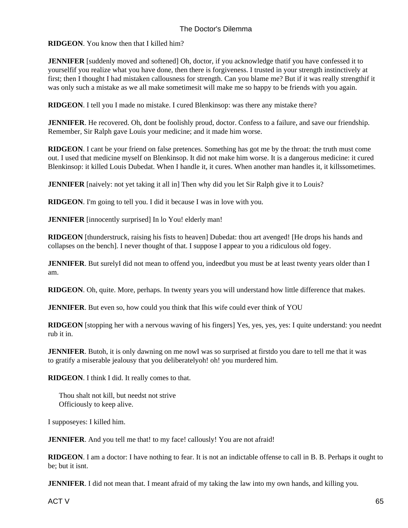**RIDGEON**. You know then that I killed him?

**JENNIFER** [suddenly moved and softened] Oh, doctor, if you acknowledge that if you have confessed it to yourself if you realize what you have done, then there is forgiveness. I trusted in your strength instinctively at first; then I thought I had mistaken callousness for strength. Can you blame me? But if it was really strength if it was only such a mistake as we all make sometimes it will make me so happy to be friends with you again.

**RIDGEON**. I tell you I made no mistake. I cured Blenkinsop: was there any mistake there?

**JENNIFER**. He recovered. Oh, dont be foolishly proud, doctor. Confess to a failure, and save our friendship. Remember, Sir Ralph gave Louis your medicine; and it made him worse.

**RIDGEON**. I cant be your friend on false pretences. Something has got me by the throat: the truth must come out. I used that medicine myself on Blenkinsop. It did not make him worse. It is a dangerous medicine: it cured Blenkinsop: it killed Louis Dubedat. When I handle it, it cures. When another man handles it, it kills sometimes.

**JENNIFER** [naively: not yet taking it all in] Then why did you let Sir Ralph give it to Louis?

**RIDGEON**. I'm going to tell you. I did it because I was in love with you.

**JENNIFER** [innocently surprised] In lo You! elderly man!

**RIDGEON** [thunderstruck, raising his fists to heaven] Dubedat: thou art avenged! [He drops his hands and collapses on the bench]. I never thought of that. I suppose I appear to you a ridiculous old fogey.

**JENNIFER**. But surely I did not mean to offend you, indeed but you must be at least twenty years older than I am.

**RIDGEON**. Oh, quite. More, perhaps. In twenty years you will understand how little difference that makes.

**JENNIFER**. But even so, how could you think that I his wife could ever think of YOU

**RIDGEON** [stopping her with a nervous waving of his fingers] Yes, yes, yes, yes: I quite understand: you neednt rub it in.

**JENNIFER**. But oh, it is only dawning on me now I was so surprised at first do you dare to tell me that it was to gratify a miserable jealousy that you deliberatelyoh! oh! you murdered him.

**RIDGEON**. I think I did. It really comes to that.

 Thou shalt not kill, but needst not strive Officiously to keep alive.

I suppose yes: I killed him.

**JENNIFER**. And you tell me that! to my face! callously! You are not afraid!

**RIDGEON**. I am a doctor: I have nothing to fear. It is not an indictable offense to call in B. B. Perhaps it ought to be; but it isnt.

**JENNIFER**. I did not mean that. I meant afraid of my taking the law into my own hands, and killing you.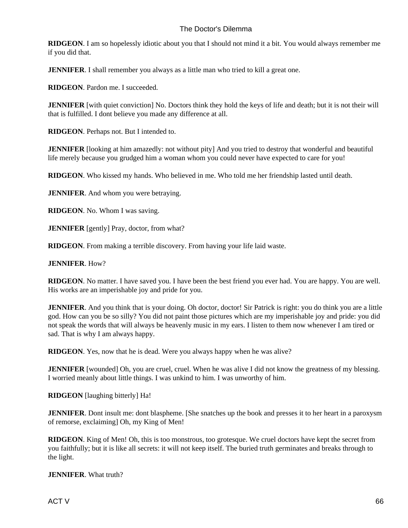**RIDGEON**. I am so hopelessly idiotic about you that I should not mind it a bit. You would always remember me if you did that.

**JENNIFER**. I shall remember you always as a little man who tried to kill a great one.

**RIDGEON**. Pardon me. I succeeded.

**JENNIFER** [with quiet conviction] No. Doctors think they hold the keys of life and death; but it is not their will that is fulfilled. I dont believe you made any difference at all.

**RIDGEON**. Perhaps not. But I intended to.

**JENNIFER** [looking at him amazedly: not without pity] And you tried to destroy that wonderful and beautiful life merely because you grudged him a woman whom you could never have expected to care for you!

**RIDGEON**. Who kissed my hands. Who believed in me. Who told me her friendship lasted until death.

**JENNIFER**. And whom you were betraying.

**RIDGEON**. No. Whom I was saving.

**JENNIFER** [gently] Pray, doctor, from what?

**RIDGEON**. From making a terrible discovery. From having your life laid waste.

#### **JENNIFER**. How?

**RIDGEON**. No matter. I have saved you. I have been the best friend you ever had. You are happy. You are well. His works are an imperishable joy and pride for you.

**JENNIFER**. And you think that is your doing. Oh doctor, doctor! Sir Patrick is right: you do think you are a little god. How can you be so silly? You did not paint those pictures which are my imperishable joy and pride: you did not speak the words that will always be heavenly music in my ears. I listen to them now whenever I am tired or sad. That is why I am always happy.

**RIDGEON**. Yes, now that he is dead. Were you always happy when he was alive?

**JENNIFER** [wounded] Oh, you are cruel, cruel. When he was alive I did not know the greatness of my blessing. I worried meanly about little things. I was unkind to him. I was unworthy of him.

**RIDGEON** [laughing bitterly] Ha!

**JENNIFER**. Dont insult me: dont blaspheme. [She snatches up the book and presses it to her heart in a paroxysm of remorse, exclaiming] Oh, my King of Men!

**RIDGEON**. King of Men! Oh, this is too monstrous, too grotesque. We cruel doctors have kept the secret from you faithfully; but it is like all secrets: it will not keep itself. The buried truth germinates and breaks through to the light.

#### **JENNIFER**. What truth?